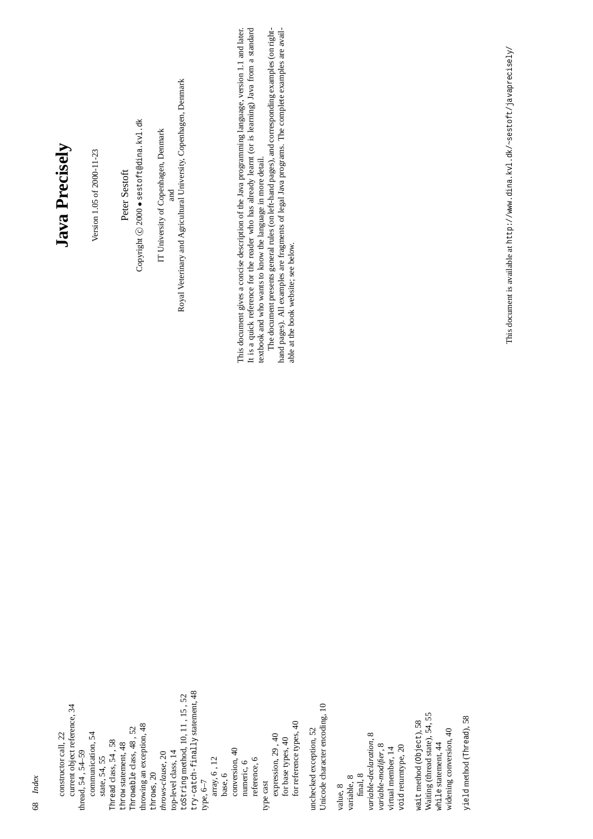68 *Index*

try-catch-finally statement, 48 try-catch-finally statement, 48 toString method, 10, 11, 15, 52 toString method, 10, 11 , 15 , 52 current object reference, 34 Unicode character encoding, 10 Unicode character encoding, 10 current object reference, 34 for reference types, 40 throwing an exception, 48 for reference types, 40 Throwable class, 48, 52 throwing an exception, 48 unchecked exception, 52 Throwable class, 48 , 52 unchecked exception, 52 constructor call, 22 communication, 54 type cast<br>expression, 29, 40 final, 8<br>variable-declaration, 8 constructor call, 22 communication, 54 expression, 29 , 40 *variable-declaration*, 8 for base types, 40 state, 54, 55<br>Thread class, 54, 58 for base types, 40 throw statement, 48 Thread class, 54 , 58 variable-modifier, 8 throw statement, 48 *variable-modifier*, 8 thread, 54, 54-59 conversion, 40 top-level class, 14 throws, 20<br>throws-clause, 20 thread, 54 , 54–59 top-level class, 14 *throws-clause*, 20 reference, 6 array, 6 , 12 numeric, 6 base, 6 variable, 8 type, 6–7 value, 8

Waiting (thread state), 54, 55 Waiting (thread state), 54, 55 wait method (Object), 58 wait method (Object), 58 widening conversion, 40 widening conversion, 40 while statement, 44 while statement, 44

virtual member, 14 void returntype, 20

virtual member, 14<br>voi d returntype, 20

yield method (Thread), 58 yield method (Thread), 58

### **Java Precisely**

Version 1.05 of 2000-11-23 Version 1.05 of 2000-11-23 Peter Sestoft

Copyright © 2000 · sestoft@dina.kvl.dk Copyright  $@$  2000  $\bullet$  sestoft@dina.kvl.dk

IT University of Copenhagen, Denmark IT University of Copenhagen, Denmark

and Royal Veterinary and Agricultural University, Copenhagen, Denmark

It is a quick reference for the reader who has already learnt (or is learning) Java from a standard This document gives a concise description of the Java programming language, version 1.1 and later. It is a quick reference for the reader who has already learnt (or is learning) Java from a standard This document gives a concise description of the Java programming language, version 1.1 and later. w the language in more detail. wants to kno wtextbook and who

hand pages). All examples are fragments of legal Java programs. The complete examples are avail-The document presents general rules (on left-hand pages), and corresponding examples(on righthand pages). All examples are fragments of legal Java programs. The complete examples are available at the book website; see below. able at the book website; see belo

This document is available at http://www.dina.kvl.dk/~sestoft/javaprecisely/ This document is available at http://www.dina.kvl.dk/~sestoft/javaprecisely/ $\,$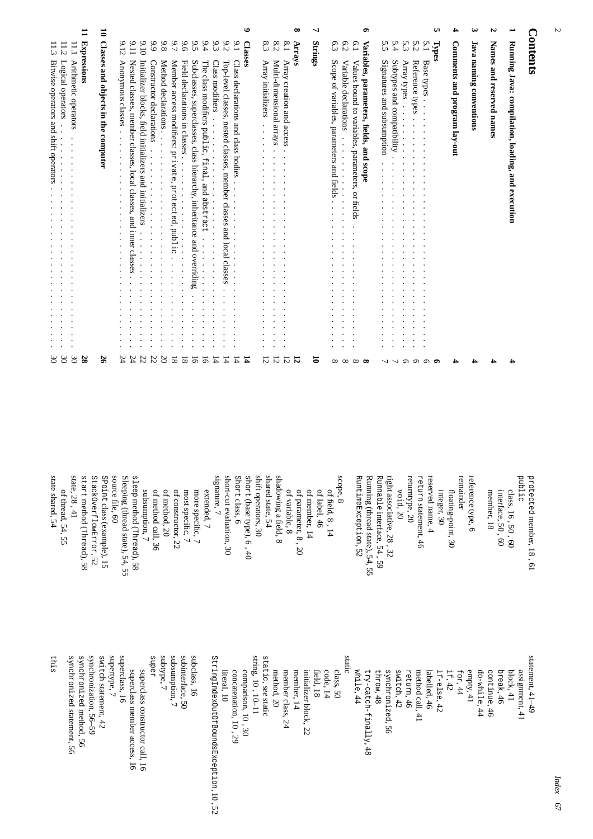| ٠<br>I<br>$\overline{\phantom{a}}$<br>× |
|-----------------------------------------|
|                                         |

| è. |  |
|----|--|
|    |  |

| ⊟                                                                                                                                                                                                                                                                                              | $\overline{\bullet}$                      |                                                                                               |                                                                                           |                                                                                                                                                                                          |                                                                                                  |                                                                       |                                                                                                                                                                                                                                                                                                                   |                                                                                                                              |                                                                                                                                                                                                                                                                                                                                                                                                                                                                                                                                                                                                                                                                                                                                                                                                                                                                                                                                                                                                     |                                                                                                                                                                                                | ڡ                                                           |                                                                                      |                                            | $\infty$                                          |                |                                                        |                                                                                                                                                                                                                                                                                                                                                                                                                                           | ╺                                                                                                                    |                                 |                                                                                       |                                                       |                                                    | u     |                              | س                       | N                        |                                                   |
|------------------------------------------------------------------------------------------------------------------------------------------------------------------------------------------------------------------------------------------------------------------------------------------------|-------------------------------------------|-----------------------------------------------------------------------------------------------|-------------------------------------------------------------------------------------------|------------------------------------------------------------------------------------------------------------------------------------------------------------------------------------------|--------------------------------------------------------------------------------------------------|-----------------------------------------------------------------------|-------------------------------------------------------------------------------------------------------------------------------------------------------------------------------------------------------------------------------------------------------------------------------------------------------------------|------------------------------------------------------------------------------------------------------------------------------|-----------------------------------------------------------------------------------------------------------------------------------------------------------------------------------------------------------------------------------------------------------------------------------------------------------------------------------------------------------------------------------------------------------------------------------------------------------------------------------------------------------------------------------------------------------------------------------------------------------------------------------------------------------------------------------------------------------------------------------------------------------------------------------------------------------------------------------------------------------------------------------------------------------------------------------------------------------------------------------------------------|------------------------------------------------------------------------------------------------------------------------------------------------------------------------------------------------|-------------------------------------------------------------|--------------------------------------------------------------------------------------|--------------------------------------------|---------------------------------------------------|----------------|--------------------------------------------------------|-------------------------------------------------------------------------------------------------------------------------------------------------------------------------------------------------------------------------------------------------------------------------------------------------------------------------------------------------------------------------------------------------------------------------------------------|----------------------------------------------------------------------------------------------------------------------|---------------------------------|---------------------------------------------------------------------------------------|-------------------------------------------------------|----------------------------------------------------|-------|------------------------------|-------------------------|--------------------------|---------------------------------------------------|
| E<br>$\overline{112}$<br>$\Xi$                                                                                                                                                                                                                                                                 |                                           | 9.12                                                                                          | 611<br>0176                                                                               | 66                                                                                                                                                                                       | 8.8                                                                                              | $6\overline{7}$                                                       | 56<br>9.6                                                                                                                                                                                                                                                                                                         | 64                                                                                                                           | 6.3                                                                                                                                                                                                                                                                                                                                                                                                                                                                                                                                                                                                                                                                                                                                                                                                                                                                                                                                                                                                 | $6\overline{5}$                                                                                                                                                                                | $6^{1}$<br><b>Classes</b>                                   | 8.3                                                                                  | 8.2                                        | $\overline{1.8}$<br>Arrays                        | <b>Strings</b> | 6.3                                                    | 6.2                                                                                                                                                                                                                                                                                                                                                                                                                                       | 6.1                                                                                                                  | 5.5                             | 5.4                                                                                   | 5.3<br>5.2                                            | 5.1                                                | Types |                              |                         |                          |                                                   |
| <b>Expressions</b><br>Logical operators<br>Bitwise operators and shift operators<br>Arithmetic operators<br>$\ddot{\cdot}$<br>$\cdot$<br>$\cdot$<br>$\ddot{\phantom{0}}$<br>$\ddot{\phantom{0}}$<br>$\ddot{\phantom{0}}$<br>$\cdot$<br>$\ddot{\phantom{a}}$<br>$\infty$<br>$\infty$<br>ತ<br>28 | Classes and objects in the computer<br>26 | Nested classes, member classes, local classes, and<br>Anonymous classes<br>mner classes<br>24 | Initializer blocks, field initializers and initializers<br>22<br>$\overline{\mathcal{L}}$ | Constructor declarations<br>$\ddot{\cdot}$<br>$\ddot{\phantom{0}}$<br>$\ddot{\phantom{0}}$<br>$\ddot{\phantom{0}}$<br>$\ddot{\phantom{0}}$<br>$\cdot$<br>$\cdot$<br>$\ddot{\cdot}$<br>22 | Method declarations<br>$\ddot{\phantom{0}}$<br>$\frac{1}{2}$<br>$\ddot{\phantom{a}}$<br>$\infty$ | Member access modifiers: private, protected, public<br>$\overline{8}$ | Subclasses, superclasses, class hierarchy, inheritance and overriding<br>Field declarations in classes .<br>$\cdot$<br>$\vdots$<br>$\ddot{\phantom{0}}$<br>$\ddot{\phantom{0}}$<br>$\ddot{\phantom{a}}$<br>$\ddot{\phantom{0}}$<br>$\ddot{\phantom{0}}$<br>$\cdot$<br>$\cdot$<br>$\overline{8}$<br>$\overline{5}$ | The class modifiers public, final, and abstract<br>$\ddot{\phantom{0}}$<br>$\ddot{\phantom{a}}$<br>$\cdot$<br>$\overline{9}$ | Class modifiers<br>$\ddot{\phantom{0}}$<br>$\ddot{\cdot}$<br>$\ddot{\phantom{a}}$<br>$\ddot{\phantom{a}}$<br>$\ddot{\phantom{0}}$<br>$\ddot{\phantom{a}}$<br>$\cdot$<br>$\begin{bmatrix} 1 \\ 1 \\ 1 \\ 1 \end{bmatrix}$<br>$\ddot{\phantom{0}}$<br>$\begin{array}{c} \bullet \\ \bullet \\ \bullet \\ \bullet \end{array} \qquad \begin{array}{c} \bullet \\ \bullet \\ \bullet \\ \bullet \end{array} \qquad \begin{array}{c} \bullet \\ \bullet \\ \bullet \\ \bullet \end{array} \qquad \begin{array}{c} \bullet \\ \bullet \\ \bullet \\ \bullet \end{array} \qquad \begin{array}{c} \bullet \\ \bullet \\ \bullet \\ \bullet \end{array} \qquad \begin{array}{c} \bullet \\ \bullet \\ \bullet \\ \bullet \end{array} \qquad \begin{array}{c} \bullet \\ \bullet \\ \bullet \\ \bullet \end{array} \qquad \begin{array}{c} \bullet \\ \bullet \\ \bullet \\ \bullet \end{array} \qquad \begin{array}{c} \bullet \\ \bullet$<br>$\ddot{\phantom{0}}$<br>$\ddot{\phantom{0}}$<br>$\overline{4}$ | Top-level classes, nested classes, member classes and local classes<br>$\cdot$<br>$\ddot{\phantom{a}}$<br>$\cdot$<br>$\frac{1}{2}$<br>$\blacksquare$<br>$\ddot{\phantom{0}}$<br>$\overline{4}$ | Class declarations and class bodies.<br>$\overline{4}$<br>7 | Array initializers<br>$\vdots$<br>$\ddot{\phantom{0}}$<br>$\ddot{\phantom{0}}$<br>12 | Multi-dimensional arrays<br>$\overline{5}$ | Array creation and access<br>$\overline{5}$<br>12 | ᇹ              | Scope of variables, parameters and fields.<br>$\infty$ | Variable declarations<br>$\frac{1}{2}$ $\frac{1}{2}$ $\frac{1}{2}$ $\frac{1}{2}$ $\frac{1}{2}$ $\frac{1}{2}$ $\frac{1}{2}$ $\frac{1}{2}$ $\frac{1}{2}$ $\frac{1}{2}$ $\frac{1}{2}$ $\frac{1}{2}$ $\frac{1}{2}$ $\frac{1}{2}$ $\frac{1}{2}$ $\frac{1}{2}$ $\frac{1}{2}$ $\frac{1}{2}$ $\frac{1}{2}$ $\frac{1}{2}$ $\frac{1}{2}$ $\frac{1}{2}$<br>$\cdot$<br>$\ddot{\phantom{0}}$<br>$\cdot$<br>$\cdot$<br>$\ddot{\phantom{0}}$<br>$\infty$ | Variables, parameters, fields, and scope<br>Values bound to variables, parameters, or fields<br>$\infty$<br>$\infty$ | Signatures and subsumption<br>┙ | Subtypes and compatibility<br>$\ddot{\cdot}$<br>$\ddot{\phantom{a}}$<br>$\rightarrow$ | Reference types<br>Array types<br>$\sigma$<br>$\circ$ | <b>Base types</b><br>$\cdot$<br>$\cdot$<br>$\circ$ | ◓     | Comments and program lay-out | Java naming conventions | Names and reserved names | Running Java: compilation, loading, and execution |
|                                                                                                                                                                                                                                                                                                |                                           |                                                                                               |                                                                                           |                                                                                                                                                                                          |                                                                                                  |                                                                       |                                                                                                                                                                                                                                                                                                                   |                                                                                                                              |                                                                                                                                                                                                                                                                                                                                                                                                                                                                                                                                                                                                                                                                                                                                                                                                                                                                                                                                                                                                     |                                                                                                                                                                                                |                                                             |                                                                                      |                                            |                                                   |                |                                                        |                                                                                                                                                                                                                                                                                                                                                                                                                                           |                                                                                                                      |                                 |                                                                                       |                                                       |                                                    |       |                              |                         |                          |                                                   |

protected member, 18 , 61 public class, 16 , 50 , 60 interface, 50 , 60 member,  $\approx$ reference type, 6 remainder floating-point, floating-point, 30 integer, 30 reserved name, 4 return statement, 46 returntype, 20 void, 20 right associative, 28 , 32 Runnable interface, 54 , 59 Running (thread state), 54, ე<br>თ RuntimeException.<br>25 scope, 8 ቧ<br>ት field, 8 , 14 ቧ<br>ት label, 46 ቧ<br>ት member, 14 ቧ<br>ት parameter, 8 , 20 ቧ<br>ት variable, 8 shadowing a field, 8 shared state, 24 shift operators, 30 short (base type), 6 , 40 Short class, 6 short-cut evaluation, 30 signature, 7 extended, 7 more specific, 7 most specific, 7 of constructor, 22 ቧ<br>ት method, 20 of method call, 36 subsumption, ر sleep method (Thread), 58 Sleeping (thread state), 54, 55 source file, 8 SPoint class (example), 5 StackOverflowError, 52 start method (Thread), 58 state, 28 , 41 of thread, 54, 55 state shared, 24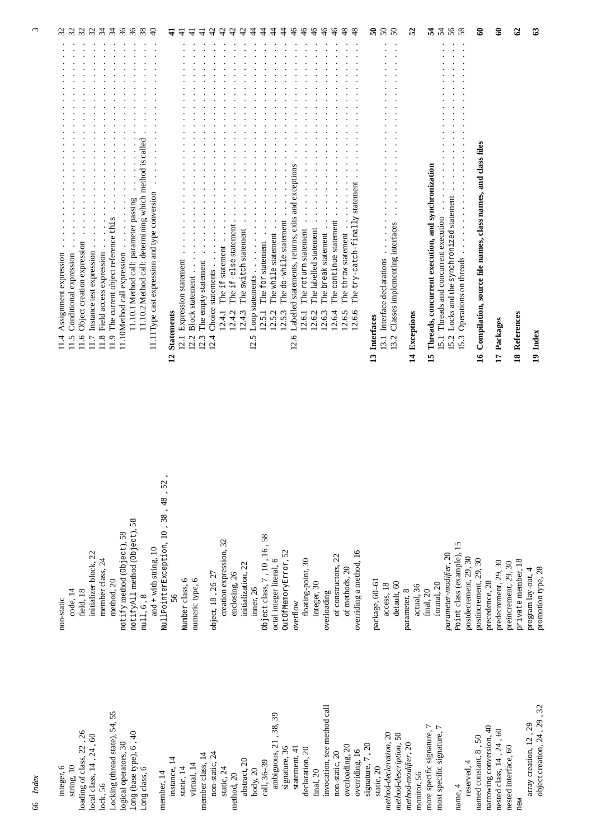66 *Index*

object creation, 24, 29, 32 final, 20<br>invocation, *see* method call invocation, *see* method call object creation, 24 , 29 , 32 lock, 56<br>Locking (thread state), 54, 55 call,  $36-39$ <br>ambiguous, 21, 38, 39 Locking (thread state), 54, 55 ambiguous, 21 , 38, 39 array creation, 12, 29 monitor, 56<br>more specific signature, 7 most specific signature, 7 narrowing conversion, 40 array creation, 12 , 29 more specific signature, 7 narrowing conversion, 40 most specific signature, 7 nested class, 14, 24, 60 string, 10<br>loading of class, 22, 26 long (base type), 6, 40 static, 20<br>method-declaration, 20 nested class, 14 , 24 , 60 method-description, 50 loading of class, 22 , 26 local class, 14, 24, 60 long (base type), 6 , 40 reserved, 4<br>named constant, 8, 50 *method-declaration*, 20 *method-description*, 50 local class, 14 , 24 , 60 named constant, 8 , 50 logical operators, 30 method-modifier, 20 overriding, 16<br>signature, 7, 20 logical operators, 30 non-static, 20 signature, 7 , 20 *method-modifier*, 20 nested interface, 60 signature, 36 statement, 41 declaration, 20 overloading, 20 nested interface, 60 non-static, 24 virtual, 14<br>member class, 14 member class, 14 instance, 14 abstract, 20 integer, 6 Long class, 6 static, 14 static, 24 body, 20 member, 14 method, 20 name, 4 new

NullPointerException, 10, 38, 48, 52, NullPointerException, 10 , 38 , 48 , 52 , notifyAll method (Object), 58 notifyAll method (Object), 58 method, 20<br>notify method (Object), 58 notify method (Object), 58 null,  $6, 8$ <br>and  $+$  with string,  $10$ and + with string, 10 field, 18<br>initializer block. 22 initializer block, 22 member class, 24 member class, 24 56<br>Number class, 6 numeric type, 6 Number class, 6 numeric type, 6 code, 14 non-static

inner, 26<br>Object class, 7, 10, 16, 58 Object class, 7 , 10 , 16 , 58 creation expression, 32 creation expression, 32 OutOfMemoryError, 52 overriding a method, 16 OutOfMemoryError, 52 overriding a method, 16 overloading<br>of constructors, 22 octal integer literal, 6 of constructors, 22 floating-point, 30 floating-point, 30 enclosing, 26<br>initialization, 22 octal integer literal, 6 initialization, 22 of methods, 20 of methods, 20 object, 18, 26-27 object, 18 , 26–27 integer, 30 overflo w

Point class (example), 15 Point class (example), 15 formal, 20<br>parameter-modifier, 20 *parameter-modifier*, 20 oostdecrement, 29, 30 postincrement, 29, 30 postdecrement, 29, 30 predecrement, 29, 30 postincrement, 29, 30 preincrement, 29, 30 private member, 18 private member, 18 predecrement, 29, 30 preincrement, 29, 30 promotion type, 28 program lay-out, 4 promotion type, 28 program lay-out, 4 package, 60-61 precedence, 28 package, 60–61 access, 18 default, 60 precedence, 28 actual, 36 parameter, 8 final, 20

**19 Index 63**

|                 | Ξ                            | $\mathfrak{L}$                                                                            |  |
|-----------------|------------------------------|-------------------------------------------------------------------------------------------|--|
|                 | 1.5<br>4.                    | 32<br>Assignment expression                                                               |  |
|                 |                              | Conditional expression                                                                    |  |
|                 | 1.6                          | 32<br>Object creation expression                                                          |  |
|                 | 11.7                         | 32<br>Instance test expression                                                            |  |
|                 | 11.8                         | 34<br>Field access expression                                                             |  |
|                 | 11.9                         | 34<br>The current object reference this                                                   |  |
|                 | 11.10Method call expression  | 36                                                                                        |  |
|                 |                              | 36                                                                                        |  |
|                 |                              | $\ddot{\phantom{0}}$<br>11.10.1 Method call: parameter passing                            |  |
|                 |                              | 38<br>Ē<br>11.10.2 Method call: determining which method                                  |  |
|                 |                              | $\Theta$<br>11.11Type cast expression and type conversion                                 |  |
|                 |                              |                                                                                           |  |
| $\overline{1}$  | <b>Statements</b>            | ਚ                                                                                         |  |
|                 | Expression statement<br>12.1 | ∓                                                                                         |  |
|                 | Block statement<br>12.2      | 근                                                                                         |  |
|                 | The empty statement<br>12.3  | ₽                                                                                         |  |
|                 | Choice statements<br>12.4    | $\vartheta$<br>$\ddot{\phantom{a}}$                                                       |  |
|                 | 12.4.1                       | $\overline{42}$<br>The if statement                                                       |  |
|                 | 12.4.2                       | 42<br>The if-else statement                                                               |  |
|                 | 2.4.3                        | $\ddot{c}$<br>The switch statement                                                        |  |
|                 | Loop statements<br>12.5      | 4                                                                                         |  |
|                 | 12.5.1                       | 4<br>The for statement                                                                    |  |
|                 | 2.5.2                        | ₹<br>The while statement                                                                  |  |
|                 | 2.5.3                        | \$<br>The do-while statement                                                              |  |
|                 | 12.6                         | $\frac{4}{6}$<br>Labelled statements, returns, exits and exceptions                       |  |
|                 | 12.6.1                       | 46<br>The return statement                                                                |  |
|                 | 2.6.2                        | $\frac{4}{6}$<br>The labelled statement                                                   |  |
|                 | 2.6.3                        | $\frac{4}{6}$<br>The break statement                                                      |  |
|                 | The<br>2.6.4                 | $\frac{4}{6}$<br>continue statement                                                       |  |
|                 | The<br>2.6.5                 | $\frac{8}{3}$<br>throw statement                                                          |  |
|                 | The<br>2.6.6                 | 48<br>try-catch-finally statement                                                         |  |
| 13              | <b>Interfaces</b>            | $\overline{50}$                                                                           |  |
|                 | Interface declarations       | 50                                                                                        |  |
|                 | 13.2<br>13.1                 | 50<br>Classes implementing interfaces                                                     |  |
|                 |                              |                                                                                           |  |
| $\vec{a}$       | Exceptions                   | S,                                                                                        |  |
| 15              |                              | ų<br>Threads, concurrent execution, and synchronization                                   |  |
|                 | 15.1                         | 24<br>$\ddot{\phantom{a}}$<br>$\ddot{\phantom{a}}$<br>Threads and concurrent execution    |  |
|                 | 5.2                          | 56<br>Locks and the synchronized statement                                                |  |
|                 | Operations on threads<br>5.3 | 58<br>$\frac{1}{2}$<br>$\begin{array}{c} \n\cdot \\ \cdot \\ \cdot \\ \cdot\n\end{array}$ |  |
| $\overline{16}$ |                              | 3<br>Compilation, source file names, class names, and class files                         |  |
| $\overline{1}$  | Packages                     | $\mathbf{S}$                                                                              |  |
|                 | 18 References                | ଌ                                                                                         |  |
|                 |                              |                                                                                           |  |
|                 | 19 Index                     | Œ                                                                                         |  |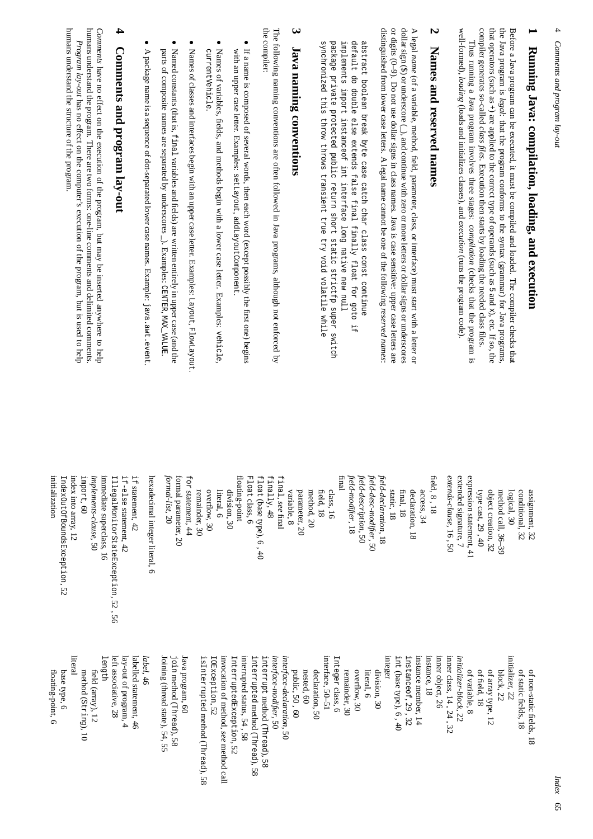### **1 Running J a va: compilation, loading, and execution**

Before a Java program can be executed, it must be compiled and loaded. The compiler checks  $\thinspace \text{that}$ the Java program is *legal*: that the program conforms  $\Xi$ the syntax (grammar) for Java programs,  $\thinspace \tan$ operators (such  $as +)$  are applied to the correct type ቧ operands (such as 5 and x), etc. If so, the compiler generates so-called *class files*. Execution then starts ş loading the needed class files.

Thus running a Java program involves three stages: *compilation* (checks  $\thinspace \text{that}$ the program is well-formed), *loading* (loads and initializes classes), and *execution* (runs the program code).

### **2 Names and reser ved names**

A legal *name* (of a variable, method, field, parameter, class, or interface) must start with a letter or dollar sign  $\widehat{\mathbf{e}}$ or underscore (\_), and continue with zero or more letters or dollar signs or underscores or digits (0–9). Do not use dollar signs in, class names. Java is case sensitive: upper case letters are distinguished from lower case letters. A legal name cannot be one ቧ the following *reserved names*

abstract boolean break byte case catch char class const continue default do double else extends false final finally float for goto  $\Xi$ implements import instanceof int interface long native new nu<br>I package private protected public return short static strictfp super switch synchronized this throw throws transient true try void volatile while

### **3 J a v a naming con ventions**

The following naming conventions are often followed in Java programs, although not enforced হ the compiler: compiler: If a name

- is composed ቧ several words, then each word (except possibly the first one) begins with an upper case letter. Examples: setLayout, addLayoutComponent
- wuu an upper taas retter. Loomuptes: Betaag van die gestig van die gestig op die gestig op die gestig op die g<br>**. Alames of variables. fields. and methods heem with a lower case letter. F** Names ቧ variables, fields, and methods begin with a lower case letter. Examples: vehicle, currentVehicle
- carrencementers.<br>• Names of classes a Names ቧ classes and interfaces begin with an upper case letter. Examples: Layout, FlowLayout. -
- Named constants (that is, final variables and fields) are written entirely in upper case (and the parts ቧ<br>ት composite names are separated ş underscores \_). Examples: CENTER,  $\mathtt{H}\cap\mathtt{TM}$ puro or composito mantos ato segundo to o metroscero \_/, Estadista e estadounidade a presencia e altre estado<br>**e A packase name is a sequence of dot-separated lower case names. Example: 1ava. avt. even e 1**
- A package name is a sequence ቧ dot-separated lower case names. Example: java.awt.event.

### **4 Comments and program lay-out**

*Comments* have no effect on the execution ቧ the program, but may be inserted anywhere  $\Xi$ help humans understand the program. There are two forms: one-line comments and delimited comments. but is used ಕ help

*Program lay-out*  $\ln$ no effect on the computer's execution ቧ the program, humans understand the structure ቧ the program.

> *formal-list*, 20 final *field-modifierfield-descriptionfield-desc-modifierfield-declaration*hexadecimal formal floating-point Float field, 8 , 18 *extends-clause*extended expression if-else  $\Xi$ for nod-gune float finally, 48 final, *see* statement, remainder, 30 parameter, 20 declaration, 18 conditional, 32 remainder, literal, 6 division, variable, 8 parameter, method, class, declaration, type method logical, conditional, assignment, 32 statement, overflo w, field, static, final, access, object assignment, class, 6 (base parameter, cast, signature,  $7$ 18 18 5 18 creation, final statement, بر<br>44 call, 30 type), 6 , 40 20 integer 30 , 18 42 క 29 , 40 , 16 , 50 44 .<br>ئ , 18 36–39 20 .<br>20  $\mathrm{g}$ literal, 6 41

mtalization if- $e$ lse statement, 42 initialization index *implements-clause*immediate IndexOutOfBoundsExceptionimport, 60 IllegalMonitorStateExceptioninto<br>C statement, array, superclass, 12 .<br>20 5 , 52 , 52 , 56

ቧ non-static fields, 18 ቧ static fields,  $\approx$ initializer, 22 block, 22 ቧ array type, 12 ቧ field, 18 ቧ variable, 8 *initializer-block*, 22 inner class, 14 , 24 , 32 inner object, 26 instance,  $\approx$ instance member, 14 instanceof, 29 , 32 int (base type), 6 , 40 inte di vision, ger 30 literal, 6 overflo w, 30 remainder, remainder, 30 Integer class, 6 interface, 50–51 declaration, declaration, 50 nested, 8 public, 50 , 60 *interface-declaration*.<br>20 *interface-modifier*.<br>ی interrupt method (Thread), 58 interrupted method (Thread), 58 interrupted status, 54 , 58 InterruptedException.<br>27 invocation ቧ method, *see* method call IOException.<br>25 isInterrupted method (Thread), 58 Java program, 8 join method (Thread), 58 Joining (thread state), 54, 55 *label*, 46 labelled statement, 46 lay-out ቧ program, 4 left associative, 28 length field (array), 12 method (String), 10 literal base type, 6 floating-point, floating-point, 6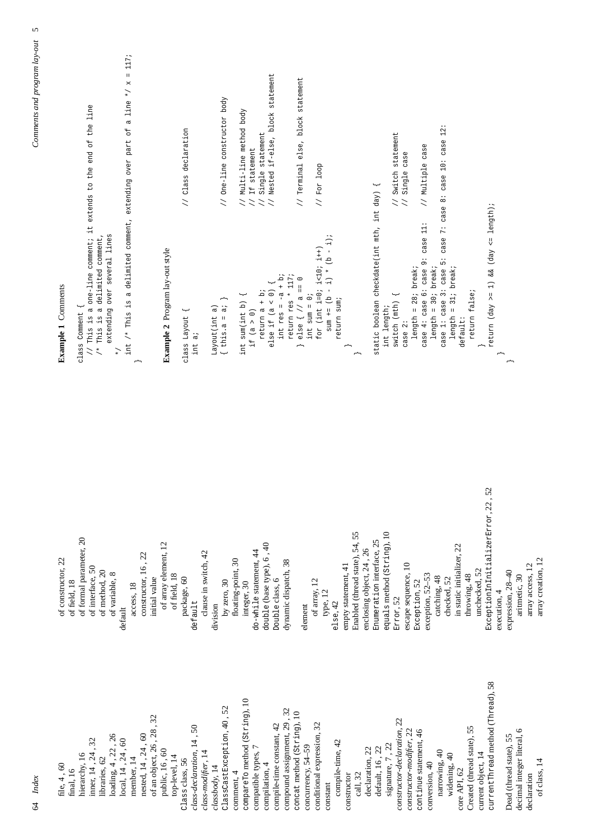| mo-         |  |
|-------------|--|
| mnamm<br>Ĩ. |  |
| ana<br>֠    |  |

 $\mathbf{v}$ 

Example 1 Comments **Example 1** Comments

class Comment {

// This is a one-line comment; it extends to the end of the line // This is a one-line comment; it extends to the end of the line class Comment {

/\* This is a delimited comment, /\* This is a delimited comment,

extending over several lines extending over several lines

\*/<br>int /\* This is a delimited comment, extending over part of a line \*/ x = 117; int /\* This is a delimited comment, extending over part of a line \*/ x = 117;

## Example 2 Program lay-out style **Example 2** Program lay-out style

// Nested if-else, block statement else if (a < 0) { // Nested if-else, block statement // Terminal else, block statement  $\}$  else  $\{$  // a == 0  $\qquad$  // Terminal else, block statement // One-line constructor body  $\{$  this.a = a;  $\}$   $\{$   $\{$   $\}$   $\{$   $\}$   $\{$   $\}$   $\{$   $\}$   $\{$   $\}$   $\{$   $\}$   $\{$   $\}$   $\{$   $\}$   $\{$   $\}$   $\{$   $\}$   $\{$   $\}$   $\{$   $\}$   $\{$   $\}$   $\{$   $\}$   $\{$   $\}$   $\{$   $\}$   $\{$   $\}$   $\{$   $\}$   $\{$   $\}$   $\{$ int sum(int b) {  $/$   $/$  Multi-line method body // Multi-line method body case 1: case 3: case 5: case 7: case 8: case 10: case 12: case 1: case 3: case 5: case 7: case 8: case 10: case 12: // Class declaration class Layout { // Class declaration // Single statement return a + b; // Single statement // Switch statement switch ( $mth$ ) {  $\frac{1}{2}$ // Multiple case case 4: case 6: case 9: case 11: // Multiple case // If statement if (a  $> 0$ )  $/$  If statement // Single case case 2:  $\frac{1}{2}$ // For loop for (int i=0; i<10; i++) // For loop static boolean checkdate(int mth, int day) { static boolean checkdate(int mth, int day) { return (day >= 1) && (day <= length); return (day >= 1) && (day <= length); case 4: case 6: case 9: case 11: sum +=  $(d) * (i - d) = (m + 1)$ ; sum +=  $(b - i) * (b - i)$ ; for  $(int i = 0; i < 10; i++)$ length =  $28$ ; break; length =  $30$ ; break; length = 31; break; length = 28; break; length = 30; break; length = 31; break; int res =  $-a + bi$ return res \* 117; int res =  $-a + bi$ return res \* 117; else {  $//$  a == 0 else if  $(a < 0)$  {  $return a + bi$ default:<br>return false;  $int sum = 0$ ; return false; int length;<br>switch (mth) {  $int sum(int b)$ int sum = 0; return sum; return sum;  ${\text{this.a = a}}$ Layout (int a) Layout(int a) if  $(a > 0)$ class Layout {  $case 2:$ int a;

unchecked, 52<br>ExceptionInInitializerError, 22, 52 ExceptionInInitializerError, 22 , 52 Enabled (thread state), 54, 55 equals method (String), 10 Enabled (thread state), 54, 55 equals method (String), 10 of field, 18<br>of formal parameter, 20 of formal parameter, 20 Enumeration interface, 25 initial value<br>of array element, 12 double (base type), 6, 40 Enumeration interface, 25 of array element, 12 checked, 52<br>in static initializer, 22 double (base type), 6 , 40 in static initializer, 22 enclosing object, 24, 26 default<br>clause in switch, 42 integer, 30<br>do-while statement, 44 access,  $18$ <br>constructor,  $16$ ,  $22$ do-while statement, 44 enclosing object, 24 , 26 clause in switch, 42 constructor, 16 , 22 by zero, 30<br>floating-point, 30 dynamic dispatch, 38 array creation, 12 floating-point, 30 array creation, 12 dynamic dispatch, 38 Error, 52<br>escape sequence, 10 aritmetic, 30<br>array access, 12 else, 42<br>empty statement, 41 escape sequence, 10 array access, 12 empty statement, 41 of interface, 50 of interface, 50 of method, 20 execution, 4<br>expression, 28-40 of variable, 8 of field, 18 expression, 28–40 exception, 52-53 throwing, 48 package, 60 exception, 52–53 catching, 48 Double class, 6 of array, 12 Exception, 52 Double class, 6 Exception, 52 type, 12 division element default current Thread method (Thread), 58 currentThread method (Thread), 58 comment, 4<br>compareTo method (String), 10 compareTo method (String), 10 *classbody*, 14 ClassCastException, 40 , 52 compound assignment, 29, 32 compound assignment, 29 , 32 concat method (String), 10 concat method (String), 10 of an object, 26, 28, 32 of an object, 26 , 28 , 32 constructor-declaration, 22 *constructor-declaration*, 22 conditional expression, 32 compilation, 4 conditional expression, 32 compile-time constant, 42 class-declaration, 14, 50 *class-declaration*, 14 , 50 core API, 62<br>Created (thread state), 55 Created (thread state), 55 decimal integer literal, 6 constructor-modifier, 22 continue statement, 46 *constructor-modifier*, 22 decimal integer literal, 6 continue statement, 46 ibraries, 62<br>oading, 4, 22, 26 member, 14<br>nested, 14, 24, 60 Dead (thread state), 55

concurrency, 54–59

concurrency, 54-59

constant

compile-time, 42

compile-time, 42

constructor call, 32 declaration, 22<br>default, 16, 22 default, 16 , 22 signature, 7 , 22

signature, 7, 22

conversion, 40 narrowing, 40 widening, 40

current object, 14

current object, 14

Dead (thread state), 55

declaration of class, 14

64 *Index*

file, 4 , 60 inal, 16

of constructor, 22

of constructor, 22

hierarchy, 16<br>inner, 14, 24, 32 inner, 14 , 24 , 32 loading, 4 , 22 , 26 local, 14 , 24 , 60

 $local, 14, 24, 60$ 

nested, 14 , 24 , 60

public, 16 , 60 top-level, 14<br>Class class, 56 Class class, 56

*class-modifier*, 14

class-modifier, 14

compatible types, 7

compatible types, 7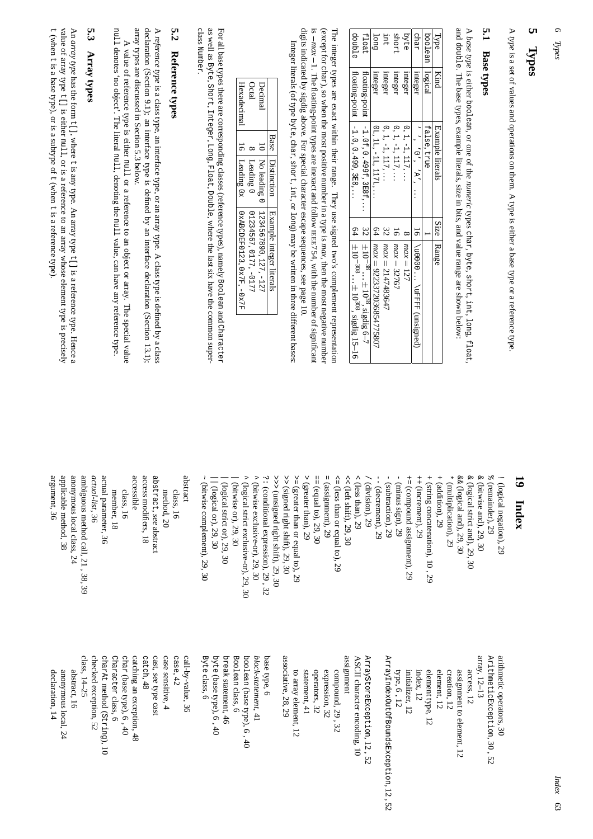### **5 Types**

 $\blacktriangleright$ *type* is a set ቧ values and operations on them.  $\blacktriangleright$ type is either a base type or a reference type.

### **5.1 Base types**

 $\blacktriangleright$ *base type* is either boolean, or one ቧ the *numeric* types char, byte, short, int, long, float, and double. The base types, example literals, size in bits, and value range are shown below:

| double                                               | float                                              | long<br>integer                   | int<br>mteger      | short<br>mteger   | byte<br>mteger    | char<br>mteger                                           | boolean   logical | Type<br>Kind     |
|------------------------------------------------------|----------------------------------------------------|-----------------------------------|--------------------|-------------------|-------------------|----------------------------------------------------------|-------------------|------------------|
|                                                      | floating-point                                     |                                   |                    |                   |                   |                                                          |                   |                  |
| floating-point   -1.0,0.499,3E8                      | │ -1.05,0.499f,3E8E,                               | $0L$ , $1L$ , $-1L$ , $117L$ , $$ | $0, 1, -1, 117, $  | $0, 1, -1, 117, $ | $0, 1, -1, 117, $ | 、 、 、 10、 、 A、                                           | false, true       | Example literals |
|                                                      |                                                    |                                   |                    |                   |                   |                                                          |                   |                  |
| $94$   $+10^{-208}$ , $80^{208}$ , $30^{2018}$ 12-10 | $32$   $\pm 10^{-38}$ . $\pm 10^{38}$ , sigdig 6–7 | 64   $max = 922337203685477580$   | $max = 2147483647$ | $max = 32767$     | $max = 127$       | $16$   $\sqrt{20000}$ $\sqrt{244}$ HH H H $\sqrt{20000}$ |                   | Size Range       |

The integer types are exact within their range. They use signed two's complement representation (except for char), so when the most positive number in a type is *max*, then the most negative number is *max* ... The floating-point types are inexact and follo w IEEE754, with the number ofsignificant digits indicated by sigdig above. For special character escape sequences, see page 10.

Integer literals (of type byte, char, short, int, or long) may be written in three different bases:

| OXABCDEF0123, 0x7F, -0x7F    | Leading 0x   |      |       |
|------------------------------|--------------|------|-------|
| 01234567,0177,-0177          |              |      | Octal |
| 1234567890, 127, -127        | No leading 0 |      | Deci  |
| Example 1<br>nteger literals | Distinction  | Base |       |

class Number as well as Eyte, Short, Integer, Long, FLoat, Double, Where the last six have the common super-<br>class Number. as For well  $\stackrel{\scriptscriptstyle w}{=}$ base as Byte, Short, Integer, Long, Float, Double, where types there are corresponding classes (reference types), the namely last six Boolean have the common and Character

### **5.2 Reference Reference types**

A *reference type* is a class type, an interface type, or an array type. A class type is defined by a class declaration (Section 9.1); an interface type is defined  $\mathbf{\hat{z}}$ an interface declaration (Section 13.1); array types are discussed in Section n<br>S belo w.

 $\blacktriangleright$ value ቧ reference type is either null or a reference to an object or array. The special value null denotes a<br>E object'. The literal null, denoting the null value, can have any reference type.

### **5.3 Array types**

An *array type* has the form t[], where t is any type. An array type  $\Box$ is a reference type. Hence a value ቧ array type  $\Xi$ is either null, or is a reference to an array whose element type is precisely t (when t is a base type), or is a subtype of t (when t is a reference type).

argument,

36

### **19 Index**

abstract applicable anonymous ambiguous *actual-list*actual accessible accessible access abstract $\sim$  (bitwise | | ^ (logical ^ (bitwise > (greater  $\blacksquare$ < (less / (division), - (subtraction), 29<br>-- (decrement), 29 - (minus + (string + (addition), \* && & (logical & (bitwise % ! (logical ?: >>> >> >= ||<br>||  $\hat{\mathsf{h}}$  $\hat{\mathstrut}$  $\frac{+}{11}$  $^+$  $\equiv$ (logical (bitwise (assignment), (subtraction), (multiplication), (remainder), (logical (conditional (signed (greater (equal (less (left (compound (increment), (logical member, class, method, class, (unsigned parameter, modifiers, than), shift), than concatenation), sign), to), .<br>96 , *see* strict strict than), strict negation), 5 5 complement), or), exclusive-or), and), method, right method or), than and), local 20 29 29 or  $\approx$ 29 29, 29, 29, right assignment), 29 abstract 29, or), exclusive-or), equal 29 and), expression), 29 29 29, shift), or 29 29, class, 36  $\approx$ 30 30 30 29 equal  $\approx$ 30 call, 29, 30 shift), ర 29 29, to), 29, 24 30 30 21 , 38, 29, 29, to), 10 , 29 29 29, 30 29 30 30 29 , 32 29 29, 30 39 30

arithmetic operators, 30 ArithmeticException, 30 , 52 array, 12–13 access, 12 assignment to element, 12 creation, 12 element, 12 element type, 12 index, 12 initializer, 12 type, 6 , 12 ArrayIndexOutOfBoundsException, 12 , 52 ArrayStoreException, 12 , 52 ASCII character encoding, 15 assignment compound, 29 , 32 expression,  $\frac{2}{3}$ operators,  $\mathcal{Z}$ statement, statement, 41 to array element, 12 associative, 28, 29 base type, 6 *block-statement*, 41 boolean (base type), 6 , 40 Boolean class, 6 break statement, 46 byte (base type), 6 , 40 Byte class, 6 call-by-value, call-by-value, 36 case, 42 case sensitive, 4 cast, *see* type cast catch, 48 catching an exception, 48 char (base type), 6 , 40 Character class, 6 charAt method (String), 10 checked exception, 52 class, 14–25 abstract, 5 anonymous local, 24 declaration, declaration, 14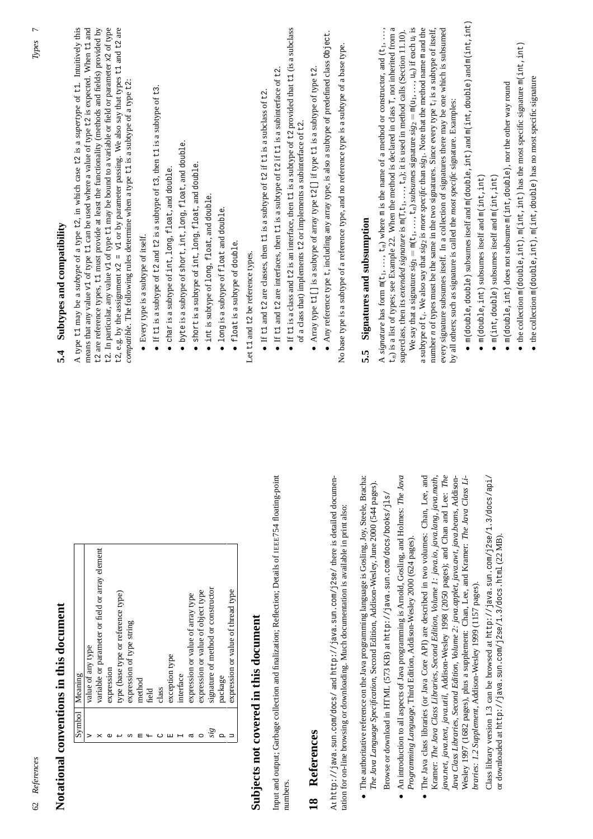|                               | Notational conventions in this document                                                                                                                                                | Subtypes and compatibility<br>5.4                                                                                                                                                                                        |
|-------------------------------|----------------------------------------------------------------------------------------------------------------------------------------------------------------------------------------|--------------------------------------------------------------------------------------------------------------------------------------------------------------------------------------------------------------------------|
| Symbol                        | Meaning                                                                                                                                                                                | A type t1 may be a subtype of a type t2, in which case t2 is a supertype of t1. Intuitively this                                                                                                                         |
| $\,>$                         | value of any type                                                                                                                                                                      | means that any value v1 of type t1 can be used where a value of type t2 is expected. When t1 and                                                                                                                         |
| ×                             | variable or parameter or field or array element                                                                                                                                        | t2 are reference types, t1 must provide at least the functionality (methods and fields) provided by                                                                                                                      |
| $\mathbb U$                   | expression                                                                                                                                                                             | t2. In particular, any value v1 of type t1 may be bound to a variable or field or parameter x2 of type                                                                                                                   |
| $\overline{ }$                | type (base type or reference type)                                                                                                                                                     | t2, e.g. by the assignment $x2 = v1$ or by parameter passing. We also say that types t1 and t2 are                                                                                                                       |
| ω                             | expression of type string                                                                                                                                                              | compatible. The following rules determine when a type t1 is a subtype of a type t2:                                                                                                                                      |
| $\epsilon$                    | method                                                                                                                                                                                 | Every type is a subtype of itself.                                                                                                                                                                                       |
|                               | field                                                                                                                                                                                  | If t1 is a subtype of t2 and t2 is a subtype of t3, then t1 is a subtype of t3                                                                                                                                           |
| H U E H                       | exception type<br>class                                                                                                                                                                | char is a subtype of int, long, float, and double.                                                                                                                                                                       |
|                               | interface                                                                                                                                                                              | byte is a subtype of short, int, long, float, and double.<br>$\bullet$                                                                                                                                                   |
| $\varpi$                      | expression or value of array type                                                                                                                                                      |                                                                                                                                                                                                                          |
| $\circ$                       | expression or value of object type                                                                                                                                                     | short is a subtype of int, long, float, and double.                                                                                                                                                                      |
| $\it sig$                     | signature of method or constructor                                                                                                                                                     | int is subtype of long, float, and double.                                                                                                                                                                               |
| $Q_4$ $\Rightarrow$           | package                                                                                                                                                                                | long is a subtype of float and double.                                                                                                                                                                                   |
|                               | expression or value of thread type                                                                                                                                                     | float is a subtype of double.                                                                                                                                                                                            |
|                               | Subjects not covered in this document                                                                                                                                                  | Let t1 and t2 be reference types.                                                                                                                                                                                        |
|                               |                                                                                                                                                                                        | • If t1 and t2 are classes, then t1 is a subtype of t2 if t1 is a subclass of t2.                                                                                                                                        |
|                               | Input and output; Garbage collection and finalization; Reflection; Details of IEEE754 floating-point                                                                                   | $\bullet$ If t1 and t2 are interfaces, then t1 is a subtype of t2 if t1 is a subinterface of t2.                                                                                                                         |
| numbers                       |                                                                                                                                                                                        | If t1 is a class and t2 is an interface, then t1 is a subtype of t2 provided that t1 (is a subclass<br>of a class that) implements t2 or implements a subinterface of t2.<br>$\bullet$                                   |
| References<br>$\overline{18}$ |                                                                                                                                                                                        | Array type t1[] is a subtype of array type t2[] if type t1 is a subtype of type t2.                                                                                                                                      |
|                               |                                                                                                                                                                                        | Any reference type t, including any array type, is also a subtype of predefined class Object.                                                                                                                            |
|                               | At $http://java.sum.com/docs/ and http://java.sum.com/j2se/ there is detailed document-$<br>tation for on-line browsing or downloading. Much documentation is available in print also: | No base type is a subtype of a reference type, and no reference type is a subtype of a base type.                                                                                                                        |
|                               | The authoritative reference on the Java programming language is Gosling, Joy, Steele, Bracha:                                                                                          | Signatures and subsumption<br>5.5                                                                                                                                                                                        |
|                               | The Java Language Specification, Second Edition, Addison-Wesley, June 2000 (544 pages).                                                                                                |                                                                                                                                                                                                                          |
|                               | Browse or download in HTML (573 KB) at http://java.sun.com/docs/books/jls/                                                                                                             | A <i>signature</i> has form $m(t_1,,t_n)$ where m is the name of a method or constructor, and $(t_1,,t_n)$<br>$t_{n}$ ) is a list of types; see Example 22. When the method is declared in class T, not inherited from a |
| $\bullet$                     | An introduction to all aspects of Java programming is Arnold, Gosling, and Holmes: The Java                                                                                            | superclass, then its extended signature is $m(T, t_1, , t_n)$ ; it is used in method calls (Section 11.10).                                                                                                              |
|                               | Programming Language, Third Edition, Addison-Wesley 2000 (624 pages).                                                                                                                  | We say that a signature $sig_1 = m(t_1, , t_n)$ subsumes signature $sig_2 = m(u_1, , u_n)$ if each $u_i$ is                                                                                                              |
|                               | The Java class libraries (or Java Core API) are described in two volumes: Chan, Lee, and                                                                                               | a subtype of $t_f$ . We also say that $sig_2$ is <i>more specific</i> than $sig_1$ . Note that the method name m and the                                                                                                 |
|                               | Kramer: The Java Class Libraries, Second Edition, Volume 1: java.io, java.lang, java.math,                                                                                             | number <i>n</i> of types must be the same in the two signatures. Since every type $t_i$ is a subtype of itself,                                                                                                          |
|                               | java.net, java.text, java.util, Addison-Wesley 1998 (2050 pages); and Chan and Lee: The<br>Java Class Libraries, Second Edition, Volume 2: java.applet, java.awt, java.beans, Addison- | every signature subsumes itself. In a collection of signatures there may be one which is subsumed<br>by all others; such as signature is called the most specific signature. Examples:                                   |
|                               | Wesley 1997 (1682 pages), plus a supplement: Chan, Lee, and Kramer: The Java Class Li-                                                                                                 | m(double,double) subsumes itself and m(double,int) and m(int,double) and m(int,int)<br>$\bullet$                                                                                                                         |
|                               | braries: 1.2 Supplement, Addison-Wesley 1999 (1157 pages).                                                                                                                             | m(double, int) subsumes itself and m(int, int)<br>$\bullet$                                                                                                                                                              |
|                               | Class library version 1.3 can be browsed at $http://java.sum.com/j2se/1.3/docs/appi/$                                                                                                  | m(int,double) subsumes itself and m(int,int)<br>$\bullet$                                                                                                                                                                |
|                               | or downloaded at http://java.sun.com/j2se/1.3/docs.html (22 MB).                                                                                                                       | m(double, int) does not subsume m(int, double), nor the other way round<br>$\bullet$                                                                                                                                     |
|                               |                                                                                                                                                                                        | the collection m(double, int), m(int, int) has the most specific signature m(int, int)                                                                                                                                   |
|                               |                                                                                                                                                                                        | $\bullet$ the collection $m(double, int)$ , $m(iint, double)$ has no most specific signature                                                                                                                             |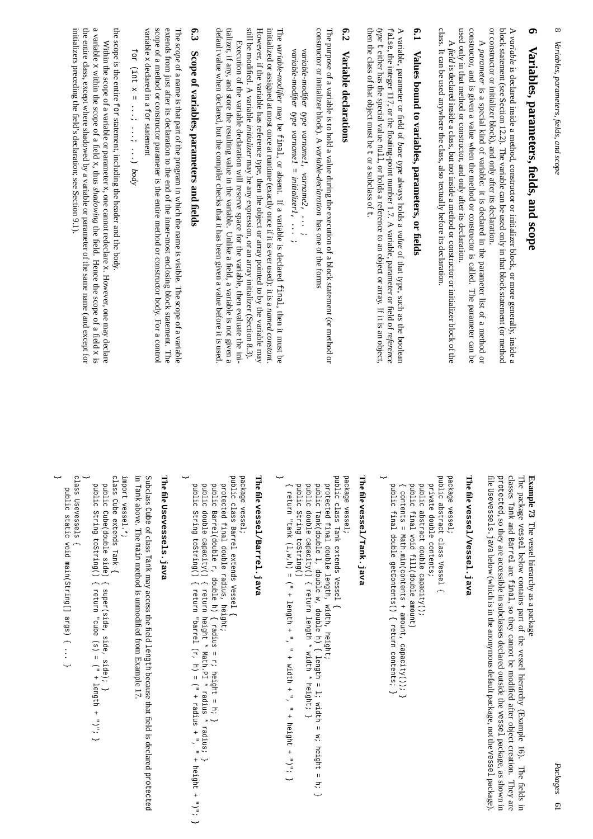### **6 Variables, parameters, fields, and scope**

A *variable* is declared inside a method, constructor or initializer block, or more generally, inside a block statement (see Section 12.2). The variable can  $\Xi$ used only in  $\thinspace \thinspace \thinspace$  that block statement (or method or constructor or initializer block), and only after its declaration.

A *parameter* is a special kind ቧ variable: it is declared in the parameter list of a method or constructor, and is given a value when the method or constructor is called. The parameter can  $\Xi$ used only in  $\thinspace \text{that}$ method or constructor, and only after its declaration.

A *field* is declared inside a class, but not inside a method or constructor or initializer block ቧ the class. It can be used anywhere the class, also textually before its declaration.

### **6.1 Values bound to variables, parameters, or fields**

A variable, parameter or field ቧ<br>ት *base type* al ways holds a *value* ቧ that type, such as the boolean false, the integer 117. or the floating-point number 1.7. A variable, parameter or field ቧ<br>ት *reference type* t either has the special value null, or holds a reference  $\Xi$ an object or array. If it is an object, then the class ቧ that object must be t or a subclass of t.

### **6.2** Variable declarations **Variable declarations**

The purpose of a variable is to hold a value during the execution of a block statement (or method or constructor or initializer block).  $\blacktriangleright$ *variable-declaration*  $\ln$ one ቧ the forms

```
variable-modifier type varname1, varname2, ... ;
variable-modifier type varname1 \blacksquareinitializer1, ... ;
```
The *variable-modifier* may be final, or absent. If a variable is declared final, then it must be initialized or assigned at most once at runtime (exactly once if it is ever used): it is a *named constant*. However, if the variable  $\ln$ reference type, then the object or array pointed  $\Xi$ by the variable may still  $\Xi$ modified. A variable *initializer* may be any expression, or an array initializer (Section 8.3). Execution ቧ the variable declaration will reserve for the variable, then evaluate the ini-

space tializer, if any, and store the resulting value in. the variable. Unlike a field, a variable is not given a default value when declared, but  $\Xi$ compiler checks that it has been given a value before it is used.

### **6.3 Scope of variables, parameters and fields**

The *scope* of a name is that part ቧ the program in which the name is visible. The scope of a variable extends from just after its declaration to the end ቧ the inner-most enclosing block statement. The scope of a method or constructor parameter is the entire method or constructor body. For a control variable x declared in a for statement

```
for (int x \blacksquare...; ...; ...) body
```
the scope is the entire for statement, including the header and the body.

Within the scope of a variable or parameter x, one cannot redeclare x. However, one may declare a variable x within the scope of a field x, thus *shadowing* the field. Hence the scope of a field x is the entire class, except where shadowed by a variable or parameter ቧ the same name (and except for initializers preceding the field's declaration; see Section 9.1).

The package vessel belo w contains part ቧ the vessel hierarchy (Example 16). The fields in classes Tank and Barrel are final, so they cannot be modified after object creation. They are protected, so they are accessible in. subclasses declared outside the vessel package, as shown in file Usevessels.java belo w (which is in the anonymous default package, not the vessel package).

### **The file vessel/Vessel.java**

```
package vessel;
                                                                                               vessel;
                                                                                public abstract class Vessel {
                                                                   private double contents;
                                                     public abstract double capacity();
                                        public final void fill(double amount)
                          ~
                            contents \blacksquareMath.min(contents + amount, capacity()); ~
              public final double getContents() ~
               return contents; ~
~
```
### **The file vessel/Tank.java**

```
package vessel;
                                                                                                                   vessel;
                                                                                                      public class Tank extends Vessel {
                                                                                         protected final double length, width, height;
                                                                             public Tank(double l, double w, double h) ~
                                                                             length = l; width = w; height = h; ~
                                                                 public double capacity() ~
                                                                  return length * width * height; ~
                                                    public String toString()
                                         return "tank (l,w,h) \blacksquareี ว
                                          + length + ", " + width + ", " + height + .<br>:
                                       ~
 file vessel/Barrel.java
```
# **The**

~

~

```
package vessel;
                                                                                                vessel;
                                                                                   public class Barrel extends Vessel {
                                                                        protected final double radius, height;
                                                            public Barrel(double r, double h) ~
                                                             radius = r; height = h; سب
                                                 public double capacity() ~
                                                  return height * Math.PI * radius * radius; ~
                                     public String toString() ~
                                       return "barrel (r, h) \blacksquareิ์
                                       + radius + ", " + height + .<br>:
                                     ~
Usevessels.java
```
## **The file**

~

Subclass Cube ቧ class Tank may access the field length because  $\thinspace \text{that}$ field is declared protected in Tank above. The main method is unmodified from Example 17.

```
import vessel.*;
                                                                       vessel.*;
                                                            class Cube extends Tank {
                                               public Cube(double side) ~
                                               super(side, side, side); ~
                                   public String toString() ~
                                    return "cube \widetilde{\mathfrak{s}}\blacksquare(" + length + .<br>:
                                  ~
             class
             Usevessels ~
public static void main(String[] args) ~
 ... ~
```
~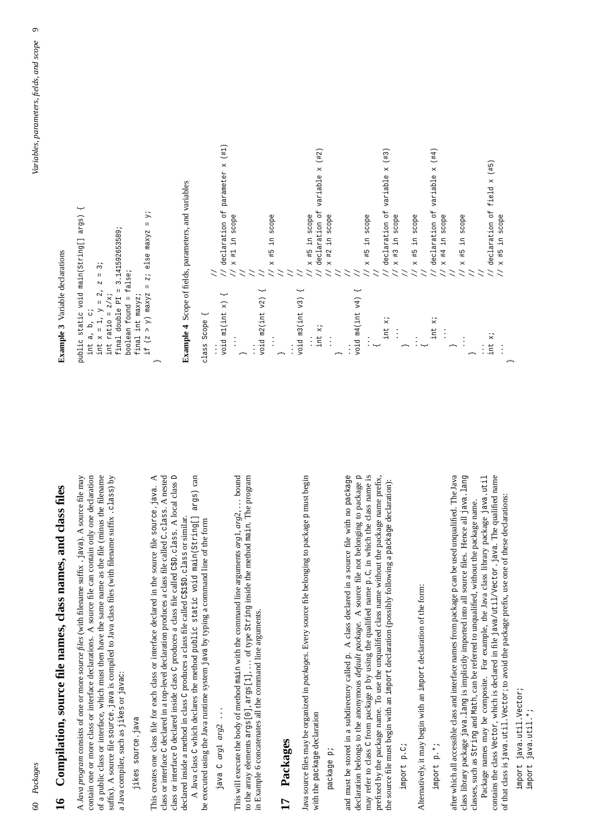# 16 Compilation, source file names, class names, and class files **16 Compilation, source file names, class names, and class files**

of a public class or interface, which must then have the same name as the file (minus the filename A Java program consists of one or more source files (with filename suffix . java). A source file may contain one or more class or interface declarations. A source file can contain only one declaration *Java program* consists of one or more *source files* (with filename suffix .java). A source file may source file can contain only one declaration of a public class or interface, which must then have the same name as the file (minus the filename source file source.java is compiled to Java class files (with filename suffix .class) by contain one or more class or interface declarations. a Java compiler, such as jikes or javac: Java compiler, such as jikes or javac: Asuffix).

jikes source.java jikes source.java

class or interface D declared inside class C produces a class file called C\$D, class. A local class D This creates one class file for each class or interface declared in the source file source. java. A class or interface c declared in a top-level declaration produces a class file called c .class. A nested This creates one class file for each class or interface declared in the source file source.java. A class or interface C declared in a top-level declaration produces a class file called C.class. A nested class or interface D declared inside class C produces a class file called C\$D.class. A local class D declared inside a method in class C produces a class file called C\$1\$D. class or similar. declared inside a method in class C produces a class file called C\$1\$D.class or similar.

A Java class C which declares the method public static void main (String[] args) can Java class C which declares the method public static void main(String[] args) can be executed using the Java runtime system java by typing a command line of the form be executed using the Java runtime system java by typing a command line of the form

java C *arg*1 *arg*2 ... java C argl arg2 ..

This will execute the body of method main with the command line arguments  $arg1, arg2, ...$  bound to the array elements args [0], args [1], ... of type String inside the method main. The program This will execute the body of method main with the command line arguments *arg*1, *arg*2, . . . bound to the array elements args[0], args[1], . . . of type String inside the method main. The program in Example 6 concatenates all the command line arguments. in Example 6 concatenates all the command line arguments.

### **17 Packages**

Java source files may be organized in packages. Every source file belonging to package p must begin Java source files may be organized in *packages*. Every source file belonging to package p must begin with the package declaration with the package declaration

package p;

declaration belongs to the anonymous *default package*. A source file not belonging to package  $p$ may refer to class C from package p by using the qualified name  $p.C$ , in which the class name is and must be stored in a subdirectory called  $p$ . A class declared in a source file with no package prefixed by the package name. To use the unqualified class name without the package name prefix, and must be stored in a subdirectory called p. A class declared in a source file with no package declaration belongs to the anonymous *default package*. A source file not belonging to package p may refer to class C from package p by using the qualified name p.C, in which the class name is To use the unqualified class name without the package name prefix, the source file must begin with an import declaration (possibly following a package declaration): the source file must begin with an import declaration (possibly following a package declaration): prefixed by the package name.

import p.C;

Alternatively, it may begin with an import declaration of the form: Alternatively, it may begin with an import declaration of the form:

import p.\*;

after which all accessible class and interface names from package p can be used unqualified. The Java contains the class Vector, which is declared in file java/util/Vector.java. The qualified name class library package java. lang is implicitly imported into all source files. Hence all java. lang Package names may be composite. For example, the Java class library package java util after which all accessible class and interface names from package p can be used unqualified. The Java class library package java.lang is implicitly imported into all source files. Hence all java.lang For example, the Java class library package java.util contains the class Vector, which is declared in file java/util/Vector.java. The qualified name classes, such as String and Math, can be referred to unqualified, without the package name. classes, such as String and Math, can be referred to unqualified, without the package name. Package names may be composite.

of that class is java. ut il. Vector; to avoid the package prefix, use one of these declarations:

of that class is java.util.Vector; to avoid the package prefix, use one of these declarations: import java.util.Vector; import java.util.Vector; import java.util.\*; import java.util.\*;

## Example 3 Variable declarations **Example 3** Variable declarations

public static void main (String[] args) { public static void main(String[] args) { if  $(z > y)$  maxyz = z; else maxyz = y; if (z >  $y$ ) max $yz = z$ ; else max $yz = y$ ; final double PI = 3.141592653589; final double PI = 3.141592653589; int  $x = 1$ ,  $y = 2$ ,  $z = 3$ ; int  $x = 1$ ,  $y = 2$ ,  $z = 3$ ; boolean found = false; boolean found = false; int ratio =  $z/x$ ; final int maxyz; int ratio =  $z/x$ ; final int maxyz; int  $a$ ,  $b$ ,  $c$ ; int a, b, c;

# Example 4 Scope of fields, parameters, and variables **Example 4** Scope of fields, parameters, and variables

// declaration of parameter x (#1) void m1(int x) { // declaration of parameter x (#1) // declaration of variable x (#2) // declaration of variable x (#3) // declaration of variable x (#4) int x; // declaration of variable x (#2) int x; // declaration of variable x (#3) int x; // declaration of variable x (#4) // declaration of field x (#5) int x;  $\frac{1}{1}$  // declaration of field x (#5)  $1/ x$  #1 in scope  $1/ x$  #2 in scope  $\cdots$   $\cdots$   $\cdots$  $1/ x$  #5 in scope  $\cdots$   $\cdots$   $\cdots$   $\cdots$  $1/ x$  #5 in scope  $\cdots$   $\cdots$   $\cdots$   $\cdots$  $\cdots$  //  $x$  #2 in scope  $1/ x$  #5 in scope  $\cdots$   $\cdots$   $\cdots$   $\cdots$  $1/ x$  #3 in scope  $\cdots$  //  $x$  #3 in scope  $1 / x$  #5 in scope  $\cdots$   $\cdots$   $\cdots$   $\cdots$  $1/ x$  #4 in scope  $\frac{1}{2}$ ...  $\frac{1}{2}$  in scope  $1 / x$  #5 in scope  $\cdots$   $\cdots$   $\cdots$   $\cdots$  $1/ x$  #5 in scope  $\cdot \cdot \cdot$  //  $\times$  #5 in scope  $\overline{z}$  $\geq$  $\geq$  $\geq$  $\geq$  $\geq$  $\overline{z}$  $\geq$ ... // // ... // void  $m2$ (int v2) { // // ... // void m3(int v3) { // // ... // void m4(int v4) { // // // // // // ... // void m2(int v2) { void m4(int v4) { void m3(int v3) { void  $ml(int x)$  { class Scope { class Scope { int xi int x; int x;  $\ddot{\cdot}$  $\frac{1}{2}$  $\ddot{\cdot}$  $int x$  $\vdots$  $\ddot{\cdot}$  $\vdots$  $\vdots$  $\vdots$  $\vdots$  $\vdots$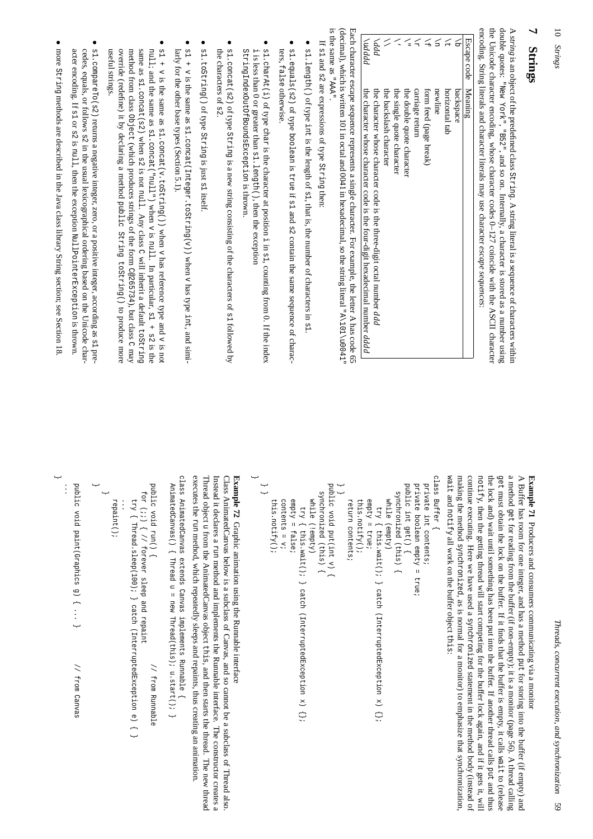### **7 Strings**

A *string* is an object ቧ<br>ት the predefined class String. A string literal is a sequence ቧ characters within double quotes: "New York", "B52", and so on. Internally, a character is stored as a number using the Unicode character encoding, whose character codes 0–127 coincide with the ASCII character encoding. String literals and character literals may use character *escape sequences*

| Escape code Meaning |                                                                              |
|---------------------|------------------------------------------------------------------------------|
|                     | backspace                                                                    |
|                     | horizontal tab                                                               |
|                     | newline                                                                      |
|                     | form feed (page break)                                                       |
|                     | carriage return                                                              |
|                     | the double quote character                                                   |
|                     | the single quote character                                                   |
|                     | the backslash character                                                      |
| $ppp\gamma$         | the character whose character code is the three-digit octal number ddd       |
| $pppp\wedge$        | the character whose character code is the four-digit hexadecimal number dadd |

Each character escape sequence represents a single character. For example, the letter A  $\ln$ code 65 (decimal), which is written 101 in octal and 0041 in hexadecimal, so the string literal "A\101\u0041" is the same as "AAA".

 $\equiv$  $^{51}$ and s<br>⊠ are expressions ቧ<br>ት type String

- If s1 and s2 are expressions of type String then:<br>• s1 .1enath() of type int is the length of s1. t s1.length() ቧ type int is the length ቧ s1, that is, the number ቧ characters in  $\overline{\mathbb{P}}$
- e stresseur) or type me we engine as the member of the member of the state sequence or engine set of the books<br>- extended in the books of the books of the fit stand s2 contain the same sequence or s1.equals(s2) ቧ type boolean is true  $\Xi$ rs<br>L and s<br>⊠ contain the same sequence ቧ characters, false
- ters, false otherwise.<br>● s1.charAt(i) of typ s1.charAt(i) ቧ type char is the character at position i in s1, counting from 0. If the index i is less than 0 or greater than s1.length(), then the exception StringIndexOutOfBoundsException StringIndexOutOfBoundsException is thrown.
- StringIndexOutOfBoundsException is thrown.<br>• s1.concat(s2) of type String is a new string cc s1.concat(s2) ቧ type String is a ne w string consisting ቧ the characters ቧ  $\Xi$ followed  $\mathbf{\hat{z}}$ the characters ቧ s<br>≌
- uncumancususa<br>● Sl.toString() of: s1.toString() type String is just rs<br>L • s1.toString() of type String is just s1 itself.<br>• s1 + vis the same as s1.concat(Integer.tc
- rs<br>L + v is the same as s1.concat(Integer.toString(v)) when v has type int, and similarly for the other base types (Section larly for the other base types (Section 5.1).<br>  $\bullet$  51 + v is the same as  $\pm 1$ , concat (v. t.o.s)
- rs<br>L + v is the same as s1.concat(v.toString()) when v has reference type and v is not null; and the same as s1.concat("null") when v is null. In particular,  $\Xi$ + ¤<br>¤ is the same as s1.concat(s2) when s<br>⊠ is not null. Any class C will inherit a default toString method from class Object (which produces strings ቧ<br>ት the form C@265734), but class C may override (redefine) it by declaring a method public String toString() to produce more useful useful strings.<br>● s1.compareT
- cedes, equals, or follows a2 in the usual lexicographical ordering based on the Unicode char-<br>acter encoding. If s1 or s2 is null, then the exception NullPointerException is thrown.<br>**exception** is thrown. actering the ex acter encoding. If s1 or s2 is mull, then the exception NullPointerException is thrown. cedes, s1.compareTo(s2) equals, or follows returns a negative s<br>S in the usual integer, lexicographical zero, or a positive ordering integer, based on according the Unicode as rs<br>L pre-
- more String methods are described in the Java class library String section; see Section 18.

**Example 71** Producers and consumers communicating via a monitor

A

Buffer has room for one integer, and has a method put for storing into<br>S the buffer (if empty) and a method get for reading from the buffer (if non-empty); it is a monitor (page 56). A thread calling get  $\mathop{\rm max}\limits$ obtain the lock on the buffer. If it finds  $\thinspace \text{that}$ the buffer is empty, it calls wait  $\Xi$ (release the lock and) wait  $\bar{\text{H}}$ something has been put into the buffer.  $\equiv$ another thread calls put and thus notify, then the getting thread will start competing for the buffer lock again, and if it gets it, will continue executing. Here we have used a synchronized statement in the method body (instead ቧ making the method synchronized, as is normal for a monitor) ಕ emphasize  $\tan$ synchronization,

```
class wait ~
                                                                                      public —
                                                                                                                                                                                        public private private ~
                                                                          synchronized —
                                                                                                                                                                           synchronized and this.notify();
                                                                                                            return contents;
                                                                                                                        this.notify();
            this.notify();
                          contents empty = while return
                                                                                                                          this.notify();
                                                                                                                                       empty = while Buffer {
                                                try { try { notify void int.<br>I
                                                                                                                                                                                                     boolean int (!empty)
                                                                                                                                                               (empty)
                                                                                                                contents;
                                                                                                                                                                                        get() this.wait(); put(int true;
                                                                                                                                                   this.wait(); contents;
                                      false;
                          י<br>⊆.
                                                                                                                                                                                                                                               \stackrel{\scriptscriptstyle \omega}{=}(this) (this) empty = work ~
                                                                                      v) on ~
                                                                                                                                                                           ~
                                                                                     ~
                                                                                                                                                                                                     true;
                                                                                                                                                                                                                                               the ~
                                                                                                                                                  } catch catch buffer object (InterruptedException (InterruptedException this:
                                                  x) x) {};
                                                                                                                                                  {};
```
**Example 72** Graphic animation using the Runnable interface ~

Class AnimatedCanvas belo w is a subclass ቧ<br>ት Canvas, and so cannot be a subclass ቧ Thread also. Instead it declares a run method and implements the Runnable interface. The constructor creates a Thread object u from the AnimatedCanvas object this, and then starts the thread. The ne w thread executes the run method, which repeatedly sleeps and repaints, thus creating an animation.

class AnimatedCanvas extends Canvas implements Runnable ~ AnimatedCanvas() ~ Thread u = new Thread(this); u.start(); ~

```
...
            public
                                 ~
                                                                                                public ~
                                                                                       for repaint();
                                                      repaint();
                                                                          try { ...
                                                                                      (;;) void void Thread.sleep(100); ~
            paint(Graphics run() // forever ~
                                                                                     sleep g) —
            ~
                                                                                       and catch ... repaint
            ~
                                                                           (InterruptedException // // from from Canvas
                                                                                                 Runnable
                                                                           e) {\overset{\rightharpoonup }{}}
```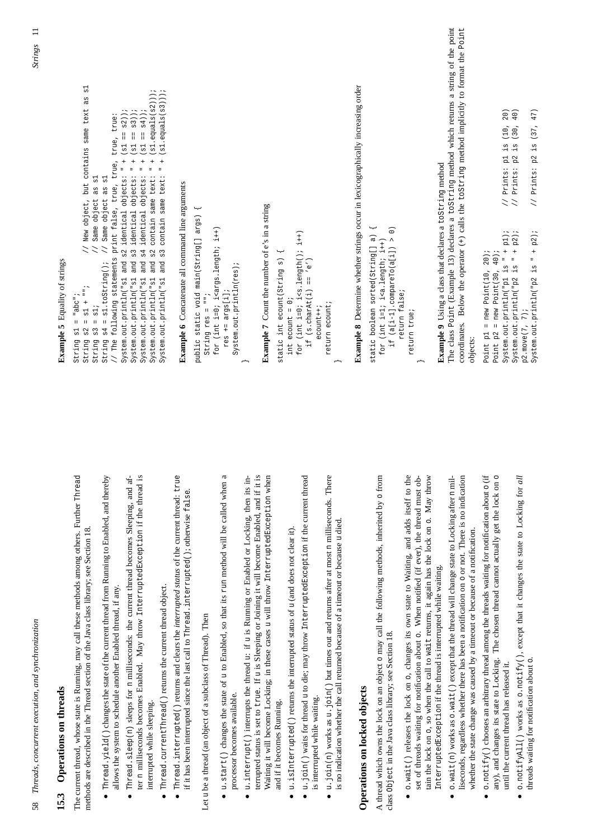## 15.3 Operations on threads **15.3 Operations on threads**

The current thread, whose state is Running, may call these methods among others. Further Thread The current thread, whose state is Running, may call these methods among others. Further Thread methods are described in the Thread section of the Java class library; see Section 18. methods are described in the Thread section of the Java class library; see Section 18.

- $\bullet$  Thread .  $y$  ield ( ) changes the state of the current thread from Running to Enabled, and thereby Thread.yield() changesthe state of the current thread from Running to Enabled, and thereby allows the system to schedule another Enabled thread, if any. allows the system to schedule another Enabled thread, if any.
- · Thread.sleep(n) sleeps for n milliseconds: the current thread becomes Sleeping, and after n milliseconds becomes Enabled. May throw InterruptedException if the thread is Thread.sleep(n) sleeps for n milliseconds: the current thread becomes Sleeping, and after n milliseconds becomes Enabled. May throw InterruptedException if the thread is interrupted while sleeping. interrupted while sleeping.
- $\bullet$  Thread.currentThread() returns the current thread object. Thread.currentThread() returns the current thread object.
- $\bullet$  Thread interrupted () returns and clears the *interrupted status* of the current thread: true Thread.interrupted() returns and clears the *interrupted status* of the current thread: true if it has been interrupted since the last call to Thread . interrupted (); otherwise false. if it has been interrupted since the last call to Thread.interrupted(); otherwise false.

Let u be a thread (an object of a subclass of Thread). Then Let u be a thread (an object of a subclass of Thread). Then

- $\bullet$  u. start() changes the state of u to Enabled, so that its run method will be called when a u.start() changes the state of u to Enabled, so that its run method will be called when a processor becomes available. processor becomes available.
- terrupted status is set to true. If u is Sleeping or Joining it will become Enabled, and if it is Waiting it will become Locking; in these cases u will throw InterruptedException when • u. interrupt() interrupts the thread u: if u is Running or Enabled or Locking, then its inu.interrupt() interrupts the thread u: if u is Running or Enabled or Locking, then its interrupted status is set to true. If u is Sleeping or Joining it will become Enabled, and if it is Waiting it will become Locking; in these cases u will throw InterruptedException when and if it becomes Running. and if it becomes Running.
- $\bullet$  u.is Interrupted() returns the interrupted status of u (and does not clear it). u.isInterrupted() returns the interrupted status of u (and does not clear it).
- . u. join () waits for thread u to die; may throw InterruptedException if the current thread u.join() waits for thread u to die; may throw InterruptedException if the current thread is interrupted while waiting. is interrupted while waiting.
- $\bullet$  u, join(n) works as u, join() but times out and returns after at most n milliseconds. There u.join(n) works as u.join() but times out and returns after at most n milliseconds. There is no indication whether the call returned because of a timeout or because u died. is no indication whether the call returned because of a timeout or because u died.

## Operations on locked objects **Operations on locked objects**

A thread which owns the lock on an object o may call the following methods, inherited by o from thread which owns the lock on an object o may call the following methods, inherited by o from class Object in the Java class library; see Section 18. class Object in the Java class library; see Section 18.

- o. wait () releases the lock on o, changes its own state to Waiting, and adds itself to the set of threads waiting for notification about o. When notified (if ever), the thread must obtain the lock on o, so when the call to wait returns, it again has the lock on o. May throw o.wait() releases the lock on o, changes its own state to Waiting, and adds itself to the set of threads waiting for notification about o. When notified (if ever), the thread must obtain the lock on o, so when the call to wait returns, it again has the lock on o. May throw InterruptedException if the thread is interrupted while waiting. InterruptedException if the thread is interrupted while waiting.
- $\circ$ . wait (n) works as  $\circ$ . wait () except that the thread will change state to Locking after n milliseconds, regardless whether there has been a notification on o or not. There is no indication o.wait(n) works as o.wait() except that the thread will change state to Locking after n milliseconds, regardless whether there has been a notification on o or not. There is no indication whether the state change was caused by a timeout or because of a notification. whether the state change was caused by a timeout or because of a notification.
- o.notify() chooses an arbitrary thread among the threads waiting for notification about o (if any), and changes its state to Locking. The chosen thread cannot actually get the lock on o o.notify() chooses an arbitrary thread among the threads waiting for notification about  $o$  (if any), and changes its state to Locking. The chosen thread cannot actually get the lock on o until the current thread has released it. until the current thread has released it.
- $\bullet$  0. notify  $\frac{1}{2}$  () works as 0. notify(), except that it changes the state to Locking for all o.notifyAll() works as o.notify(), except that it changes the state to Locking for *all* threads waiting for notification about o. threads waiting for notification about o.

## Example 5 Equality of strings **Example 5** Equality of strings

 $\overline{5}$ String s2 = s1 + ""; // New object, but contains same text as s1 System.out.println("sl and s3 contain same text: " + (sl.equals(s3))); System.out.println("sl and s2 contain same text: " + (sl.equals(s2))); System.out.println("s1 and s2 contain same text: " + (s1.equals(s2))); System.out.println("s1 and s3 contain same text: " + (s1.equals(s3))); // New object, but contains same text as System.out.println("sl and s3 identical objects: " + (sl == s3)); System.out.println("sl and s2 identical objects: " + (sl == s2)); System.out.println("sl and s4 identical objects: " + (sl == s4)); System.out.println("s1 and s2 identical objects: " + (s1 == s2)); System.out.println("s1 and s3 identical objects: " + (s1 == s3)); System.out.println("s1 and s4 identical objects: " + (s1 == s4)); true, true: // The following statements print false, true, true, true, true: // The following statements print false, true, true, // Same object as sl String  $s4 = s1.toString()$ ; // Same object as  $s1$ String s3 = s1; // Same object as s1 String s4 = s1.toString(); // Same object as s1 String  $s2 = s1 + \cdots$ ;  $String s1 = "abc";$ String s1 = "abc"; String  $s3 = s1$ ;

# Example 6 Concatenate all command line arguments **Example 6** Concatenate all command line arguments

public static void main (String[] args) { public static void main(String[] args) { for (int i=0; i<args.length; i++) for (int i=0; i<args.length; i++) System.out.println(res); System.out.println(res);  $res += args[i];$ res += args[i]; String res =  $""$ String res = "";

## **Example 7** Count the number of  $e^s$ s in a string **Example 7** Count the number of e's in a string

for  $(int i=0; i< s.l$ ength $(i, i++)$ for (int i=0; i<s.length(); i++) static int ecount (String s) { static int ecount(String s) { if  $(s.\text{character}(\text{i}) == 'e')$ if (s.charAt(i) == 'e')  $int$  ecount =  $0$ ; int ecount = 0; ecount++;<br>return ecount; return ecount; Example 8 Determine whether strings occur in lexicographically increasing order **Example 8** Determine whether strings occur in lexicographically increasing order

```
static boolean sorted(String[] a) {
                                                         if (a[i-1] . compareTo(a[i]) > 0)static boolean sorted(String[] a) {
                                                              if (a[i-1].compareTo(a[i]) > 0)
                            for (int i=1; i<a.length; i++)
                                  for (int i=1; i<a.length; i++)
                                                                                      return false;
                                                                                           return false;
                                                                                                                   return true;
                                                                                                                         return true;
```
# Example 9 Using a class that declares a toString method **Example 9** Using a class that declares a toString method

The class Point (Example 13) declares a toString method which returns a string of the point coordinates. Below the operator (+) calls the toString method implicitly to format the Point The class Point (Example 13) declares a toString method which returns a string of the point coordinates. Below the operator (+) calls the toString method implicitly to format the Point objects:

```
20)<br>40)
                                                                                                                                                          47)
                                                                    System.out.println("p1 is " + p1); // Prints: p1 is (10, 20)
                                                                                                   System.out.println("p2 is " + p2); // Prints: p2 is (30, 40)
                                                                                                                                                               System.out.println("p2 is " + p2); // Prints: p2 is (37, 47)\frac{1}{1} Prints: pl is (10, 10)// Prints: p2 is (37),
                                                             System.out.println("pl is " + pl);<br>System.out.println("p2 is " + p2);
                                                                                                                                                          System.out.println("p2 is " + p2);
Point p1 = new Point(10, 20);
                            Point p2 = new Point(30, 40);
        Point p1 = new Point(10, 20);
                                      Point p2 = new Point(30, 40);
                                                                                                                           p2.move(7, 7);
                                                                                                                                  p2.move(7, 7);
```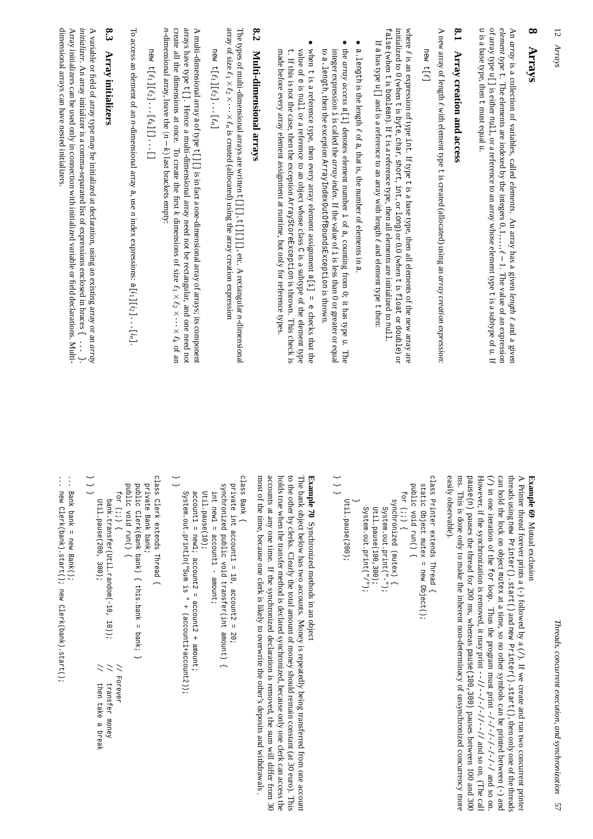### **8 Arrays**

An *array* is a collection ቧ variables, called *elements*. An array has a given *length*  $\ell$  and a given *element type* t. The elements are indexed হ the integers 0 1 1. The value ቧ<br>ት an expression ቧ array type  $\Xi$ is either null, or a reference to an array whose element type t is a subtype of u. If u is a base type, then t must equal u.

### **8.1 Array creation and access**

ne w array ቧ<br>ት length  $\ell$  with element type t is created (allocated) using an *array creation expression*: 

new t<br>[*i*  A

where  $\ell$  is an expression ቧ type int. If type t is a base type, then  $\stackrel{\scriptscriptstyle \omega}{=}$ elements ቧ the ne w array are initialized to 0 (when t is byte, char, short, int, or long) or  $_{\rm o}^{\circ}$ (when t is float or double) or false (when t is boolean). If  $t$  is a reference type, then  $\stackrel{w}{=}$ elements are initialized to nu<br>T If a has type  $\Xi$ and is a reference to an array with length  $\ell$  and element type t

- If a has type u[] and is a reference to an array with length  $\ell$  and element type t them  $\epsilon = \epsilon = 1$ . In the length  $\ell$  of a that is, the number of elements in a a.length is the length  $\ell$  of a, that is, the number ቧ elements in a
- $\bullet$  at tension one rought  $\circ$  or a, unat is, no numbor of eccurrino in a  $\bullet$  (the array access a  $[1]$  denotes element number  $i$  of a counting the *array access* a[i] denotes element number i of a, counting from 0; it has type u. The integer expression i is called the *array index*. If the value of i is less than 0 or greater or equal  $\Xi$ a.length, then the exception ArrayIndexOutOfBoundsException is to a.length, then the exception ArrayIndexOutOfBoundsException is thrown.<br>
• when t is a reference type. then every array element assignment  $a[1] = e$  che
- when t is a reference type, then every array element assignment a<br>E  $\blacksquare$ e checks  $\tan$ the value of e is null or a reference  $\Xi$ an object whose class C is a subtype ቧ the element type t. If this is not the case, then the exception ArrayStoreException is thrown. This check is made before every array element assignment at runtime, but only for reference types.

### **8.2 Multi-dimensional arrays**

The types ቧ<br>ት multi-dimensional arrays are written t[][], t[][][], etc. A rectangular *n*-dimensional array ቧ size before<br> **i-dim**<br>  $\lim_{\epsilon\to 0}$ <br>  $\frac{d}{\epsilon_1}\times\frac{d}{\epsilon_2}$ . .  $\sum_{x=1}^{\infty}$  and  $\sum_{x=1}^{\infty}$ *n* is created (allocated) using the array creation expression 

### new t[ $\ell_1$ ]] 2]...[*n*]

A multi-dimensional array a of type t[][] is in fact a one-dimensional array ቧ arrays; its component arrays have type t[]. Hence a multi-dimensional array need not be rectangular, and one need not create  $\stackrel{w}{=}$ the dimensions  $\overline{\varepsilon}$ once. To create the first *k* dimensions ቧ size  ${\rm express} \atop \hspace{1.5cm} \substack{1 \text{array} \ \substack{1 \text{array} \ \substack{1 \text{array} \ \substack{1 \text{array} \ \substack{1 \text{array} \ \substack{1 \text{array} \ \substack{1 \text{array} \ \substack{1 \text{array} \ \substack{1 \text{array} \ \substack{1 \text{array} \ \substack{1 \text{array} \ \substack{1 \text{array} \ \substack{1 \text{array} \ \substack{1 \text{array} \ \substack{1 \text{array} \ \substack{1 \text{array} \ \substack{1 \text{array} \ \substack{1 \text{array} \ \substack{1 \$  $\frac{1}{x}$ *k* of an -dimensional array, leave the  $(n)$ *k*last brackets empty: . **.** . <del>.</del>  $\sim$   $\equiv$   $\sim$   $\sim$ 

new t[ $\ell_1$ ]] 2]...[*k*][]...[]

To access an element ቧ an *n*-dimensional array a, use *n* index expressions: a[*i*1][*i*2]...[*in*].

### **8.3 Array initializers**

A variable or field ቧ array type may be initialized  $\overline{a}$ declaration, using an existing array or an *array initializer*.<br>⊾ array initializer is a comma-separated list ቧ expressions enclosed in braces { ... }. Array initializers can be used only in connection with initialized variable or field declarations. Multidimensional arrays can have nested initializers.

### **Example 69** Mutual exclusion

A Printer thread forever prints a (-) followed by a (/).  $\equiv$ we create and run two concurrent printer threads using new Printer().start() and new Printer().start(), then only one ቧ the threads can hold the lock on object mutex at a time, so no other symbols can be printed between (-) and  $\stackrel{\text{\tiny (1)}}{=}$ one iteration ቧ<br>ት the for loop. Thus the program  $\mathop{\rm max}\limits$ print -/-/-/-/-/-/-/ and so on. However, if the synchronization is removed, it may print --//--/-/-//--// and so on. (The call pause(n) pauses the thread for 200 ms, whereas pause(100,300) pauses between 100 and 300 ms. This is done only  $\overline{\rm s}$ make the inherent non-determinacy ቧ<br>ት unsynchronized concurrency more easily observable). observable).

```
class public static for Util.pause(200);
    Util.pause(200);
                   ~
                                                                                 synchronized Printer System.out.print("/");
                                             Util.pause(100,300);
                                                              System.out.print("-");
                                                  Util.pause(100,300);
                                   System.out.print("/");
                                                                 System.out.print("-");
                                                                                                 (;;) void Object ~
                                                                                                                run() extends mutex = (mutex) ~
                                                                                                                                             Thread {
                                                                                                                                new ~
                                                                                                                               Object();
```
### **Example 70** Synchronized methods in. an object

}}<br>}}<br>}}

The bank object belo w  $\ln$ two accounts. Money is repeatedly being transferred from one account to the other হ clerks. Clearly the total amount ቧ money should remain constant (at 30 euro). This holds true when the transfer method is declared synchronized, because only one clerk can access the accounts  $\overline{e}$ any one time.  $\equiv$ the synchronized declaration is removed, the sum will differ from 30 most ቧ<br>ት the time, because one clerk is likely  $\overline{\rm s}$ overwrite the other's deposits and withdra wals .

```
class ~
                                                                                                                                                                  class public private ~
                                                                                                                                                  private synchronized Util.pause(10);
                                                                         System.out.println("Sum account1
                                                                                                      Util.pause(10);
                                                                                                                      int Clerk Bank {
                                                                                                                       new1 = Clerk(Bank Bank int extends \blacksquareaccount1 bank;
                                                                                         new1; public account1 bank) Thread {
                                                                                         account2 void \blacksquare- 10, ~
                                                                                                                      amount;
                                                                                                                                    transfer(int this.bank is " + account2 \blacksquareaccount2 (account1+account2));
    \blacksquare\blacksquarebank; amount) 20;
                                                                                          + amount;
~
                                                                                                                                   ~
```

```
public void run() ~
                                                 for (;;) ~
                                            // Eorever
                                                 Forever
                                bank.transfer(Util.random(-10, bank.transfer(Util.random(-10, 10));
                 // // transfer transter money
                Util.pause(200, Util.pause(200, 300);
                  then take a break
}}<br>}}<br>}}
```
... Bank bank = new Bank();

...

```
new Clerk(bank).start(); new Clerk(bank).start();
```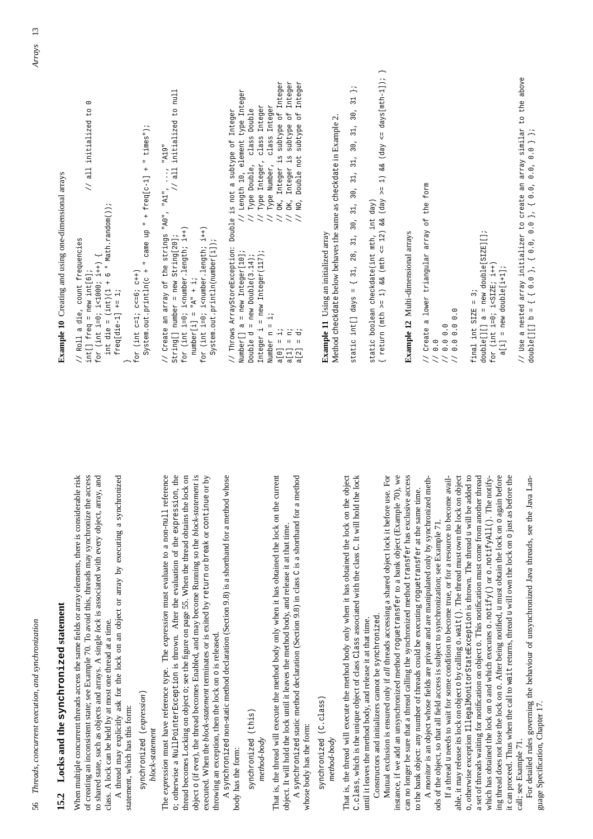# 15.2 Locks and the synchronized statement **15.2 Locks and the synchronized statement**

to shared state, such as objects and arrays. A single lock is associated with every object, array, and When multiple concurrent threads access the same fields or array elements, there is considerable risk of creating an inconsistent state; see Example 70. To avoid this, threads may synchronize the access When multiple concurrent threads access the same fields or array elements, there is considerable risk To avoid this, threads may synchronize the access single *lock* is associated with every object, array, and lock can be held by at most one thread at a time. of creating an inconsistent state; see Example 70. to shared state, such as objects and arrays. Aclass.

A thread may explicitly ask for the lock on an object or array by executing a synchronized thread may explicitly ask for the lock on an object or array by executing a synchronized statement, which has this form: statement, which has this form:

synchronized (expression) synchronized (*expression*)

block-statement *block-statement*

The expression must have reference type. The expression must evaluate to a non-null reference o; otherwise a Nu11PointerException is thrown. After the evaluation of the expression, the thread becomes Locking on object o; see the figure on page 55. When the thread obtains the lock on object o (if ever), the thread becomes Enabled, and may become Running so the *block-statement* is executed. When the *block-statement* terminates or is exited by return or break or continue or by The *expression* must have reference type. The *expression* must evaluate to a non-null reference o; otherwise a NullPointerException is thrown. After the evaluation of the expression, the thread becomes Locking on object o; see the figure on page 55. When the thread obtains the lock on object o (if ever), the thread becomes Enabled, and may become Running so the *block-statement* is executed. When the *block-statement* terminates or is exited by return or break or continue or by hrowing an exception, then the lock on o is released. throwing an exception, then the lock on o is released.

A synchronized non-static method declaration (Section 9.8) is a shorthand for a method whose synchronized non-static method declaration (Section 9.8) is a shorthand for a method whose body has the form: body has the form:

synchronized (this) synchronized (this) *method-body* That is, the thread will execute the method body only when it has obtained the lock on the current That is, the thread will execute the method body only when it has obtained the lock on the current object. It will hold the lock until it leaves the method body, and release it at that time.

A synchronized static method declaration (Section 9.8) in class C is a shorthand for a method synchronized static method declaration (Section 9.8) in class C is a shorthand for a method object. It will hold the lock until it leaves the method body, and release it at that time. whose body has the form: whose body has the form:

synchronized (C.class) synchronized (C.class)

*method-body*

That is, the thread will execute the method body only when it has obtained the lock on the object C.class, which is the unique object of class Class associated with the class C. It will hold the lock That is, the thread will execute the method body only when it has obtained the lock on the object C.class, which is the unique object of class Class associated with the class C. It will hold the lock until it leaves the method body, and release it at that time. until it leaves the method body, and release it at that time.

Constructors and initializers cannot be synchronized. Constructors and initializers cannot be synchronized.

Mutual exclusion is ensured only if *all* threads accessing a shared object lock it before use. For instance, if we add an unsynchronized method roguetransfer to a bank object (Example 70), we can no longer be sure that a thread calling the synchronized method transfer has exclusive access instance, if we add an unsynchronized method roguetransfer to a bank object (Example 70), we can no longer be sure that a thread calling the synchronized method transfer has exclusive access to the bank object: any number of threads could be executing roguetransfer at the same time. to the bank object: any number of threads could be executing roguetransfer at the same time. Mutual exclusion is ensured only if *all* threads accessing a shared object lock it before use.

A monitor is an object whose fields are private and are manipulated only by synchronized meth *monitor* is an object whose fields are private and are manipulated only by synchronized methods of the object, so that all field access is subject to synchronization; see Example 71. ods of the object, so that all field access is subject to synchronization; see Example 71.

it can proceed. Thus when the call to wait returns, thread u will own the lock on o just as before the If a thread u needs to wait for some condition to become true, or for a resource to become available, it may release its lock on object o by calling o . wait (). The thread must own the lock on object o, otherwise exception IllegalMonitorStateException is thrown. The thread u will be added to a set of threads waiting for notification on object o. This notification must come from another thread which has obtained the lock on o and which executes o notify or o notifying thread does not lose the lock on  $\circ$ . After being notified,  $\upmu$  must obtain the lock on  $\circ$  again before wait for some condition to become true, or for a resource to become available, it may release its lock on object o by calling o.wait(). The thread must own the lock on object o, otherwise exception IllegalMonitorStateException is thrown. The thread u will be added to waiting for notification on object o. This notification must come from another thread which has obtained the lock on  $\circ$  and which executes  $\circ$  notify() or  $\circ$  notify- $\circ$ The notifying thread does not lose the lock on o. After being notified, u must obtain the lock on o again before it can proceed. Thus when the call to wait returns, thread u will own the lock on o just as before the If a thread u needs to call; see Example 71. call; see Example 71. set of threads

For detailed rules governing the behaviour of unsynchronized Java threads, see the Java Lan-For detailed rules governing the behaviour of unsynchronized Java threads, see the Java Language Specification, Chapter 17. guage Specification, Chapter 17.

// Roll a die, count frequencies

// OK, Integer is subtype of Integer a[0] = i; // OK, Integer is subtype of Integer // Length 10, element type Integer // all initialized to  $m11$ String[] number = new String[20]; // all initialized to null Number[] a = new Integer[10]; // Length 10, element type Integer  $\circ$ int[] freq = new int[6];  $\frac{1}{2}$  // all initialized to 0 // Type Number, class Integer // Type Integer, class Integer Integer i = new Integer(117); // Type Integer, class Integer Number n = i; // Type Number, class Integer // all initialized to // Type Double, class Double // Throws ArrayStoreException: Double is not a subtype of Integer // Throws ArrayStoreException: Double is not a subtype of Integer Double d = new Double(3.14); // Type Double, class Double System.out.println(c + " came up " + freq[c-1] + "times"); System.out.println(c + " came up " + freq[c-1] + " times"); // Create an array of the strings "A0", "A1", ..., "A19" // Create an array of the strings "A0", "A1", ..., "A19" int die =  $(int) (1 + 6 * Math.random())$ int die =  $(\text{int})$  $(1 + 6 * \text{Math}. \text{random}())$ ; for (int i=0; i<number.length; i++) for (int i=0; i<number.length; i++) for (int i=0; i<number.length; i++) for (int i=0; i<number.length; i++) String[] number = new String[20]; System.out.println(number[i]); // Roll a die, count frequencies System.out.println(number[i]); Number[] a = new Integer[10]; Integer  $i = new$  Integer (117); Double  $d = new Double(3.14)$ ; for (int i=0; i<1000; i++) { for  $(int i=0; i<1000; i++)$ for  $(int c=1; c<=6; c++)$  $int[]$  freq = new  $int[6]$ ; for (int  $c=1$ ;  $c<=6$ ;  $c++$ )  $number[i] = "A" + i;$  $number[i] = "A" + i;$  $freq[ $die-1$ ] += 1;$ freq[die-1] += 1; Number  $n = 1$ ;  $a[0] = i;$ 

### // OK, Integer is subtype of Integer // NO, Double not subtype of Integer a[1] = n; // OK, Integer is subtype of Integer a[2] = d; // NO, Double not subtype of Integer  $a[1] = n;$  $a[2] = d$

## Method checkdate below behaves the same as checkdate in Example 2. Example 11 Using an initialized array **Example 11** Using an initialized array

Method checkdate belo behaves the same as checkdate in Example 2.

static int[] days = { 31, 28, 31, 30, 31, 30, 31, 31, 30, 31, 30, 31 }; static int[] days = { 31, 28, 31, 30, 31, 30, 31, 31, 30, 31, 30, 31 };

{ return (mth >= 1) && (mth <= 12) && (day >= 1) && (day <= days[mth-1]); } { return (mth >= 1)  $\&a$  (mth <= 12)  $\&a$  (day >= 1)  $\&a$  (day <= days[mth-1]); } static boolean checkdate(int mth, int day) static boolean checkdate(int mth, int day)

## Example 12 Multi-dimensional arrays **Example 12** Multi-dimensional arrays

// Create a lower triangular array of the form // Create a lower triangular array of the form

// 0.0

 $\frac{1}{1}$  0.0 0.0 0.0<br> $\frac{1}{1}$  0.0 0.0 0.0  $/$ / 0.0 0.0 0.0

double[ $\text{]}$ ] a = new double[SIZE][]; double[][] a = new double[SIZE][]; for  $(int i=0; i$ for (int i=0; i<SIZE; i++)  $a[i]$  = new double[i+1];  $a[i] = new double[i+1];$ final int SIZE =  $3$ ; final int SIZE = 3;

// Use a nested array initializer to create an array similar to the above // Use a nested array initializer to create an array similar to the above 3 : 1 состально 1 состально 1 состально 1 состально 1 состально 1 состально 1 состально 1 состально 1 состально 1 состально 1 состально 1 состально 1 состально 1 состально 1 состально 1 состально 1 состально 1 состально double [1] b = { d = { d = { d = { d = { d = { d = { d = { d = { d = { d = { d = { d = { d = { d = { d = { d = { d = { d = { d = { d = { d = { d = { d = { d = { d = { d = { d = { d = { d = { d = { d = { d = { d = { d = { d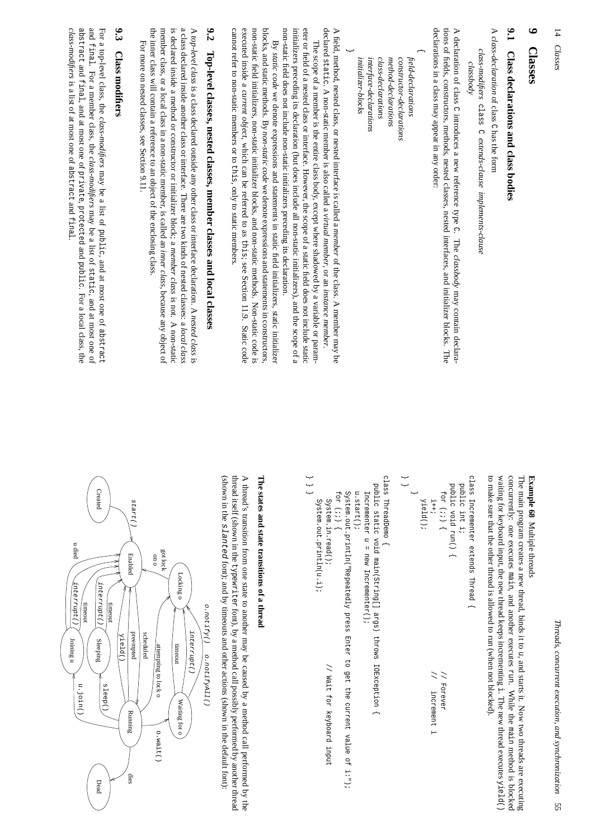### **9 Classes**

### **9.1 Class declarations and class bodies**

A *class-declaration* ቧ<br>ት class C has the form

*class-modifiers* class C *extends-clause implements-clause classbody*

A declaration ቧ class C introduces a ne w reference type C. The *classbody* may contain declarations ቧ<br>ት fields, constructors, methods, nested classes, nested interfaces, and initializer blocks. The declarations in a class may appear in any order:

~ method-declarations  $\label{eq:constrained} construction-declarations$ field-declarations *field-declarations* interface-declarations class-declarations *class-declarations method-declarations constructor-declarations interface-declarations*

~ initializer-blocks *initializer-blocks*

A field, method, nested class, or nested interface is called a *member* ቧ<br>ት the class. A member may be declared static. A non-static member is also called a *virtual member*, or an *instance member*.

The scope of a member is the entire class body, except where shadowed by a variable or parameter or field of a nested class or interface. However, the scope of a static field does not include static initializers preceding its declaration (but does include  $\stackrel{\scriptscriptstyle w}{=}$ non-static initializers), and the scope of a non-static field does not include non-static initializers preceding its declaration.

> ~ ~ ~

By *static code* we denote expressions and statements in static field initializers, static initializer blocks, and static methods. By *non-static code* we denote expressions and statements in, constructors, non-static field initializers, non-static initializer blocks, and non-static methods. Non-static code is executed inside a *current object*, which can be referred  $\Xi$ as this; see Section 11.9. Static code cannot refer to non-static members or  $\Xi$ this, only  $\Xi$ static members.

### **9.2 Top-le vel classes, nested classes, member classes and local classes**

A *top-level class* is a class declared outside any other class or interface declaration.  $\blacktriangleright$ *nested class* is a class declared inside another class or interface. There are two kinds ቧ nested classes: a *local class* is declared inside a method or constructor or initializer block; a *member class* is not. A non-static member class, or a local class in a non-static member, is called an *inner class*, because any object ቧ the inner class will contain a reference ಕ an object ቧ the enclosing class.

For more on nested classes, see Section 9.11.

### **9.3 Class** modifiers **modifiers**

For a top-level class, the *class-modifiers* may be a list ቧ<br>ት public, and  $\overline{\boldsymbol{x}}$ most one ቧ abstract and final. For a member class, the *class-modifiers* may be a list ቧ<br>ት static, and  $\overline{\boldsymbol{x}}$ most one ቧ abstract and final, and  $\overline{a}$ most one ቧ<br>ት private, protected and public. For a local class, the *class-modifiers* is a list of at most one ቧ abstract and final.

### **Example 68** Multiple threads

The main program creates a ne w thread, binds it to u, and starts it. No w two threads are executing concurrently: one executes main, and another executes run. While the main method is blocked waiting for keyboard input, the ne w thread keeps incrementing i. The ne w thread executes yield()  $\Xi$ make sure  $\thinspace$  that the other thread is allowed  $\Xi$ run (when not blocked).

class ~ class public ~ public public  $u$ . start(); for System.out.println(" u.start(); Incrementer ~ for System.out.println(u.i); System.in.read(); yield(); i++; System.out.println(u.i); System.in.read(); ThreadDemo Incrementer (;;) (;;) void static int ~ ~ i; run() u = new void ~ extends ~ main(String[] Repeatedly Incrementer(); Thread { press args) Enter throws to // IOException get // // Wait Forever the increment for current keyboard ~ i value input <u>ρ</u> i:");

### **The states and state transitions of a thread**

A thread's transition from one state to another may be caused by a method call performed ड the thread itself (shown in the typewriter font), by a method call possibly performed by another thread (shown in the slanted font); and  $\mathbf{\hat{z}}$ timeouts and other actions (shown in the default font):

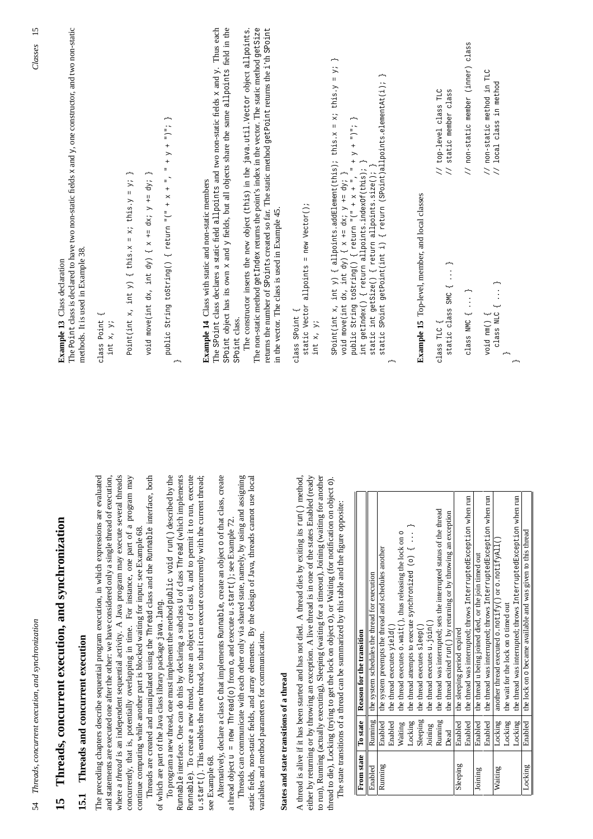| Threads, concurrent execution, and synchronization<br>54                                                                                                                                                                                                                                                        |                                                                                                                                                                                      | $\frac{15}{2}$<br>Classes                                                                                                                                                                                   |
|-----------------------------------------------------------------------------------------------------------------------------------------------------------------------------------------------------------------------------------------------------------------------------------------------------------------|--------------------------------------------------------------------------------------------------------------------------------------------------------------------------------------|-------------------------------------------------------------------------------------------------------------------------------------------------------------------------------------------------------------|
| Threads, concurrent execution, and synchronization<br>15                                                                                                                                                                                                                                                        | Example 13 Class declaration                                                                                                                                                         | The Point class is declared to have two non-static fields x and y, one constructor, and two non-static                                                                                                      |
| Threads and concurrent execution<br>15.1                                                                                                                                                                                                                                                                        | methods. It is used in Example 38.                                                                                                                                                   |                                                                                                                                                                                                             |
| The preceding chapters describe sequential program execution, in which expressions are evaluated<br>and statements are executed one after the other: we have considered only a single thread of execution,                                                                                                      | class Point {<br>int $x, y$ ;                                                                                                                                                        |                                                                                                                                                                                                             |
| where a <i>thread</i> is an independent sequential activity. A Java program may execute several threads<br>concurrently, that is, potentially overlapping in time. For instance, one part of a program may                                                                                                      | Point(int x, int y) { this.x = x; this.y = y; }                                                                                                                                      |                                                                                                                                                                                                             |
| Threads are created and manipulated using the Thread class and the Runnable interface, both<br>continue computing while another part is blocked waiting for input; see Example 68                                                                                                                               | void move(int dx, int dy) { $x \neq dx$ ; $y \neq dy$ ; }                                                                                                                            |                                                                                                                                                                                                             |
| To program a new thread, one must implement the method public $v$ void $x$ un () described by the<br>Runnable interface. One can do this by declaring a subclass U of class Thread (which implements<br>of which are part of the Java class library package java. lang.                                         | public String toString() { return "(" + x + ", " + y + ")"; }                                                                                                                        |                                                                                                                                                                                                             |
| Runnable). To create a new thread, create an object u of class U, and to permit it to run, execute<br>u start (). This enables the new thread, so that it can execute concurrently with the current thread;                                                                                                     | Example 14 Class with static and non-static members                                                                                                                                  |                                                                                                                                                                                                             |
| Alternatively, declare a class C that implements Runnable, create an object o of that class, create<br>see Example 68.                                                                                                                                                                                          |                                                                                                                                                                                      | The SPoint class declares a static field allpoints and two non-static fields $x$ and $y$ . Thus each<br>Spoint object has its own $x$ and $y$ fields, but all objects share the same allpoints field in the |
| Threads can communicate with each other only via shared state, namely, by using and assigning<br>static fields, non-static fields, and array elements. By the design of Java, threads cannot use local<br>a thread object $u = new Thread(o) from o, and execute u. start(); see Example 72$                    | SPoint class.                                                                                                                                                                        | The non-static method get Index returns the point's index in the vector. The static method getSize<br>The constructor inserts the new object (this) in the java.util. Vector object allpoints               |
| variables and method parameters for communication.<br>States and state transitions of a thread                                                                                                                                                                                                                  | in the vector. The class is used in Example 45.                                                                                                                                      | returns the number of SPoints created so far. The static method getPoint returns the i'th SPoint                                                                                                            |
| A thread is alive if it has been started and has not died. A thread dies by exiting its run () method,<br>either by returning or by throwing an exception. A live thread is in one of the states Enabled (ready                                                                                                 | static Vector allpoints = new Vector();<br>class SPoint {<br>int $x, y$ ;                                                                                                            |                                                                                                                                                                                                             |
| to run), Running (actually executing), Sleeping (waiting for a timeout), Joining (waiting for another<br>thread to die), Locking (trying to get the lock on object o), or Waiting (for notification on object o).<br>The state transitions of a thread can be summarized by this table and the figure opposite: |                                                                                                                                                                                      | SPoint(int x, int y) { allpoints.addElement(this); this.x = x; this.y = y; }                                                                                                                                |
| Reason for the transition<br>$\overline{\textbf{T0}}$ state<br>From state                                                                                                                                                                                                                                       | void move(int dx, int dy) { $x + = dx$ ; $y + = dy$ ; }<br>public String toString() { return "(" + $x + "$ , " + $y + "$ )"; }<br>int getIndex() { return allpoints.indexOf(this); } |                                                                                                                                                                                                             |
| the system schedules the thread for execution<br>Running<br>Enabled                                                                                                                                                                                                                                             | static int getSize() { return allpoints.size();                                                                                                                                      |                                                                                                                                                                                                             |
| the system preempts the thread and schedules another<br>Enabled<br>Running                                                                                                                                                                                                                                      |                                                                                                                                                                                      | static SPoint getPoint(int i) { return (SPoint)allpoints.elementAt(i); }                                                                                                                                    |
| the thread executes yield()<br>Enabled                                                                                                                                                                                                                                                                          |                                                                                                                                                                                      |                                                                                                                                                                                                             |
| the thread attempts to execute synchronized (o) $\{ \ldots \}$<br>the thread executes o. wait ( ), thus releasing the lock on o<br>Locking<br>Waiting                                                                                                                                                           |                                                                                                                                                                                      |                                                                                                                                                                                                             |
| the thread executes sleep()<br>Sleeping                                                                                                                                                                                                                                                                         | Example 15 Top-level, member, and local classes                                                                                                                                      |                                                                                                                                                                                                             |
| the thread executes u. join()<br>Joining                                                                                                                                                                                                                                                                        |                                                                                                                                                                                      |                                                                                                                                                                                                             |
| the thread was interrupted; sets the interrupted status of the thread<br>the thread exited run() by returning or by throwing an exception<br>Running<br>Dead                                                                                                                                                    | class TLC {                                                                                                                                                                          | // top-level class TLC<br>// static member class                                                                                                                                                            |
| the sleeping period expired<br>Enabled<br>Sleeping                                                                                                                                                                                                                                                              | static class SMC {  }                                                                                                                                                                |                                                                                                                                                                                                             |
| the thread was interrupted; throws InterruptedException when run<br>Enabled                                                                                                                                                                                                                                     | class $M/C$ {  }                                                                                                                                                                     | // non-static member (inner) class                                                                                                                                                                          |
| the thread was interrupted; throws InterruptedException when run<br>the thread u being joined died, or the join timed out<br>Enabled<br>Enabled<br>Joining                                                                                                                                                      | void $nm()$ {                                                                                                                                                                        | // non-static method in TLC                                                                                                                                                                                 |
| another thread executed o.notify() or o.notifyAll()<br>Locking<br>Waiting                                                                                                                                                                                                                                       | class MLC $\{\ldots\}$                                                                                                                                                               | // local class in method                                                                                                                                                                                    |

Waiting Locking another thread executed o.notify() or o.notifyAll()

class  $MLC$   $\{ \ldots \}$   $\{ \ldots \}$ 

Locking the wait for the lock on o timed out<br>Locking the thread was interrupted; throws InterruptedBxception when run

was interrupted; throws InterruptedException when run

the lock on o became available and was given to this thread

was given to this thread

wait for the lock on o timed out

Locking the thread

Locking **Enabled** the lock on o became available and

Enabled

Locking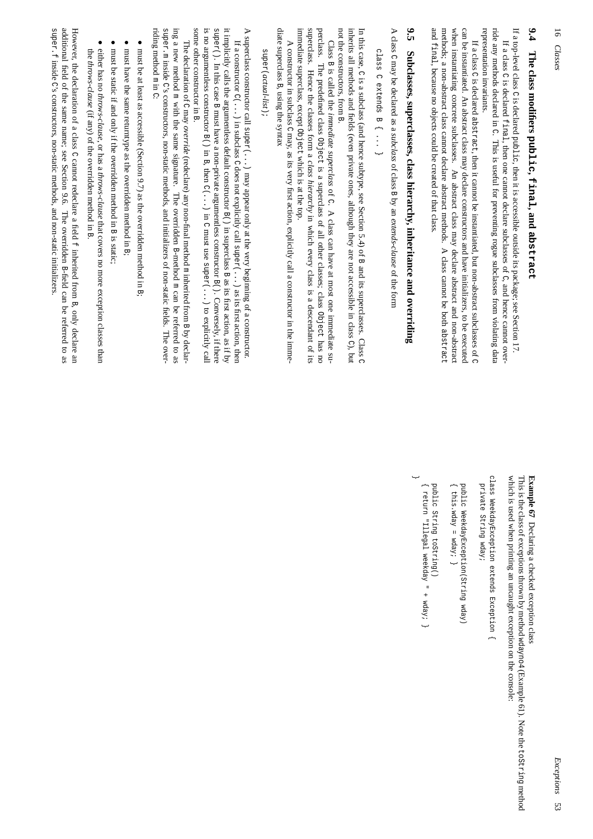ride any methods declared in C. This is useful for preventing rogue subclasses from violating data If a class C is declared  $\tau$  rinal, then one cannot declare subclasses for  $C_i$  and nence cannot over-<br>ride any methods declared in C. This is useful for preventing rogue subclasses from violating data<br>ride any methods d If a top-level If a class C is class C is declared declared final, then public, then it is one cannot accessible declare subclasses outside its of C, and package; hence see Section cannot 17.

representation

invariants.

representation invariants. and methods; a when can If a class C is declared  $\Xi$ final, because instantiating instantiated. non-abstract concrete no An objects abstract class abstractsubclasses. cannot could class , then it cannot be may declare created An declare abstract abstract ቧ constructors  $\tan$ be methods. class class. instantiated, may and A declare class have but non-abstract initializers, cannot abstract be and both subclasses  $\Xi$ non-abstract be abstract executed of C

### **9.5 Subclasses, superclasses, class hierarchy, inheritance and overriding**

A class C may be declared as a *subclass* ቧ<br>ት class B by an *extends-clause* ቧ the form

class C extends ه<br>∽ ... —

 $\Xi$ this case, C is a subclass (and hence subtype, see Section 5.4) of B and its superclasses. Class C inherits  $\mathbb{E}$ methods and fields (even private ones, although they are not accessible in class C), but not the constructors, from B.

Class B is called the *immediate superclass* of C. A class can have  $\overline{\varepsilon}$ most one immediate superclass. The predefined class Object is a superclass of  $\overset{\mathtt{p}}{=}$ other classes; class Object has no superclass. Hence the classes form a *class hierarchy* in. which every class is a descendant of its immediate superclass, except Object which is at the top.

A constructor in subclass C may, as its very first action, explicitly call a constructor in the immediate superclass B, using the syntax

super(*actual-list*);

A superclass constructor call super(...) may appear only  $\overline{a}$ the very beginning of a constructor.  $\mathbb{H}$  a constructor C(...) in subclass C does not explicitly call super(...) as its first action, then it implicitly calls the argumentless default constructor B() in superclass B as its first action, as if by super(). In this case B must have a non-private argumentless constructor B(). Conversely, if there is no argumentless constructor B() in B, then C(...) in C must use super(...) to explicitly call some other constructor in B.

riding method m in C: ing a new method m with the same signature. The overridden B-method m can be referred to as super, m mside C s constructors, non-static methods, and initializers of non-static neligs. The over-<br>riding method m in C: super.m The declaration of C may *override* (redeclare) any non-final method m inherited from B by declaring a new method m with the same signature. The overridden B-method m can be referred to as The declaration inside C's of C may constructors, *override* non-static (redeclare) methods, any non-final and initializers method m ቧ non-static inherited from B by fields. The

- must be at least as accessible (Section 9.7) as the overridden method in B;
- must have the same returntype as the overridden method in B;
- must be static if and only if the overridden method in B is static;
- either has *throws-clause*has a *throws-clause* that
- no .<br>۹ covers no more exception classes than the *throws-clause* (if any) ቧ<br>ት the overridden method in B.

However, the declaration of a class C cannot redeclare a field f inherited from B, only declare an additional field ቧ<br>ት the same name; see Section 9.6. The overridden B-field can be referred  $\Xi$ as super.f inside C's constructors, non-static methods, and non-static initializers.

> **Example 67** Declaring a checked exception class

This is the class ቧ exceptions thrown by method wdayno4 (Example 61). Note the toString method which is used when printing an uncaught exception on the console:

class WeekdayException extends Exception ~ private String wday;

public WeekdayException(String wday)  $\overline{\phantom{a}}$ this.wday = wday; ~

public String toString() ~ return "Illegal weekday " + wday;

}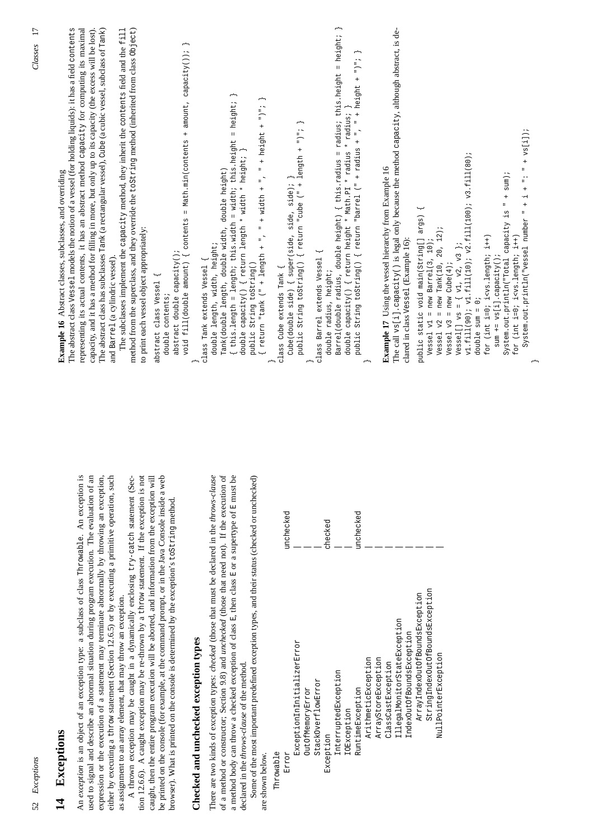### Exceptions **14 Exceptions**  $\overline{1}$

An exception is an object of an exception type: a subclass of class Throwable. An exception is used to signal and describe an abnormal situation during program execution. The evaluation of an expression or the execution of a statement may terminate abnormally by throwing an exception, either by executing a throw statement (Section 12.6.5) or by executing a primitive operation, such An *exception* is an object of an exception type: a subclass of class Throwable. An exception is used to signal and describe an abnormal situation during program execution. The evaluation of an expression or the execution of a statement may terminate abnormally by throwing an exception, either by executing a throw statement (Section 12.6.5) or by executing a primitive operation, such w an exception. as assignment to an array element, that may thro

be printed on the console (for example, at the command prompt, or in the Java Console inside a web A thrown exception may be caught in a dynamically enclosing try-catch statement (Sec thrown exception may be caught in a dynamically enclosing try-catch statement (Sec caught exception may be re-thrown by a throw statement. If the exception is not caught, then the entire program execution will be aborted, and information from the exception will be printed on the console (for example, at the command prompt, or in the Java Console inside a web browser). What is printed on the console is determined by the exception's toString method. browser). What is printed on the console is determined by the exception's toString method. Ation 12.6.6).

# Checked and unchecked exception types **Checked and unchecked exception types**

There are two kinds of exception types: checked (those that must be declared in the throws-clause of a method or constructor; Section 9.8) and *unchecked* (those that need not). If the execution of of a method or constructor; Section 9.8) and *unchecked* (those that need not). If the execution of There are two kinds of exception types: *checked* (those that must be declared in the *throws-clause* w a checked exception of class E, then class E or a supertype of E must be  $\frac{1}{r}$ . declared in the throws-clause of the method. declared in the *throws-clause* of the method. w method body can thro a

Some of the most important predefined exception types, and their status (checked or unchecked) Some of the most important predefined exception types, and their status (checked or unchecked) are shown below. are shown belo

| Throwable                       |           |
|---------------------------------|-----------|
| Error                           | unchecked |
| ExceptionInInitializerError     |           |
| OutOfMemoryError                |           |
| StackOverflowError              |           |
| <b>Exception</b>                | checked   |
| InterruptedException            |           |
| IOException                     |           |
| RuntimeException                | unchecked |
| ArithmeticException             |           |
| ArrayStoreException             |           |
| ClassCastException              |           |
| IllegalMonitorStateException    |           |
| IndexOutOfBoundsException       |           |
| ArrayIndexOutOfBoundsException  |           |
| StringIndexOutOfBoundsException |           |
|                                 |           |

NullPointerException |

NullPointerException

The abstract class Vesse1 models the notion of a vessel (for holding liquids): it has a field contents representing its actual contents, it has an abstract method capacity for computing its maximal capacity, and it has a method for filling in more, but only up to its capacity (the excess will be lost). The abstract class has subclasses Tank (a rectangular vessel), Cube (a cubic vessel, subclass of Tank) The abstract class Vessel models the notion of a vessel (for holding liquids): it has a field contents representing its actual contents, it has an abstract method capacity for computing its maximal capacity, and it has a method for filling in more, but only up to its capacity (the excess will be lost). The abstract class has subclasses Tank (a rectangular vessel), Cube (a cubic vessel, subclass of Tank) and Barrel (a cylindric vessel). and Barrel (a cylindric vessel).

The subclasses implement the capacity method, they inherit the contents field and the fill method from the superclass, and they override the toSt ring method (inherited from class Object) The subclasses implement the capacity method, they inherit the contents field and the fill method from the superclass, and they override the toString method (inherited from class Object)

```
Barrel(double radius, double height) { this.radius = radius; this.height = height; }
                                                                                                                                                                                                                                                                                                                                                                                                                                                                                                                                                                                                                                                                                                                                                                                                                                                                                                                                                                                                                                                                                                                                                                                                                                                                                                                                                                            The call vs[i] capacity() is legal only because the method capacity, although abstract, is de-
                                                                                                                                                                                                                                                                                                                                                                                                                                                                                                                                                                                                                                                                                                                                                                                                                                                                                                                                                                                                                                                                        Barrel(double radius, double height) { this.radius = radius; this.height = height; }
                                                                                                                                                                                                                                                                                                                                                                                                                                                                                                                                                                                                                                                                                                                                                                                                                                                                                                                                                                                                                                                                                                                                                                                                                                                                                                                                                                                         The call vs[i].capacity() is legal only because the method capacity, although abstract, is de-
                                                                                                                                                                                                                               void fill(double amount) { contents = Math.min(contents + amount, capacity()); }
                                                                                                                                                                                                                                       void fill(double amount) { contents = Math.min(contents + amount, capacity()); }
                                                                                                                                                                                                                                                                                                                                                                                                                                                                                                                                                                                                                                                                                                                                                                                                                                                                                                                                                                                                                                                                                                                                                                            public String toString() { return "barrel (" + radius + ", " + height + ")"; }
                                                                                                                                                                                                                                                                                                                                                                                                                                                                                                                                                                                                                                                                                                                                                                                                                                                                                                                                                                                                                                                                                                                                                                 public String toString() { return "barrel (" + radius + ", " + height + ")";
                                                                                                                                                                                                                                                                                                                                                                                                                                                                                                 \{ this.length = length; this.width = width; this.height = height; \}{ return "tank (" + length + ", " + width + ", " + height + ")"; }
                                                                                                                                                                                                                                                                                                                                                                                                                                                                                      this.length = length; this.width = width; this.height = height;
                                                                                                                                                                                                                                                                                                                                                                                                                                                                                                                                                                                                                                                        \{ return "tank (" + length + ", " + width + " + height + " + height + " )"; }
                                                                                                                                                                                                                                                                                                                                                                                                                                                                                                                                                                                                                                                                                                                                                                                                                                                                                                                                                                                                                                                                                                                          double capacity() { return height * Math.PI * radius * radius; }
                                                                                                                                                                                                                                                                                                                                                                                                                                                                                                                                                                                                                                                                                                                                                                                                                                                                                                                                                                                                                                                                                                          double capacity() { return height * Math.PI * radius * radius;
                                                                                                                                                                                                                                                                                                                                                                                                                                                                                                                                                                                                                                                                                                                                                                                                                                                       public String toString() { return "cube (" + length + ")"; }
                                                                                                                                                                                                                                                                                                                                                                                                                                                                                                                                                                                                                                                                                                                                                                                                                                                                public String toString() { return "cube (" + length + ")"; }
                                                                                                                                                                                                                                                                                                                                                                                                                                                                                                                                                   double capacity() { return length * width * height; }
                                                                                                                                                                                                                                                                                                                                                                                                                                                                                                                                         double capacity() { return length * width * height;
                                                                                                                                                                                                                                                                                                                                                                                                                                                                                                                                                                                                                                                                                                                                                                                                                                                                                                                                                                                                                                                                                                                                                                                                                                                                                                                      Example 17 Using the vessel hierarchy from Example 16
                                                                                                                                                                                                                                                                                                                                                                                                                                       Tank (double length, double width, double height)
                                                                                                                                                                                                                                                                                                                                                                                                                                                                                                                                                                                                                                                                                                                                                                                                                                                                                                                                                                                                                                                                                                                                                                                                                                                                                                                                    Example 17 Using the vessel hierarchy from Example 16
                                                                                                                                                                                                                                                                                                                                                                                                                                                   Tank(double length, double width, double height)
                                                                                                                                                                                                                                                                                                                                                                                                                                                                                                                                                                                                                                                                                                                                                                                                        Cube(double side) { super(side, side, side); }
                                                                                                                                                                                                                                                                                                                                                                                                                                                                                                                                                                                                                                                                                                                                                                                                              Cube(double side) { super(side, side, side); }
                                                                                                                                                                                                                                                                                                                                                                                                                                                                                                                                                                                                                                                                                                                                                                                                                                                                                                                                                                                                                                                                                                                                                                                                                                                                                                                                                                                                                                                                                                                  public static void main (String[] args) {
                                                                                                                                                                                                                                                                                                                                                                                                                                                                                                                                                                                                                                                                                                                                                                                                                                                                                                                                                                                                                                                                                                                                                                                                                                                                                                                                                                                                                                                                                                                       public static void main(String[] args) {
to print each vessel object appropriately:
        to print each vessel object appropriately:
                                                                                                                                                                                                                                                                                                                                                                                                                                                                                                                                                                                                                                                                                                                                                                                                                                                                                                                                                                                                                                                                                                                                                                                                                                                                                                                                                                                                                                               clared in class Vessel (Example 16):
                                                                                                                                                                                                                                                                                                                                                                                                                                                                                                                                                                                                                                                                                                                                                                                                                                                                                                                                                                                                                                                                                                                                                                                                                                                                                                                                                                                                                                       clared in class Vessel (Example 16)
                                                                                                                                                                                                                                                                                                                                                                                    double length, width, height;
                                                                                                                                                                                                                                                                                                                                                                                                double length, width, height;
                                                                                                                                                                                    abstract double capacity();
                                                                                                                                                                                                                                                                                                                                                                                                                                                                                                                                                                                                                                                                                                                                                                                                                                                                                                                                                                 class Barrel extends Vessel {
                                                                                                                                                                                        abstract double capacity();
                                                                                                                                                                                                                                                                                                                                                                                                                                                                                                                                                                                                                                                                                                                                                                                                                                                                                                                                                                    class Barrel extends Vessel {
                                                                                                                                                                                                                                                                                                                                           class Tank extends Vessel {
                                                                                                                                                                                                                                                                                                                                 class Tank extends Vessel
                                                                                                                                                                                                                                                                                                                                                                                                                                                                                                                                                                                                public String toString()
                                                                                                                                                                                                                                                                                                                                                                                                                                                                                                                                                                                                         public String toString()
                                                                                                                                                                                                                                                                                                                                                                                                                                                                                                                                                                                                                                                                                                                                                         class Cube extends Tank {
                                                                                                                                                                                                                                                                                                                                                                                                                                                                                                                                                                                                                                                                                                                                                           class Cube extends Tank {
                                                                                                                                                                                                                                                                                                                                                                                                                                                                                                                                                                                                                                                                                                                                                                                                                                                                                                                                                                                                                double radius, height;
                                                                                                                                                                                                                                                                                                                                                                                                                                                                                                                                                                                                                                                                                                                                                                                                                                                                                                                                                                                                                          double radius, height;
                                                                              abstract class Vessel {
                                                                                 abstract class Vessel {
                                                                                                                                     double contents;
                                                                                                                                       double contents;
```

```
System.out.println("vessel number " + i + " : " + vs[i]);
                                                                                                                                                                                                                                                                                                                                                                                                         System.out.println("vessel number " + i + ": " + vs[i]);
                                                                                                                                                    v1.fill(90); v1.fill(10); v2.fill(100); v3.fill(80);
                                                                                                                                                                 v1.fill(90); v1.fill(10); v2.fill(100); v3.fill(80);
                                                                                                                                                                                                                                                                                                                     System.out.println("Total capacity is " + sum);
                                                                                                                                                                                                                                                                                                                            System.out.println("Total capacity is " + sum);
                                 Vessel v2 = new Tank(10, 20, 12);
                                             Vessel v2 = new Tank(10, 20, 12);
                                                                                                                                                                                                                                         for (int i=0; i<vs.length; i++)
                                                                                                                                                                                                                                                                                                                                                               for (int i=0; i<vs.length; i++)
                                                                                                                                                                                                                                              for (int i=0; i<vs.length; i++)
                                                                                                                                                                                                                                                                                                                                                                  for (int i=0; i<vs.length; i++)
Vessel vl = new Barrel(3, 10);
      Vessel v1 = new Barrel(3, 10);
                                                                                                                Vessel[] vs = { v1, v2, v3 }Vessel[] vs = { v1, v2, v3 };sum += \text{vs}[i].\text{capacity}();
                                                                                                                                                                                                                                                                                     sum += vs[i].capacity();
                                                                              Vessel v3 = new Cube(4);Vessel v3 = new Cube(4);double sum = 0;
                                                                                                                                                                                                        double sum = 0;
```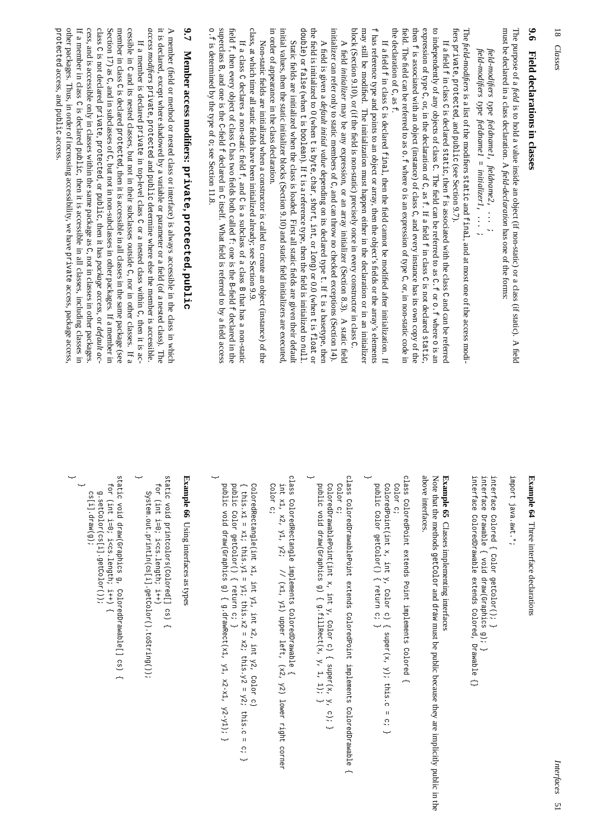### **9.6 Field declarations in classes**

The purpose of a *field* is to hold a value inside an object (if non-static) or a class (if static). A field  $\mathop{\rm max}\nolimits$ be declared in a class declaration.  $\blacktriangleright$ *field-declaration*  $\ln$ one ቧ<br>ት the forms:

```
field-modifiers type fieldname1, fieldname2, ... ;
field-modifiers type fieldname1 \blacksquareinitializer1, ... ;
```
The *field-modifiers* is a list ቧ<br>ት the modifiers static and final, and  $\overline{\varepsilon}$ most one ቧ the access modifiers private, protected, and public (see Section 9.7).

If a field f in class C is declared static, then f is associated with the class C and can be referred  $\Xi$ independently ቧ<br>ት any objects ቧ class C. The field can  $\Xi$ referred  $\Xi$ as C.<br>Н or o<br>.<br>m where o is an expression of type C, or, in the declaration of  $C$ , as  $E$ . If a field  $f$  in class C is not declared static, then f is associated with an object (instance) ቧ<br>ት class C, and every instance has its own copy ቧ the field. The field can be referred to as o<br>H where o is an expression ቧ type C, or, in non-static code in the declaration of C, as f.

If a field f in class C is declared final, then the field cannot  $\Xi$ modified after initialization.  $\Xi$ f has reference type and points to an object or array, then the object's fields or the array's elements may still be modified. The initialization must happen either in the declaration or in an initializer block (Section 9.10), or (if the field is non-static) precisely once in every constructor in class C.

~

A field *initializer* may be any expression, or an array initializer (Section 8.3). A static field initializer can refer only  $\overline{\mathsf{c}}$ static members of C, and can throw no checked exceptions (Section 14). A field is given a *default initial value* depending on its declared type t. If t is a basetype, then the field is initialized to 0 (when t is byte, char, short, int, or long) or  $\stackrel{\circ}{\rm c}$ (when t is float or

double) or false (when t is boolean). If t is a reference type, then the field is initialized  $\overline{\rm s}$ nu<br>III Static fields are initialized when the class is loaded. First  $\stackrel{w}{=}$ static fields are given their default initial values, then the static initializer blocks (Section 9.10) and static field initializers are executed, in. order ቧ in the class declaration.

appearance Non-static fields are initialized when a constructor is called  $\overline{\rm s}$ create an object (instance) ቧ the class,  $\overline{a}$ which time  $\mathbb P$ static fields have been initialized already; see Section .<br>9.

If a class C declares a non-static field f, and C is a subclass of a class B that has a non-static field f, then every object ቧ class C has two fields both called f: one is the B-field f declared in the superclass B, and one is the C-field f declared in C itself. What field is referred  $\Xi$ by a field access o<br>H is determined হ the type of o; see Section 11.8.

### **9.7 Member access modifiers: private, protected, public**

A member (field or method or nested class or interface) is always accessible in the class in which it is declared, except where shadowed by a variable or parameter or a field (of a nested class). The *access modifiers* private, protected and public determine where else the member is accessible. If a member is declared private in, class C or a nested class within C, then it is ac-

top-level cessible in C and its nested classes, but not in their subclasses outside C, nor in other classes. If a member in class C is declared protected, then it is accessible in  $\stackrel{\scriptscriptstyle{\mathsf{E}}}{=}$ classes in the same package (see Section 17) as C, and in subclasses of C, but not in non-subclasses in other packages. If a member in class C is not declared private, protected.<br>۹ public, then it has *package access*, or *default access*, and is accessible only in classes within the same package as C, not in. classes in other packages. If a member in class C is declared public, then it is accessible in  $\stackrel{w}{=}$ classes, including classes in other packages. Thus, in. order ቧ increasing accessibility, we have private access, package access, protected access, and public access.

### **Example** <u>የ</u> Three interface declarations

import java.awt.\*; java.awt.\*;

interface Colored ~ Color getColor(); ~ interface Drawable { void draw(Graphics g); ~ interface ColoredDrawable extends Colored, Drawable interface ColoredDrawable extends Colored, Drawable {}

### **Example 65** Classes implementing interfaces

Note  $\tan$ the methods getColor and draw must be public because they are implicitly public in the above interfaces. interfaces.

```
class ColoredPoint extends Point implements Colored ~
                                                                                                                                                            Color c;
                                                                                                                                               ColoredPoint(int x, int y, Color c) ~
                                                                                                                                               super(x, y); this.c = c; ~
                                                                                                                                   public Color getColor() ~
                                                                                                                                    return c; }
                                                                                                class
                                                                                                ColoredDrawablePoint extends ColoredPoint implements ColoredDrawable Color c;
                                                                       ColoredDrawablePoint(int x, int y, Color \stackrel{\Omega}{\phantom{}_{\sim}}~
                                                                      super(x, y, \frac{\Omega}{\Omega}~
                                                          public void draw(Graphics g) ~
                                                          g.fillRect(x, y, 1, 1); —
                      ColoredRectangle implements ColoredDrawable ~
            int.<br>I
           x1, x2, y1, y2; // (x1, y1) upper left, (x2, y2) lower right Color c;
```
~

~

class corner

```
ColoredRectangle(int x1, int y1, int x2, int y2, Color c)
                     ~
                       this.x1 \blacksquarex1; this.y1 = \gamma1;
                       this.x2 = x2; this.y2 = y2;
                       this.c = c; ~
           public Color getColor() ~
            return c; }
public void draw(Graphics g) ~
g.drawRect(x1, y1, x2-x1, y2-y1); ~
```
### **Example 66** Using interfaces as types

~

~ static for System.out.println(cs[i].getColor().toString()); System.out.println(cs[i].getColor().toString()); (int void i=0; printcolors(Colored[] i<cs.length; i++) cs) ~

static ~ for g.setColor(cs[i].getColor()); cs[i].draw(g); cs[i].draw(g); g.setColor(cs[i].getColor()); (int void i=0; draw(Graphics i<cs.length; g, i++) ColoredDrawable[] ~ cs) ~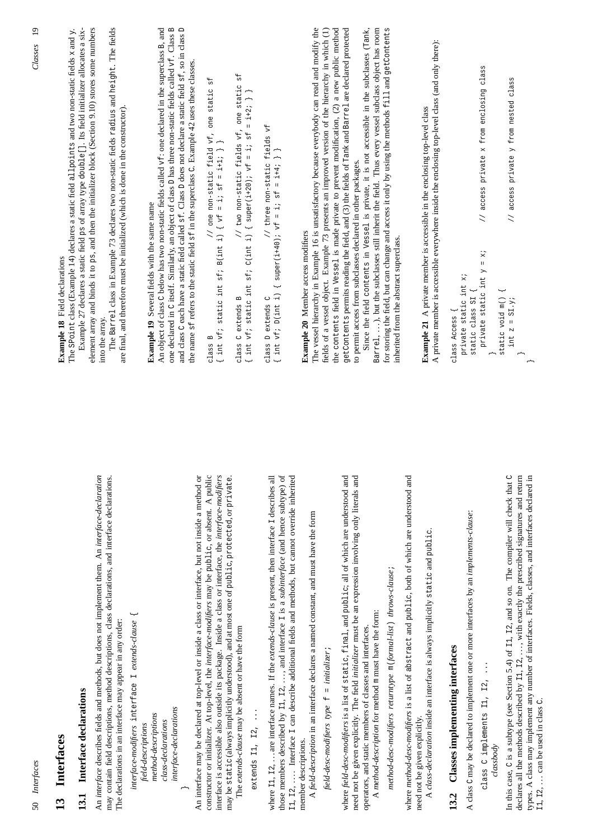| Interfaces<br>$\mathbf{13}$                                                                                                                                                                                                                                                                                                                                                                                                             | Example 18 Field declarations                                                                                                                                                                                                                                                                                                                                        |
|-----------------------------------------------------------------------------------------------------------------------------------------------------------------------------------------------------------------------------------------------------------------------------------------------------------------------------------------------------------------------------------------------------------------------------------------|----------------------------------------------------------------------------------------------------------------------------------------------------------------------------------------------------------------------------------------------------------------------------------------------------------------------------------------------------------------------|
| Interface declarations<br>13.1                                                                                                                                                                                                                                                                                                                                                                                                          | Example 27 declares a static field ps of array type double []. Its field initializer allocates a six-<br>The SPoint class (Example 14) declares a static field all points and two non-static fields x and $y$ .                                                                                                                                                      |
| An interface describes fields and methods, but does not implement them. An interface-declaration<br>may contain field descriptions, method descriptions, class declarations, and interface declarations.<br>The declarations in an interface may appear in any order:                                                                                                                                                                   | element array and binds it to ps, and then the initializer block (Section 9.10) stores some numbers<br>The Barrel class in Example 73 declares two non-static fields radius and height. The fields<br>are final, and therefore must be initialized (which is done in the constructor).<br>into the array.                                                            |
| interface-modifiers interface I extends-clause                                                                                                                                                                                                                                                                                                                                                                                          |                                                                                                                                                                                                                                                                                                                                                                      |
| method-descriptions<br>field-descriptions                                                                                                                                                                                                                                                                                                                                                                                               | Example 19 Several fields with the same name                                                                                                                                                                                                                                                                                                                         |
| class-declarations                                                                                                                                                                                                                                                                                                                                                                                                                      | An object of class C below has two non-static fields called vf: one declared in the superclass B, and                                                                                                                                                                                                                                                                |
| interface-declarations                                                                                                                                                                                                                                                                                                                                                                                                                  | and class C each have a static field called sf. Class D does not declare a static field sf, so in class D<br>one declared in C itself. Similarly, an object of class D has three non-static fields called vf. Class B                                                                                                                                                |
|                                                                                                                                                                                                                                                                                                                                                                                                                                         | the name sf refers to the static field sf in the superclass C. Example 42 uses these classes.                                                                                                                                                                                                                                                                        |
| interface is accessible also outside its package. Inside a class or interface, the <i>interface-modifiers</i><br>An interface may be declared at top-level or inside a class or interface, but not inside a method or<br>constructor or initializer. At top-level, the <i>interface-modifiers</i> may be public, or absent. A public<br>may be static (always implicitly understood), and at most one of public, protected, or private. | class B<br>( int vf; static int sf; B(int i) { $vf = i$ ; sf = i+1; } }<br>( int vf; static int sf; B(int i) { $vf = i$ ; sf = i+1; } }                                                                                                                                                                                                                              |
| The extends-clause may be absent or have the form                                                                                                                                                                                                                                                                                                                                                                                       | class C extends B<br>{ int vf; static int sf; C(int i) { super(i+20); vf = i; sf = i+2; } }                                                                                                                                                                                                                                                                          |
| extends $\Box$ , $\Box$ ,                                                                                                                                                                                                                                                                                                                                                                                                               |                                                                                                                                                                                                                                                                                                                                                                      |
| those members described by 11, 12, , and interface I is a subinterface (and hence subtype) of<br>where I1, I2,  are interface names. If the extends-clause is present, then interface I describes all<br>11, 12,  Interface I can describe additional fields and methods, but cannot override inherited                                                                                                                                 | // three non-static fields vf<br>{ int vf; D(int i) { $super(i+40);$ vf = i; sf = i+4; } }<br>class D extends C                                                                                                                                                                                                                                                      |
| A field-description in an interface declares a named constant, and must have the form<br>member descriptions.                                                                                                                                                                                                                                                                                                                           | The vessel hierarchy in Example 16 is unsatisfactory because everybody can read and modify the<br>Example 20 Member access modifiers                                                                                                                                                                                                                                 |
| field-desc-modifiers type f = initializer;                                                                                                                                                                                                                                                                                                                                                                                              | fields of a vessel object. Example 73 presents an improved version of the hierarchy in which (1)                                                                                                                                                                                                                                                                     |
| where field-desc-modifiers is a list of static, final, and public; all of which are understood and<br>need not be given explicitly. The field <i>initializer</i> must be an expression involving only literals and<br>operators, and static members of classes and interfaces.                                                                                                                                                          | the contents field in Vessel is made private to prevent modification, (2) a new public method<br>Since the field contents in Vessel is private, it is not accessible in the subclasses (Tank,<br>getContents permits reading the field, and (3) the fields of Tank and Barrel are declared protected<br>to permit access from subclasses declared in other packages. |
| A method-description for method m must have the form:                                                                                                                                                                                                                                                                                                                                                                                   | Barrel, , but the subclasses still inherit the field. Thus every vessel subclass object has room                                                                                                                                                                                                                                                                     |
| method-desc-modifiers returntype m(formal-list) throws-clause;                                                                                                                                                                                                                                                                                                                                                                          | for storing the field, but can change and access it only by using the methods fill and getContents<br>inherited from the abstract superclass.                                                                                                                                                                                                                        |
| where <i>method-desc-modifiers</i> is a list of abstract and public, both of which are understood and<br>A class-declaration inside an interface is always implicitly static and public.<br>need not be given explicitly.                                                                                                                                                                                                               | A private member is accessible everywhere inside the enclosing top-level class (and only there):<br>Example 21 A private member is accessible in the enclosing top-level class                                                                                                                                                                                       |
| <b>Classes implementing interfaces</b><br>13.2                                                                                                                                                                                                                                                                                                                                                                                          | class Access                                                                                                                                                                                                                                                                                                                                                         |
| A class C may be declared to implement one or more interfaces by an implements-clause:                                                                                                                                                                                                                                                                                                                                                  | private static int x;<br>static class SI {                                                                                                                                                                                                                                                                                                                           |
| class C implements I1, I2,<br>classbody                                                                                                                                                                                                                                                                                                                                                                                                 | // access private x from enclosing class<br>$\ddot{x}$<br>$\mathbf{u}$<br>private static int y                                                                                                                                                                                                                                                                       |
| In this case, C is a subtype (see Section 5.4) of 11, 12, and so on. The compiler will check that C<br>declares all the methods described by 11, 12, , with exactly the prescribed signatures and return<br>types. A class may implement any number of interfaces. Fields, classes, and interfaces declared in                                                                                                                          | // access private y from nested class<br>static void $m()$ {<br>$z = \text{SL}.y$<br>int                                                                                                                                                                                                                                                                             |

50 Interfaces 50 *Interfaces*

### **13 Interfaces**  $13$  Inte

## **13.1 Interface declarations** 13.1 Inte

# **13.2 Classes implementing interfaces**  $13.2 \text{ Ca}$

types. AI1, I2, . . . can be used in class C.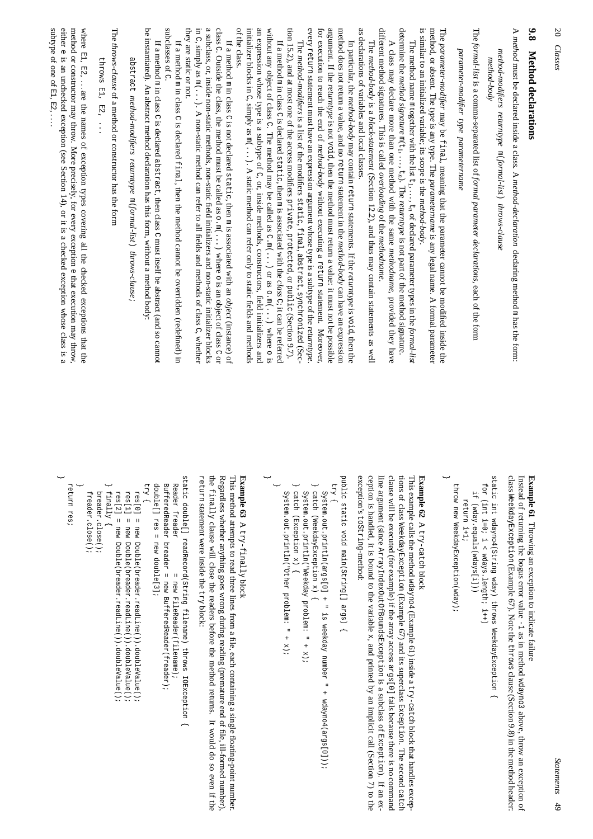### **9.8 Method declarations**

A *method* must be declared inside a class. A *method-declaration* declaring method m has the form:

*method-modifiers* method-body *method-body returntype* m(*formal-list*) *throws-clause*

The *formal-list* is a comma-separated list of *formal parameter declarations*, each ቧ the form

*parameter-modifier* parameter-modifier type parametername *parametername*

The *parameter-modifier* may be final, meaning that the parameter cannot be modified inside the method, or absent. The *type* is any type. The *parametername* is any legal name. A formal parameter is similar to an initialized variable; its scope is the *method-body*.

The method name m together with the list  $t_1, \ldots, t_n$  of declared parameter types in. the *formal-list* determine the *method signature*  $m(t_1, \ldots, t_n)$ . The *returntype* is not part ቧ the method signature.

A class may declare more than one method with the same *methodname*, provided they have different method signatures. This is called *overloading* ቧ the *methodname*.

The *method-body* is a *block-statement* (Section 12.2), and thus may contain statements as well as declarations ቧ variables and local classes.

 $\Xi$ particular, the *method-body* may contain return statements. If the *returntype* is void, then the method does not return a value, and no return statement in the *method-body* can have an expression argument. If the *returntype* is not void, then the method must return a value: it must not be possible for execution  $\Xi$ reach the end ቧ *method-body* without executing a return statement. Moreover, every return statement  $\mathop{\rm max}\limits$ have an expression argument whose type is a subtype ቧ<br>ት the *returntype*. (Sec-

The *method-modifiers* is a list ቧ the modifiers static, final, abstract, synchronized tion 15.2), and  $\overline{\varepsilon}$ most one of the access modifiers private, protected, or public (Section 9.7). If a method m in class C is declared static, then m is associated with the *class* C; it can be

referred without any object ቧ class C. The method may be called as C.m(...) or as o.m(...) where o is an expression whose type is a subtype of C, or, inside methods, constructors, field initializers and initializer blocks in C, simply as m(...). A static method can refer only to static fields and methods ቧ the class.

If a method m in class C is not declared static, then m is associated with an *object* (instance) ቧ class C. Outside the class, the method must be called as o.m(...) where o is an object ቧ class C or a subclass, or, inside non-static methods, non-static field initializers and non-static initializer blocks in C, simply as m(...). A non-static method can refer  $\Xi$  $\stackrel{\scriptscriptstyle{\mathsf{E}}}{=}$ fields and methods ቧ class C, whether they are static or not.

If a method m in class C is declared final, then the method cannot be overridden (redefined) in subclasses of C.

If a method m in class C is declared abstract, then class C must itself  $\Xi$ abstract (and so cannot be instantiated). An abstract method declaration  $\ln$ this form, without a method body:

abstract *method-modifiers returntype* m(*formal-list*) *throws-clause*;

The *throws-clause* of a method or constructor has the form

throws E1, E2, ...

where  $E1$ ,  $E2$ ,  $\ldots$  are the names ቧ exception types covering  $\stackrel{\scriptscriptstyle \omega}{=}$ the checked exceptions that the method or constructor may thro w. More precisely, for every exception e that execution may thro w, either e is an unchecked exception (see Section 14), or it is a checked exception whose class is a subtype ቧ one ቧ **E1, E2, . . .** .

### **Example 61** Throwing an exception to indicate failure

Instead ቧ returning the bogus error value -1 as in method wdayno3 above, thro w an exception ቧ class WeekdayException (Example 67). Note the throws clause (Section 9.8) in the method header:

static int wdayno4(String wday) throws WeekdayException

~

(int i=0; ا −<br>∧ wdays.length; i++) (wday.equals(wdays[i]))

for

if (wday.equals(wdays[i])) return return i+1;

throw new WeekdayException(wday);

~

### **Example 62**  $\blacktriangleright$ try-catch block

This example calls the method wdayno4 (Example 61) inside a try-catch block that handles exceptions ቧ class WeekdayException (Example 67) and its superclass Exception.<br>ק⊒ second catch clause will be executed (for example) if the array access args[0] fails because there is no command line argument (since ArrayIndexOutOfBoundsException is a subclass ቧ Exception).  $\Xi$ an exception is handled, it is punoq ಕ the variable x, and printed ड an implicit call (Section ب ಕ the exception's toString-method:

```
public static void main(String[] args) ~
                                                                                    try {
                                                                      System.out.println(args[0] + " is weekday number " + wdayno4(args[0]));
                                                        ~
                                                          catch (WeekdayException x) ~
                                          System.out.println("Weekday problem: \frac{1}{x} + x);
                            ~
                              catch (Exception x) ~
              System.out.println("Other problem: " + x);
—
```
### **Example 63**  $\blacktriangleright$ try-finally block

~

This method attempts  $\Xi$ read three lines from a file, each containing a single floating-point number. Regardless whether anything goes wrong during reading (premature end ቧ file, ill-formed number), the finally clause will close the readers before the method returns.  $\mathbf{H}$ would do so even  $\equiv$ the return statement were inside the try block:

```
static return res;
                                                                                                                                                                                                                                                                         Reader double[] return
                                                                                                                                                                                                 try {
                                                                                                                                                                                                                                                     BufferedReader finally breader.close();
                                               treader.close();
                                                   freader.close();
                                                                           breader.close();
                                                                                                                           res[2] res[1] res[0] double[] freader \blacksquare\blacksquare\blacksquareres = new \overline{\phantom{a}}new new new readRecord(String Double(breader.readLine()).doubleValue();
                                                                                                                                                   Double(breader.readLine()).doubleValue();
                                                                                                                                                                           Double(breader.readLine()).doubleValue();
                                                                                                                                                                                                                                                     breader double[3];
                                                                                                                                                                                                                                                        ^{\rm{H}}\blacksquarenew new BufferedReader(freader);
                                                                                                                                                                                                                                                                           FileReader(filename);
                                                                                                                                                                                                                                                                                                   filename) throws IOException \overline{\phantom{a}}
```
~

—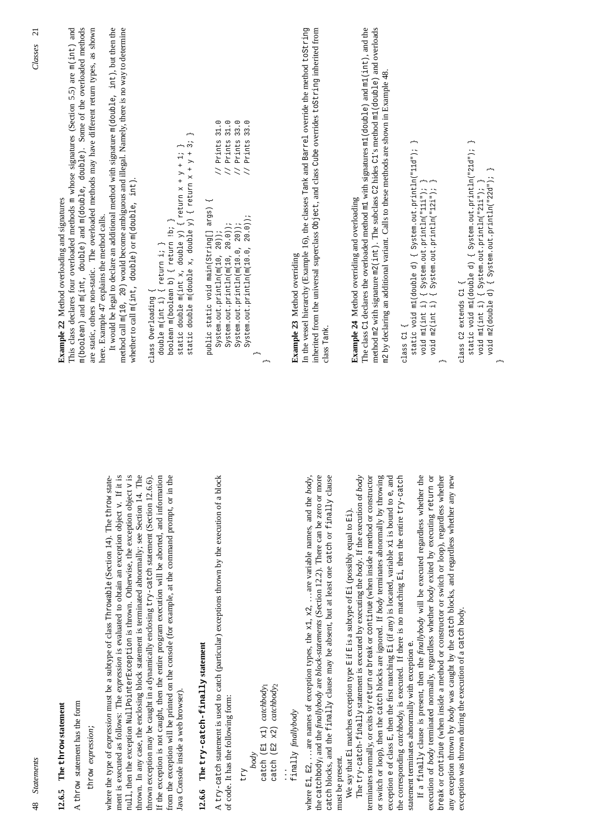| ě                     |  |
|-----------------------|--|
|                       |  |
|                       |  |
| $\tilde{\phantom{a}}$ |  |

## 12.6.5 The throw statement **12.6.5 The throw statement**

A throw statement has the form throw statement has the form

throw *expression*; throw expression

ment is executed as follows: The expression is evaluated to obtain an exception object v. If it is thrown. In any case, the enclosing block statement is terminated abnormally; see Section 14. The where the type of expression must be a subtype of class Throwable (Section 14). The throw statenull, then the exception NullPointerException is thrown. Otherwise, the exception object v is thrown exception may be caught in a dynamically enclosing try-catch statement (Section 12.6.6). If the exception is not caught, then the entire program execution will be aborted, and information from the exception will be printed on the console (for example, at the command prompt, or in the where the type of *expression* must be a subtype of class Throwable (Section 14). The throw statement is executed as follows: The *expression* is evaluated to obtain an exception object v. If it is null, then the exception NullPointerException is thrown. Otherwise, the exception object v is thrown. In any case, the enclosing block statement is terminated abnormally; see Section 14. The thrown exception may be caught in a dynamically enclosing try-catch statement (Section 12.6.6). If the exception is not caught, then the entire program execution will be aborted, and information from the exception will be printed on the console (for example, at the command prompt, or in the Java Console inside a web browser). Java Console inside a web browser).

# $12.6.6$  The try-catch-finally statement **12.6.6 The try-catch-finally statement**

A try-catch statement is used to catch (particular) exceptions thrown by the execution of a block A try-catch statement is used to catch (particular) exceptions thrown by the execution of a block of code. It has the following form: of code. It has the following form:

```
catch (E2 x2) catchbody2
           body
                                               catch (E2 x2) catchbody2
                               catch (E1 x1) catchbody1
                                                                             finally fuallybody
try
```
finally *finallybody*

the catchbody; and the *finallybody* are *block-statements* (Section 12.2). There can be zero or more catch blocks, and the finally clause may be absent, but at least one catch or finally clause where  $E1$ ,  $E2$ , ... are names of exception types, the x1, x2, ... are variable names, and the body, where  $E1, E2, ...$  are names of exception types, the  $x1, x2, ...$  are variable names, and the *body*, the catchbody*i* and the *finallybody* are *block-statements* (Section 12.2). There can be zero or more catch blocks, and the finally clause may be absent, but at least one catch or finally clause must be present. must be present.

We say that  $E_i$  matches exception type  $E$  if  $E$  is a subtype of  $E_i$  (possibly equal to  $E_i$ ). We say that Ei matches exception type E if E is a subtype of Ei (possibly equal to Ei).

or switch or loop), then the catch blocks are ignored. If body terminates abnormally by throwing exception e of class  $E$ , then the first matching  $E_2$  (if any) is located, variable xi is bound to e, and the corresponding *catchbody*; is executed. If there is no matching  $E_2$ , then the entire txy-catch The try-catch-finally statement is executed by executing the body. If the execution of body terminates normally, or exits by return or break or continue (when inside a method or constructor The try-catch-finally statement is executed by executing the *body*. If the execution of *body* terminates normally, or exits by return or break or continue (when inside a method or constructor or switch or loop), then the catch blocks are ignored. If *body* terminates abnormally by throwing exception e of class E, then the first matching Ei (if any) is located, variable xi is bound to e, and the corresponding *catchbodyi* is executed. If there is no matching Ei, then the entire try-catch statement terminates abnormally with exception e. statement terminates abnormally with exception e.

If a finally clause is present, then the *finallybody* will be executed regardless whether the break or continue (when inside a method or constructor or switch or loop), regardless whether execution of body terminated normally, regardless whether body exited by executing return or any exception thrown by body was caught by the catch blocks, and regardless whether any new If a finally clause is present, then the *finallybody* will be executed regardless whether the execution of *body* terminated normally, regardless whether *body* exited by executing return or break or continue (when inside a method or constructor or switch or loop), regardless whether was caught by the catch blocks, and regardless whether any ne was thrown during the execution of a catch body. exception was thrown during the execution of a catch body any exception thrown by *body*

# Example 22 Method overloading and signatures **Example 22** Method overloading and signatures

m(boolean) and m(int, double) and m(double, double). Some of the overloaded methods are static, others non-static. The overloaded methods may have different return types, as shown This class declares four overloaded methods m whose signatures (Section 5.5) are m(int) and This class declares four overloaded methods m whose signatures (Section 5.5) are m(int) and are static, others non-static. The overloaded methods may have different return types, as shown m(boolean) and m(int, double) and m(double, double). Some of the overloaded methods here. Example 47 explains the method calls. here. Example 47 explains the method calls.

It would be legal to declare an additional method with signature  $m$  (double, int ), but then the method call  $m(10, 20)$  would become ambiguous and illegal. Namely, there is no way to determine would be legal to declare an additional method with signature m(double, int), but then the way to determine would become ambiguous and illegal. Namely, there is no whether to call  $m(i$ nt, double) or  $m(double, int)$ . whether to call m(int, double) or m(double, int). method call m(10, 20)

```
static double m(double x, double y) { return x + y + 3; }
                                                                                                                                                                          static double m(double x_t, double y) { return x + y + 3; }
                                                                                                                       static double m(int x, double y) { return x + y + 1; }
                                                                                                                                static double m(int x, double y) { return x + y + 1; }
                                                                                       boolean m(boolean b) { return !b; }
                                                                                   boolean m(boolean b) { return !b;
                                         double m(int i) { return i; }
                                              double m(int i) { return i; }
class Overloading {
     class Overloading {
```

|                                         | $1/$ Prints 31.0               | $1/$ Prints 31.0                 | $1/$ Prints 33.0                 | $1/$ Prints 33.0                   |  |
|-----------------------------------------|--------------------------------|----------------------------------|----------------------------------|------------------------------------|--|
| public static void main (String[] args) | System.out.println(m(10, 20)); | System.out.println(m(10, 20.0)); | System.out.println(m(10.0, 20)); | System.out.println(m(10.0, 20.0)); |  |

## Example 23 Method overriding **Example 23** Method overriding

In the vessel hierarchy (Example 16), the classes Tank and Barrel override the method toString inherited from the universal superclass Object, and class Cube overrides to String inherited from inherited from the universal superclass Object, and class Cube overrides toString inherited from In the vessel hierarchy (Example 16), the classes Tank and Barrel override the method toString class Tank.

# Example 24 Method overriding and overloading **Example 24** Method overriding and overloading

method m2 with signature m2(int). The subclass C2 hides C1's method m1(double) and overloads The class C1 declares the overloaded method  $m1$  with signatures  $m1$  (double) and  $m1$  (int), and the The class C1 declares the overloaded method m1 with signatures m1(double) and m1(int), and the method m2 with signature m2(int). The subclass C2 hides C1's method m1(double) and overloads m2 by declaring an additional variant. Calls to these methods are shown in Example 48. m2 by declaring an additional variant. Calls to these methods are shown in Example 48.

```
class C1 {<br>static void ml(double d) { System.out.println("11d"); }
                                                 static void m1(double d) { System.out.println("11d"); }
                                                                                             void m1(int i) { System.out.println("11i"); }
                                                                                      void ml(int i) { System.out.println("lli");
```

```
void m2(int i) { System.out.println("12i"); }
void m2(int i) { System.out.println("12i");
```
### class C2 extends C1 { class C2 extends C1 {

```
static void ml(double d) { System.out.println("21d"); }
         static void m1(double d) { System.out.println("21d"); }
                                                                                                                 void m2(double d) { System.out.println("22d"); }
                                                                                                     void m2(double d) { System.out.println("22d");
                                                         void m1(int i) { System.out.println("21i"); }
                                                             void m1(int i) { System.out.println("21i"); }
```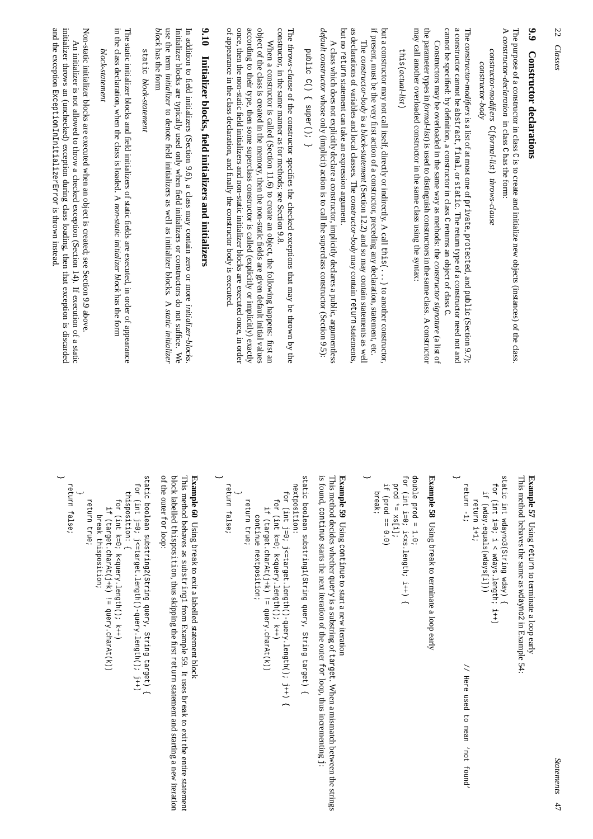### **9.9 Constructor declarations Constructor declarations**

The purpose of a constructor in class C is to create and initialize ne w objects (instances) ቧ the class. A *constructor-declaration* in class C has the form:

*constructor-modifiers* constructor-body *constructor-body* C(*formal-list*) *throws-clause*

The *constructor-modifiers*is a list of at most one ቧ private, protected, and public (Section 9.7); a constructor cannot be abstract, final, or static. The return type of a constructor need not and

constructor

in

class C returns

an

ቧ class C.

cannot be

specified: by definition, a object Constructors may be overloaded in  $\Xi$ same way as methods: the *constructor signature* (a list ቧ the parameter types in *formal-list*) is used  $\Xi$ distinguish constructors in the same class.  $\blacktriangleright$ constructor may call another overloaded constructor i. the same class using the syntax:

#### this(*actual-list*)

but a constructor may not call itself, directly or indirectly.  $\blacktriangleright$ call this(...) to another constructor, if present, must be the very first action of a constructor, preceding any declaration, statement, etc.

The *constructor-body* is a *block-statement* (Section 12.2) and so may contain statements as well as declarations ቧ<br>ት variables and local classes. The *constructor-body* may contain return statements, but no return statement can take an expression argument.

A class which does not explicitly declare a constructor, implicitly declares a public, argumentless *default constructor* whose only (implicit) action is to call the superclass constructor (Section 9.5):

#### public  $\hat{\circ}$ ~ super(); ~

The *throws-clause* ቧ the constructor specifies the checked exceptions  $\tan$ may be thrown  $\mathbf{\hat{z}}$ the constructor, in the same manner as for methods; see Section 9.8.

When a constructor is called (Section 11.6) to create an object, the following happens: first an object ቧ<br>ት the class is created in. the memory, then the non-static fields are given default initial values according to their type, then some superclass constructor is called (explicitly or implicitly) exactly once, then the non-static field initializers and non-static initializer blocks are executed once, in order ቧ appearance in the class declaration, and finally the constructor body is executed.

### **9.10 Initializer blocks, field initializers and initializers**

 $\Xi$ addition  $\Xi$ field initializers (Section 9.6), a class may contain zero or more *initializer-blocks*. Initializer blocks are typically used only when field initializers or constructors do not suffice. We use the term *initializer* to denote field initializers as well as initializer blocks. A *static initializer block* has the form

### static block-statemen: *block-statement*

The static initializer blocks and field initializers ቧ static fields are executed, in order ቧ<br>ት appearance i. the class declaration, when the class is loaded.  $\blacktriangleright$ *non-static initializer block* has the form

### block-statement *block-statement*

Non-static initializer blocks are executed when an object is created; see Section 9.9 above. An initializer is not allowed  $\Xi$ thro w a checked exception (Section 14).  $\Xi$ execution of a static initializer throws an (unchecked) exception during class loading, then  $\thinspace \text{that}$ exception is discarded and the exception ExceptionInInitializerError is thrown instead.

#### **Example** Using This method behaves the same as wdayno2 in Example 54:

**57**

static int wdayno3(String wday)  $\overline{\phantom{a}}$ for (int i=0; ..<br>^ wdays.length; i++) if (wday.equals(wdays[i]) (wday.equals(wdays[i])) return return i+1; return return -1;

// Here used to mean 'not found'

### **Example 58** Using break  $\Xi$ terminate a loop early

~

double prod = ا<br>: 0; for (int i=0; i<xs.length; i++) prod \*= xs[i]; if (prod !!<br>!! 0.0) break;

~

### **Example 59** Using continue to start a ne w iteration

This method decides whether query is a substring ቧ target. When a mismatch between the strings is found, continue starts the next iteration ቧ the outer for loop, thus incrementing j:

static return false; nextposition: nextposition: return ~ for return true; return for boolean if (int continue nextposition; continue (int (target.charAt(j+k) ب<br>ج: k=0; substring1(String j<=target.length()-query.length(); nextposition; k<query.length(); ...<br>!! query, query.charAt(k)) k++) String target) j++) ~

~

### **Example 60** Using break  $\Xi$ exit a labelled statement block

~

This method behaves as substring1 from Example 59. It uses break  $\Xi$ exit the entire statement block labelled thisposition, thus skipping the first return statement and starting a ne w iteration ቧ the outer for loop:

 $\overline{\phantom{a}}$ 

```
static return false;
   return for thisposition:
                 ~
                                                                                                         thisposition: return true;
                                      return for (int boolean H;
                                                   break thisposition;
                                                                                        (int j=0; (target.charAt(j+k) k=0; substring2(String thisposition;
                                                                                                                          j<=target.length()-query.length(); \overline{\phantom{a}}k<query.length(); ...<br>!!
                                                                                                                                            query, query.charAt(k))
                                                                                        k++)
                                                                                                                                            String target) j++)
```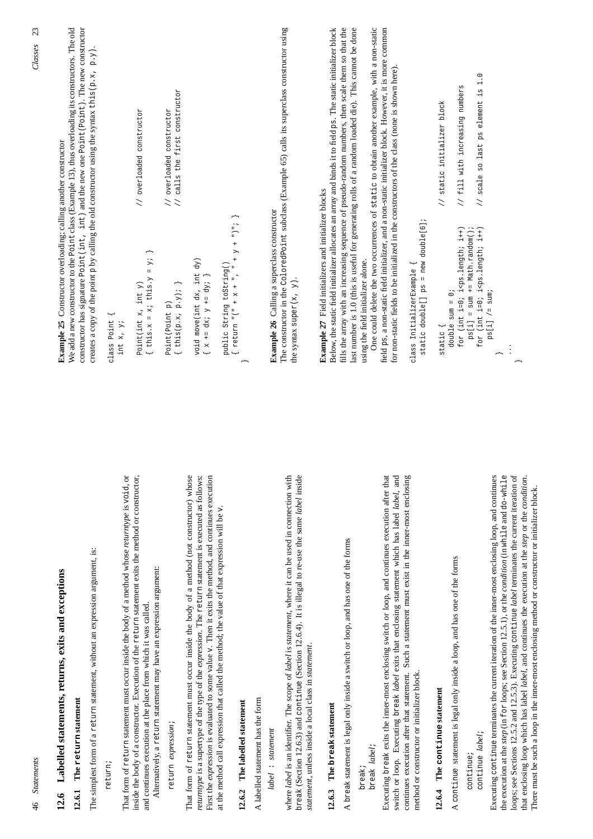| s |
|---|
| l |

# 12.6 Labelled statements, returns, exits and exceptions **12.6 Labelled statements, returns, exits and exceptions**

## 12.6.1 The return statement **12.6.1 The return statement**

The simplest form of a return statement, without an expression argument, is: The simplest form of a return statement, without an expression argument, is:

return;

That form of return statement must occur inside the body of a method whose returntype is void, or inside the body of a constructor. Execution of the return statement exits the method or constructor, That form of return statement must occur inside the body of a method whose *returntype* is void, or inside the body of a constructor. Execution of the return statement exits the method or constructor, Alternatively, a return statement may have an expression argument: Alternatively, a return statement may have an expression argument: and continues execution at the place from which it was called. and continues execution at the place from which it was called.

return expression; return *expression*; That form of return statement must occur inside the body of a method (not constructor) whose First the expression is evaluated to some value v. Then it exits the method, and continues execution returntype is a supertype of the type of the expression. The return statement is executed as follows: That form of return statement must occur inside the body of a method (not constructor) whose  $\Gamma$ *returntype* is a supertype of the type of the *expression*. The return statement is executed as follows: First the *expression* is evaluated to some value v. Then it exits the method, and continues execution at the method call expression that called the method; the value of that expression will be v. at the method call expression that called the method; the value of that expression will be v.

## 12.6.2 The labelled statement **12.6.2 The labelled statement**

A labelled statement has the form labelled statement has the form

*label* : *statement* label : statement

break (Section 12.6.3) and continue (Section 12.6.4). It is illegal to re-use the same label inside where label is an identifier. The scope of label is statement, where it can be used in connection with where *label* is an identifier. The scope of *label* is *statement*, where it can be used in connection with break (Section 12.6.3) and continue (Section 12.6.4). It is illegal to re-use the same *label* inside statement, unless inside a local class in statement. *statement*, unless inside a local class in *statement*.

## 12.6.3 The break statement **12.6.3 The break statement**

A break statement is legal only inside a switch or loop, and has one of the forms break statement is legal only inside a switch or loop, and has one of the forms

break; break *label*;

switch or loop. Executing break *label* exits that enclosing statement which has label *label*, and continues execution after that statement. Such a statement must exist in the inner-most enclosing Executing break exits the inner-most enclosing switch or loop, and continues execution after that Executing break exits the inner-most enclosing switch or loop, and continues execution after that switch or loop. Executing break *label* exits that enclosing statement which has label *label*, and continues execution after that statement. Such a statement must exist in the inner-most enclosing method or constructor or initializer block. method or constructor or initializer block.

## 12.6.4 The continue statement **12.6.4 The continue statement**

A continue statement is legal only inside a loop, and has one of the forms continue statement is legal only inside a loop, and has one of the forms

continue;<br>continue *label*; continue *label*;

the execution at the *step* (in for loops; see Section 12.5.1), or the *condition* (in while and do-while loops; see Sections 12.5.2 and 12.5.3). Executing continue label terminates the current iteration of Executing continue terminates the current iteration of the inner-most enclosing loop, and continues loops; see Sections 12.5.2 and 12.5.3). Executing continue *label* terminates the current iteration of that enclosing loop which has label *label*, and continues the execution at the *step* or the *condition*. Executing continue terminates the current iteration of the inner-most enclosing loop, and continues the execution at the *step* (in for loops; see Section 12.5.1), or the *condition* (in while and do-while that enclosing loop which has label *label*, and continues the execution at the *step* or the *condition*. There must be such a loop in the inner-most enclosing method or constructor or initializer block. There must be such a loop in the inner-most enclosing method or constructor or initializer block.

# Example 25 Constructor overloading; calling another constructor **Example 25** Constructor overloading; calling another constructor

We add a new constructor to the Point class (Example 13), thus overloading its constructors. The old constructor has signature  $Point(int, int)$  and the new one  $Point(Point).$  The new constructor We add a new constructor to the Point class(Example 13), thus overloading its constructors. The old constructor has signature Point(int, int) and the new one Point(Point). The new constructor creates a copy of the point p by calling the old constructor using the syntax this (p.x, p.y). creates a copy of the point p by calling the old constructor using the syntax this (p.x, p.y).

class Point { class Point int x, y;

Point(int  $x$ , int  $y$ )  $/$  overloaded constructor // overloaded constructor { this. $x = x$ ; this. $y = y$ ; } { this. $x = x$ ; this.  $y = y$ ; } Point(int x, int y)

Point(Point p) // overloaded constructor  $\left\{\text{this}(p.x, p.y)\right\}$ Point(Point p)

// calls the first constructor  $\{$  this(p.x, p.y);  $\}$  /  $\{$  // calls the first constructor // overloaded constructor

void move(int dx, int dy) void move(int dx, int dy) {  $x == dxi$ ;  $y += dyi$  } {  $x == dx; y == dy;$ 

{ return "(" + x + ", " + y + ")"; }  $\{$  return "(" + x + ", " + y + ")";  $\}$ public String toString() public String toString()

Example 26 Calling a superclass constructor **Example 26** Calling a superclass constructor

The constructor in the ColoredPoint subclass (Example 65) calls its superclass constructor using The constructor in the ColoredPoint subclass (Example 65) calls its superclass constructor using the syntax super $(x, y)$ . the syntax super $(x, y)$ .

# Example 27 Field initializers and initializer blocks **Example 27** Field initializers and initializer blocks

last number is 1.0 (this is useful for generating rolls of a random loaded die). This camot be done Below, the static field initializer allocates an array and binds it to field ps. The static initializer block fills the array with an increasing sequence of pseudo-random numbers, then scale them so that the Below, the static field initializer allocates an array and binds it to field ps. The static initializer block fills the array with an increasing sequence of pseudo-random numbers, then scale them so that the last number is 1.0 (this is useful for generating rolls of a random loaded die). This cannot be done using the field initializer alone. using the field initializer alone.

One could delete the two occurrences of static to obtain another example, with a non-static field ps, a non-static field initializer, and a non-static initializer block. However, it is more common One could delete the two occurrences of static to obtain another example, with a non-static field ps, a non-static field initializer, and a non-static initializer block. However, it is more common for non-static fields to be initialized in the constructors of the class (none is shown here). for non-static fields to be initialized in the constructors of the class (none is shown here).

static double[] ps = new double[6]; static double[] ps = new double[6]; class InitializerExample { class InitializerExample {

// scale so last ps element is 1.0 for (int i=0; i<ps.length; i++) // scale so last ps element is 1.0 // fill with increasing numbers for (int i=0; i<ps.length; i++) // fill with increasing numbers // static initializer block static  $\left\{ \right.$  // static initializer block for (int i=0; i<ps.length; i++) for  $(int i=0; i<sub>sps</sub>.length; i++)$  $ps[i] = sum += Math.random()$ ps[i] = sum += Math.random(); double sum  $= 0$ ;  $ps[i]$  /= sum; double sum = 0; ps[i] /= sum;  $static$ ...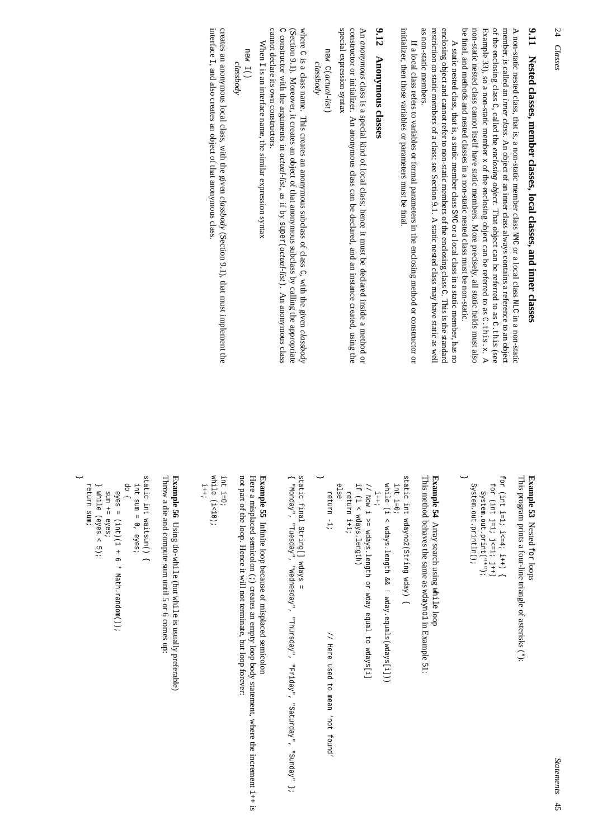### **9.11 Nested classes, member classes, local classes, and inner classes**

A non-static nested class, that is, a non-static member class NMC or a local class N<br>C in a non-static member, is called an *inner class*. An object ቧ an inner class always contains a reference  $\Xi$ an object ቧ the enclosing class C, called the *enclosing object*. That object can be referred  $\Xi$ as C.this (see Example 33), so a non-static member x of the enclosing object can be referred to as C.this.x.<br>> non-static nested class cannot itself have static members. More precisely,  $\stackrel{\scriptscriptstyle w}{=}$ static fields must also be final, and methods and nested classes in a non-static nested class must be non-static.

A static nested class,  $\tan$ is, a static member class SMC or a local class in a static member,  $\ln$ no enclosing object and cannot refer to non-static members ቧ the enclosing class C. This is the standard restriction on static members of a class; see Section ه.<br>-A static nested class may have static as well as non-static members. non-static members.

If a local class refers  $\Xi$ variables or formal parameters in the enclosing method or constructor or initializer, then those variables or parameters  $_{\rm{sum}}$  $\Xi$ final.

### **9.12 Anonymous Anonymous classes**

An *anonymous* class is a special kind ቧ<br>ት local class; hence it must be declared inside a method or constructor or initializer. An anonymous class can be declared, and an instance created, using the special expression syntax

new C(*actual-list*)

*classbody*

where C is a class name. This creates an anonymous subclass ቧ class C, with (Section 9.1). Moreover, it creates an object ቧ  $\tan$ anonymous subclass by calling

the given

the

appropriate

*classbody*

cannot declare its own constructors. When I is an interface name, the similar expression syntax

C

constructor

with the

arguments

in

*actual-list*

, as if by

super(

*actual-list*

). An

anonymous

class

new  $\Xi$ 

*classbody*

creates an anonymous local class, with the given *classbody* (Section 9.1),  $\tan$ must implement the interface I, and also creates an object ቧ that anonymous class.

#### **Example 53** Nested for loops This program prints a four-line triangle ቧ asterisks (\*):

~ for System.out.println(); System.out.println(); for System.out.print("\*"); System.out.print("\*"); (int (int i=1; j=1; i<=4; j<=i; i++) j++) ~

#### **Example 54** Array search using while loop This method behaves the same as wdayno1 in Example <u>ب</u><br>:-

static int wdayno2(String wday) ~ int i=0; while ن<br>^ wdays.length &<br>∉<br>! wday.equals(wdays[i])) i++; // Now i >= wdays.length or wday equal to wdays[i] if ن<br>^ wdays.length) return return i+1; else return return -1; // Here used to mean 'not found' static final

String[] wdays = ~ "Monday", "Tuesday", "Wednesday", "Thursday", "Friday", "Saturday", "Sunday"

**);** 

### **Example 55** Infinite loop because ቧ misplaced semicolon

Here a misplaced semicolon (;) creates an empty loop body statement, where the increment i++ is not part ቧ the loop. Hence it will not terminate, but loop forever:

int.<br>I i=0; while (i<10); i++;

#### **Example 56** Using do-while (but while is usually preferable) Throw a die and compute sum until 5 or 6 comes up:

```
static int waitsum() ~
                                                            int sum = 0, eyes;
                                               do {
                                    eyes = (int)(1 + 6 * Math.random());
                          sum ^+eyes;
            } while (eyes < 5);
   return return sum;
```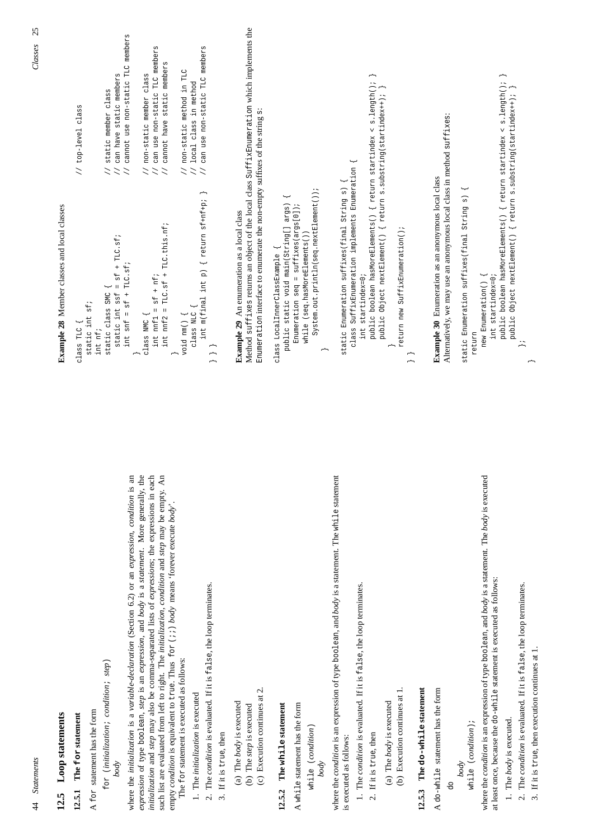## 12.5 Loop statements **12.5 Loop statements**

## 12.5.1 The for statement **12.5.1 The for statement**

## A for statement has the form for statement has the form

for (initialization; condition; step) for (*initialization*; *condition*; *step*)

*body*

where the initialization is a variable-declaration (Section 6.2) or an expression, condition is an expression of type boolean, step is an expression, and body is a statement. More generally, the initialization and step may also be comma-separated lists of expressions; the expressions in each such list are evaluated from left to right. The initialization, condition and step may be empty. An where the *initialization* is a *variable-declaration* (Section 6.2) or an *expression*, *condition* is an *expression* of type boolean, *step* is an *expression*, and *body* is a *statement*. More generally, the *initialization* and *step* may also be comma-separated lists of *expressions*; the expressions in each such list are evaluated from left to right. The *initialization*, *condition* and *step* may be empty. An empty condition is equivalent to true. Thus for  $(i)$  body means 'forever execute body'. empty *condition* is equivalent to true. Thus for (;;) *body* means 'forever execute *body*'. The for statement is executed as follows:

The for statement is executed as follows: 1. The initialization is executed 1. The *initialization* is executed

- 2. The condition is evaluated. If it is false, the loop terminates. 2. The *condition* is evaluated. If it is false, the loop terminates.
	- 3. If it is true, then 3. If it is true, then
- 
- (a) The *body* is executed<br>(b) The *step* is executed (a) The *body* is executed
- (c) Execution continues at 2. (c) Execution continues at 2. (b) The *step* is executed

## 12.5.2 The while statement **12.5.2 The while statement**

A while statement has the form while statement has the form

while (condition) while (*condition*) *body*

where the *condition* is an expression of type boolean, and body is a statement. The while statement where the *condition* is an expression of type boolean, and *body* is a statement. The while statement is executed as follows: is executed as follows:

1. The condition is evaluated. If it is false, the loop terminates. 1. The *condition* is evaluated. If it is false, the loop terminates.

2. If it is true, then 2. If it is true, then (a) The *body* is executed<br>(b) Execution continues at 1. (a) The *body* is executed

(b) Execution continues at 1.

## 12.5.3 The do-while statement **12.5.3 The do-while statement**

A do-while statement has the form A do-while statement has the form

do

*body*<br>while (*condition*); while (*condition*); where the condition is an expression of type boolean, and body is a statement. The body is executed where the *condition* is an expression of type boolean, and *body* is a statement. The *body* is executed at least once, because the do-while statement is executed as follows: at least once, because the do-while statement is executed as follows:

- 1. The body is executed. 1. The *body* is executed.
- 2. The condition is evaluated. If it is false, the loop terminates. 2. The *condition* is evaluated. If it is false, the loop terminates.
- 3. If it is true, then execution continues at 1. 3. If it is true, then execution continues at 1.

## Example 28 Member classes and local classes **Example 28** Member classes and local classes

| // top-level class | // cannot use non-static TLC members                   | // can use non-static TLC members         | // can use non-static TLC members      |
|--------------------|--------------------------------------------------------|-------------------------------------------|----------------------------------------|
|                    | // can have static members                             | // cannot have static members             | // non-static method in TLC            |
|                    | // static member class                                 | // non-static member class                | // local class in method               |
| static int sf;     | static int ssf = sf + TLC.sf;                          | $int mf2 = TLC.$ sf + $TLC.$ this. $nf$ ; | int m(final int p) { return sf+nf+p; } |
| class TLC {        | $int \; \text{snf} = \text{sf} + \text{TLC}.\text{sf}$ | $int \text{mf1} = sf + nf;$               | class NLC {                            |
| int nf;            | static class SMC                                       | class NMC                                 | void nm()                              |

## Example 29 An enumeration as a local class **Example 29** An enumeration as a local class

Method suffixes returns an object of the local class SuffixEnumeration which implements the Method suffixes returns an object of the local class SuffixEnumeration which implements the Enumeration interface to enumerate the non-empty suffixes of the string s: Enumeration interface to enumerate the non-empty suffixes of the string s:

public boolean hasMoreElements() { return startindex < s.length(); } public boolean hasMoreElements() { return startindex < s.length(); } public Object nextElement() { return s.substring(startindex++); } public Object nextElement() { return s.substring(startindex++); } class SuffixEnumeration implements Enumeration { class SuffixEnumeration implements Enumeration { static Enumeration suffixes(final String s) { static Enumeration suffixes (final String s) System.out.println(seq.nextElement()); System.out.println(seq.nextElement()); public static void main(String[] args) { public static void main(String[] args) { Enumeration seq = suffixes(args[0]); Enumeration seq = suffixes(args[0]); while (seq.hasMoreElements()) while (seq.hasMoreElements() class LocalInnerClassExample { class LocalInnerClassExample int startindex=0; int startindex=0;

return new SuffixEnumeration(); return new SuffixEnumeration();

 $\overline{a}$ 

## Alternatively, we may use an anonymous local class in method suffixes: Alternatively, we may use an anonymous local class in method suffixes: Example 30 Enumeration as an anonymous local class **Example 30** Enumeration as an anonymous local class

public boolean hasMoreElements() { return startindex < s.length(); } public boolean hasMoreElements() { return startindex < s.length(); } public Object nextElement() { return s.substring(startindex++); } public Object nextElement() { return s.substring(startindex++); } static Enumeration suffixes(final String s) { static Enumeration suffixes (final String s) return<br>new Enumeration() { int startindex=0; new Enumeration() { int startindex=0; };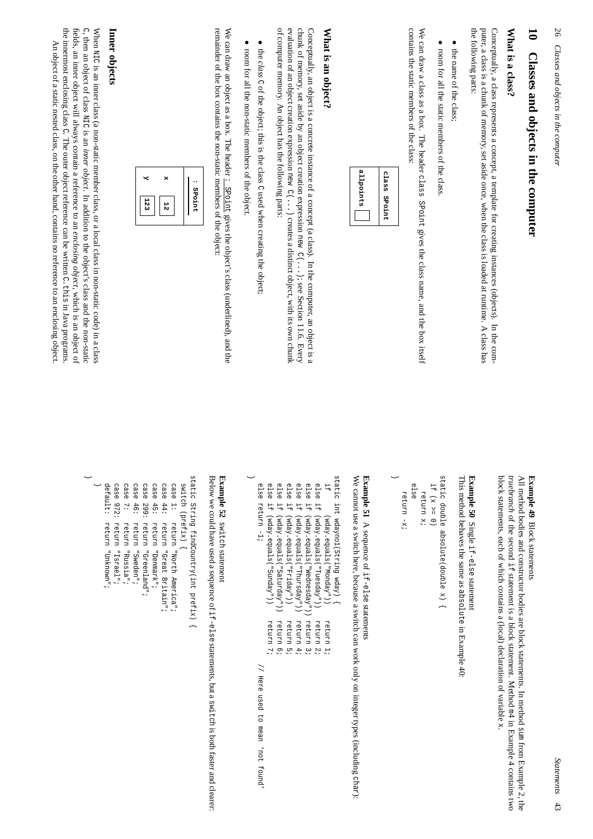### **10 Classes and objects in the computer**

### **What is a class?**

Conceptually, a class represents a concept, a template for creating instances (objects).  $\Xi$ the computer, a class is a chunk ቧ memory, set aside once, when the class is loaded  $\overline{\varepsilon}$ runtime. A class  $\ln$ the following parts:

- the name ቧ<br>ት the class;
- room for  $\stackrel{\scriptscriptstyle w}{=}$ the static members ቧ the class.

We can draw a class as a box. The header class SPoint gives the class name, and the box itself contains the static members ቧ the class:



#### **What is an object?**

Conceptually, an object is a concrete instance of a concept (a class).  $\Xi$ the computer, an object is a chunk ቧ memory, set aside by an object creation expression new C(...); see Section 11.6. Every evaluation ቧ an object creation expression new C(...) creates a distinct object, with its own chunk ቧ computer memory. An object has the following parts:

- the *class* C of the object; this is the class C used when creating the object;
- room for  $\stackrel{w}{=}$ the non-static members ቧ the object.

We can draw an object as a box. The header : SPoint gives the object's class (underlined), and the remainder ቧ the box contains the non-static members ቧ<br>ት the object:



### **Inner objects**

When NIC is an inner class (a non-static member class, or a local class in non-static code) in a class C, then an object ቧ<br>ት class NIC is an *inner object*. In addition to the object's class and the non-static fields, an inner object will always contain a reference to an *enclosing object*, which is an object ቧ the innermost enclosing class C. The outer object reference can  $\Xi$ written C.this in. Java programs. An

### **Example 49** Block statements

 $\Xi$ method bodies and constructor bodies are block statements.  $\Xi$ method sum from Example ب the *truebranch* of the second H.<br>Hi statement is a block statement. Method m4 in Example 4 contains two block statements, each ቧ which contains a (local) declaration ቧ variable x.

### **Example 50** Single if-else statement

This method behaves the same as absolute in Example 40:

 $_{\rm x}$ ~

static double absolute(double  $\widehat{\mathsf{x}}$ >= 0) return return x; else return return -x;

if

~

### **Example 51**  $\blacktriangleright$ sequence ቧ<br>ት if-else statements

We cannot use a switch here, because a switch can work only on integer types (including char):

| else<br>return -1; | else<br>H,              | else                      | else                    | else                      | else                       | else<br>$\frac{1}{11}$   | H.                      | static int wdaynol(String wday) { |
|--------------------|-------------------------|---------------------------|-------------------------|---------------------------|----------------------------|--------------------------|-------------------------|-----------------------------------|
|                    | (wday.equals("Sunday")) | (wday.equals("Saturday")) | (wday.equals("Friday")) | (wday.equals("Thursday")) | (wday.equals("Wednesday")) | (wday.equals("Tuesday")) | (wday.equals("Monday")) |                                   |
|                    | return                  | return                    | return 5;               | return 4;                 | return 3;                  | return 2;                | return 1;               |                                   |
|                    | $\frac{1}{2}$           |                           |                         |                           |                            |                          |                         |                                   |
|                    |                         |                           |                         |                           |                            |                          |                         |                                   |

### **Example 52** switch statement

~

Below we could have used a sequence ቧ if-else statements, but a switch is both faster and clearer:

Here used to mean

'not

found'

static default: default: case case case case case case case switch String 972: 7: 46: 299: 45: 44: 1: (prefix) return return "Great Britain"; return return return return return return return return return return return findCountry(int ~ "nnknown" "Sweden"; "North America"; "Russia"; "Unknown"; "Israel"; "Russia"; "Sweden"; "Greenland"; "Denmark"; Britain"; America"; prefix) ~

~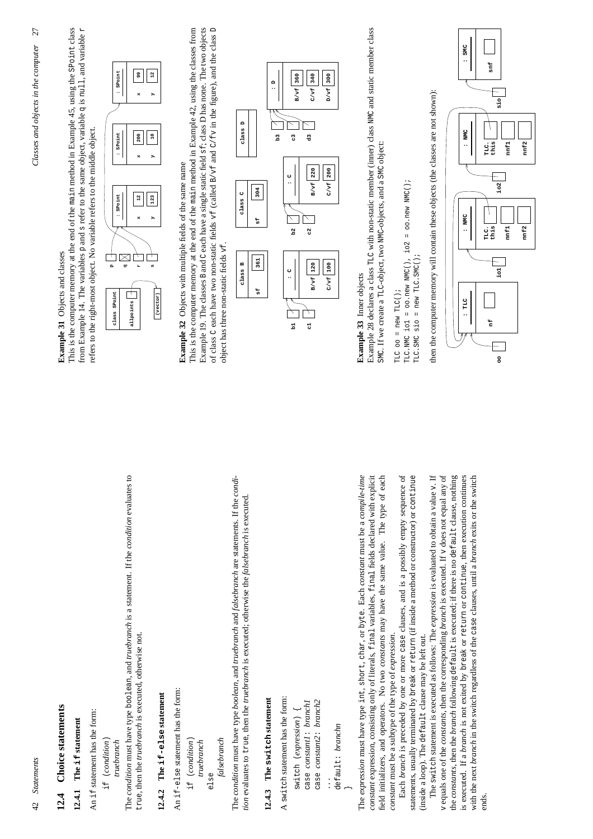## 12.4 Choice statements **12.4 Choice statements**

### 12.4.1 The if statement **12.4.1 The if statement**

# An if statement has the form:

An if statement has the form:

if (condition) if (*condition*)

*truebranch*<br>The *condition* must have type boolean, and *truebranch* is a statement. If the *condition* evaluates to The *condition* must have type boolean, and *truebranch* is a statement. If the *condition* evaluates to true, then the truebranch is executed, otherwise not. true, then the *truebranch* is executed, otherwise not.

## 12.4.2 The if-else statement **12.4.2 The if-else statement**

An if-else statement has the form: An if-else statement has the form:

- if (*condition*) if (condition)
	- *truebranch*
- else
- *falsebranch*

The condition must have type boolean, and truebranch and falsebranch are statements. If the condi-The *condition* must have type *boolean*, and *truebranch* and *falsebranch* are statements. If the *condition* evaluates to true, then the *truebranch* is executed; otherwise the *falsebranch* is executed. tion evaluates to true, then the truebranch is executed; otherwise the falsebranch is executed

## 12.4.3 The switch statement **12.4.3 The switch statement**

## A switch statement has the form: switch statement has the form:

- case constant2: branch2 case constant1: branch1 case *constant1*: *branch1* case *constant2*: *branch2* switch (expression) { switch (*expression*) {
- default: branchn
- default: *branchn*

The expression must have type int, short, char, or byte. Each constant must be a compile-time constant expression, consisting only of literals, final variables, final fields declared with explicit field initializers, and operators. No two constants may have the same value. The type of each The *expression* must have type int, short, char, or byte. Each *constant* must be a *compile-time constant* expression, consisting only of literals, final variables, final fields declared with explicit field initializers, and operators. No two *constants* may have the same value. The type of each constant must be a subtype of the type of expression. *constant* must be a subtype of the type of *expression*.

Each branch is preceded by one or more case clauses, and is a possibly empty sequence of Each *branch* is preceded by one or more case clauses, and is a possibly empty sequence of statements, usually terminated by break or return (if inside a method or constructor) or continue statements, usually terminated by break or return (if inside a method or constructor) or continue (inside a loop). The default clause may be left out. (inside a loop). The default clause may be left out.

The switch statement is executed as follows: The expression is evaluated to obtain a value v. If the constants, then the branch following default is executed; if there is no default clause, nothing The switch statement is executed as follows: The *expression* is evaluated to obtain a value v. If v equals one of the constants, then the corresponding branch is executed. If v does not equal any of equals one of the *constants*, then the corresponding *branch* is executed. If v does not equal any of is executed. If a *branch* is not exited by break or return or continue, then execution continues with the next branch in the switch regardless of the case clauses, until a branch exits or the switch the *constants*, then the *branch* following default is executed; if there is no default clause, nothing is executed. If a *branch* is not exited by break or return or continue, then execution continues with the next *branch* in the switch regardless of the case clauses, until a *branch* exits or the switch ends.

## Example 31 Objects and classes **Example 31** Objects and classes

This is the computer memory at the end of the main method in Example 45, using the SPoint class from Example 14. The variables p and s refer to the same object, variable q is  $\text{null}$ , and variable  $\text{r}$ This is the computer memory at the end of the main method in Example 45, using the SPoint class from Example 14. The variables p and s refer to the same object, variable q is null, and variable r refers to the right-most object. No variable refers to the middle object. refers to the right-most object. No variable refers to the middle object.



# Example 32 Objects with multiple fields of the same name **Example 32** Objects with multiple fields of the same name

of class C each have two non-static fields vf (called  $B/\nu f$  and  $C/f\nu$  in the figure), and the class D This is the computer memory at the end of the main method in Example 42, using the classes from Example 19. The classes B and C each have a single static field  $sfi$ ; class D has none. The two objects This is the computer memory at the end of the main method in Example 42, using the classes from  $\frac{1}{2}$ Example 19. The classes B and C each have a single static field sf; class D has none. The two objects of class C each have two non-static fields vf (called B/vf and C/fv in the figure), and the class D object has three non-static fields vf. object has three non-static fields vf.



### Example 33 Inner objects **Example 33** Inner objects

Example 28 declares a class TLC with non-static member (inner) class NMC and static member class Example 28 declares a class TLC with non-static member (inner) class NMC and static member class SMC. If we create a TLC-object, two NMC-objects, and a SMC object: SMC. If we create a TLC-object, two NMC-objects, and a SMC object:

TLC. NMC iol = 00. new NMC(), io2 = 00. new NMC(); TLC.NMC io1 = oo.new NMC(), io2 = oo.new NMC(); TLC.SMC sio = new TLC.SMC(); TLC.SMC sio = new TLC.SMC(); TLC  $oo = new TLC()$ TLC oo = new TLC();

then the computer memory will contain these objects (the classes are not shown): then the computer memory will contain these objects (the classes are not shown):

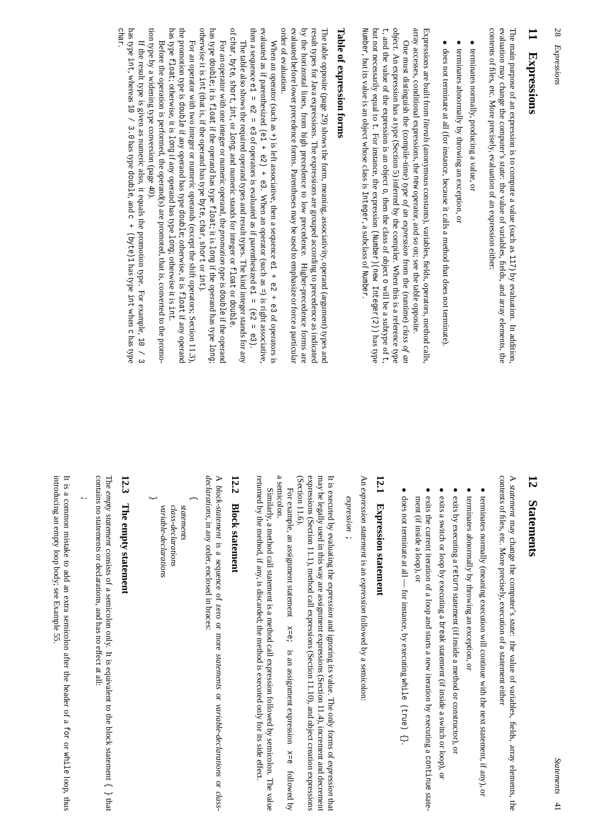### **11** Expressions **Expressions**

The main purpose ቧ an expression is  $\overline{\rm s}$ compute a value (such as 117) by evaluation.  $\Xi$ addition, evaluation may change the computer's *state*: the value ቧ variables, fields, and array elements, the contents ቧ files, etc. More precisely, evaluation ቧ an expression either:

- terminates normally, producing a value, or
- terminates abnormally by throwing an exception, or
- does not terminate  $\overline{a}$  $\stackrel{w}{=}$ (for instance, because it calls a method  $\frac{1}{2}$ does not terminate).

Expressions are built from *literals* (anonymous constants), variables, fields, operators, method calls, array accesses, conditional expressions, the new operator, and so on; see the table opposite.

One must distinguish the (compile-time) *type of an expression* from the (runtime) *class of an object*. An expression has a type (Section ك inferred  $\mathbf{\hat{z}}$ the compiler. When this is a reference type t, and the value of the expression is an object o, then the class ቧ<br>ት object o will be a subtype of t, but not necessarily equal to t. For instance, the expression (Number)(new Integer(2)) has type Number, but its value is an object whose class is Integer, a subclass ቧ Number.

### **Table of expression forms**

The table opposite (page 29) shows the form, meaning, associativity, operand (argument) types and result types for Java expressions. The expressions are grouped according to precedence as indicated by the horizontal lines, from high precedence  $\Xi$ low precedence. Higher-precedence forms are evaluated before lower precedence forms. Parentheses may be used  $\overline{\rm s}$ emphasize or force a particular order ቧ evaluation.

When an operator (such as +) is left associative, then a sequence ይ + ይ<br>ይ + ዉ<br>የ of operators is evaluated as  $\Xi_i$ parenthesized (e1 + e2) + e3. When an operator (such as =) is right associative, then a sequence ይ  $\blacksquare$ ይ<br>የ2  $\blacksquare$ ල<br>ශ ቧ operators is evaluated as  $\equiv$ parenthesized ይ  $\blacksquare$  $\widehat{\mathbb{e}}$  $\blacksquare$ e3).

The table also shows the required operand types and result types. The kind integer stands for any ቧ char, byte, short, int, or long; and numeric stands for integer or float or double. For with numeric the

an operator one integer or operand, *promotion type* is double if the operand  $\ln$ type double; it is float if the operand has type float; it is long if the operand has type long; otherwise it is int (that is, if the operand has type byte, char, short or int).

For an operator with two integer or numeric operands (except the shift operators; Section 11.3), the promotion type is double if any operand has type double; otherwise, it is float if any operand  $\ln$ type float; otherwise, it is long if any operand has type long; otherwise it is int.

Before the operation is performed, the operand(s) are promoted,  $\thinspace \text{that}$ is, converted  $\Xi$ the promotion type by a widening type conversion (page 40).

 $\equiv$ the result type is given as numeric also, it equals the promotion type. For example, 10  $\overline{\phantom{0}}$ س  $\ln$ type int, whereas 10  $\overline{\phantom{0}}$ ພ<br>ວ has type double, and c + (byte)1 has type int when c has type char.

### **12 Statements Statements**

A *statement* may change the computer's *state*: the value ቧ<br>ት variables, fields, array elements, the contents ቧ files, etc. More precisely, execution of a statement either

- terminates normally (meaning execution  $\tilde{\Xi}$ continue with the next statement, if any), or
- terminates abnormally  $\mathbf{\hat{z}}$ throwing an exception, or
- exits হ executing a return statement (if inside a method or constructor), or
- exits a switch or loop ş executing a break statement (if inside a switch or loop),

or

- exits the current iteration of a loop and starts a new iteration  $\mathbf{\hat{z}}$ executing a continue statement (if inside a loop), or
- does not terminate  $\overline{\varepsilon}$  $\stackrel{w}{=}$ for instance,  $\mathbf{\hat{s}}$ executing while (true)  $\tilde{}$

### 12.1 Expression statement **Expression statement**

An *expression statement* is an *expression* followed by a semicolon:

*expression* ;

It is executed হ evaluating the *expression* and ignoring its value. The only forms ቧ *expression* that may be legally used in this way are assignment expressions (Section 11.4), increment and decrement expressions (Section 11.1), method call expressions (Section 11.10), and object creation expressions (Section 11.6).

For example, an assignment statement x=e; is an assignment expression x<br>a= followed হ a semicolon. semicolon.

Similarly, a method call statement is a method call expression followed ड semicolon. The value returned হ the method, if any, is discarded; the method is executed only for its side effect.

### **12.2 Block** statement **statement**

A *block-statement* is a sequence ቧ zero or more *statements* or *variable-declarations* or *classdeclarations*, in any order, enclosed in braces:

```
~
                                                                ~
                               ations
                                                statements
               variable-declarations
                  variable-declarations
                                   class-declar
                                                   statements
```
### **12.3 The empty statement**

The *empty statement* consists of a semicolon only. It is equivalent to the block statement ~  $\}$  that contains no statements or declarations, and  $\ln$ no effect  $\overline{a}$ all:

;

 $\equiv$ is a common mistake to add an extra semicolon after the header of a for or while loop, thus introducing an empty loop body; see Example 55.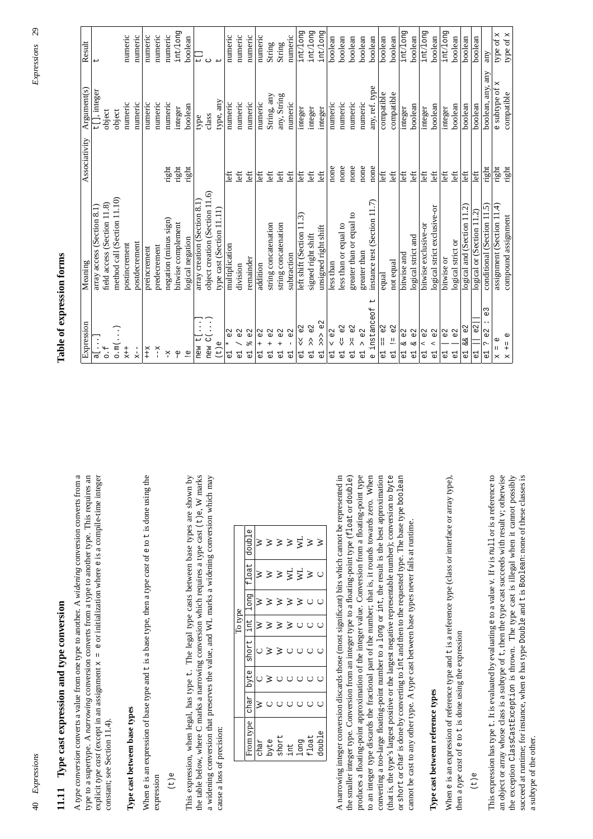11.11 Type cast expression and type conversion **Type cast expression and type conversion** A type conversion converts a value from one type to another. A widening conversion converts from a *type conversion* converts a value from one type to another. A *widening* conversion converts from a

type to a supertype. A narrowing conversion converts from a type to another type. This requires an

explicit *type cast* (except in an assignment x = e or initialization where e is a compile-time integer

explicit *type cast* (except in an assignment  $x = e$  or initialization where  $e$  is a compile-time integer

*narrowing* conversion converts from a type to another type. This requires an

type to a supertype.

constant; see Section 11.4).

constant; see Section 11.4).

**Type cast between base types**

Type cast between base types

expression (t)e

When e is an expression of base type and t is a base type, then a *type cast* of e to t is done using the

When e is an expression of base type and t is a base type, then a type cast of e to t is done using the

This expression, when legal, has type t. The legal type casts between base types are shown by

This expression, when legal, has type t. The legal type casts between base types are shown by

C marks a narrowing conversion which requires a type cast  $(t)$ e, W marks that measured that we can be a subsequence that when any more a unidation conversion which move

a widening conversion that preserves the value, and WL marks a widening conversion which may widening conversion that preserves the value, and WL marks a widening conversion which may

To type

From type char byte short int long float double

short

byte

char

From type

char

byte

short

int

long

float

double

 $\mathord{\mathsf{C}}$ 

 $\cup$ 

 $\mathord{\mathsf{C}}$ 

A narrowing integer conversion discards those (most significant) bits which cannot be represented in narrowing integer conversion discards those (most significant) bits which cannot be represented in the smaller integer type. Conversion from an integer type to a floating-point type (float or double) produces a floating-point approximation of the integer value. Conversion from a floating-point type

the smaller integer type. Conversion from an integer type to a floating-point type (float or double) produces a floating-point approximation of the integer value. Conversion from a floating-point type to an integer type discards the fractional part of the number; that is, it rounds towards zero. When

to an integer type discards the fractional part of the number; that is, it rounds to

converting a too-large floating-point number to a long or int, the result is the best approximation (that is, the type's largest positive or the largest negative representable number); conversion to byte or short or char is done by converting to int and then to the requested type. The base type boolean

converting a too-large floating-point number to a long or int, the result is the best approximation (that is, the type's largest positive or the largest negative representable number); conversion to byte

wards zero. When

 $\mathord{\mathsf{C}}$ 

 $\mathord{\mathsf{C}}$ 

 $\mathord{\mathsf{C}}$ 

W

 $\mathord{\mathsf{C}}$ 

 $\cup$ 

C

 $\cup$ 

 $\cup$ 

 $\cup$ 

 $\cup$ 

 $\cup$ 

 $\cup$ 

W

WLWL<br>C

 $\geq$ 

 $\mathord{\mathsf{C}}$ 

 $\cup$ 

 $\mathord{\mathsf{C}}$ 

W

WWL<br>W<br>W

 $\mathord{\mathsf{C}}$ 

 $\cup$ 

W

⋧

W

 $\geq$ 

 $\cup$ 

W

W

W

W

W

W

 $\cup$ 

C

W

W

W

W

double

Eloat

Long

İnt

≥≥≥≅≥

the table belo

cause a loss of precision:

cause a loss of precision:

w, where C

#### 29 *Expressions* 29 Expressions

# Table of expression forms

| Expression                                                           | Meaning                               | Associativity | Argument(s)       | Result                 |
|----------------------------------------------------------------------|---------------------------------------|---------------|-------------------|------------------------|
| $\frac{1}{a}$ .                                                      | array access (Section 8.1)            |               | t[], integer      | $\mathrel{\mathsf{L}}$ |
| o . $\mathsf{f}$                                                     | field access (Section 11.8)           |               | object            |                        |
| $\sim$ . m(                                                          | method call (Section 11.10)           |               | object            |                        |
| $x + +$                                                              | postincrement                         |               | numeric           | numeric                |
| $X -$                                                                | postdecrement                         |               | numeric           | numeric                |
| x                                                                    | preincrement                          |               | numeric           | numeric                |
| $-1$                                                                 | predecrement                          |               | numeric           | numeric                |
| ×<br>T                                                               | negation (minus sign)                 | right         | numeric           | numeric                |
| $\frac{0}{\ell}$                                                     | bitwise complement                    | right         | integer           | int/long               |
| $\overset{\circ}{-}$                                                 | logical negation                      | right         | boolean           | boolean                |
| $\overline{v}$<br>new                                                | array creation (Section 8.1)          |               | type              | Ξ                      |
| Ū<br>new                                                             | object creation (Section 11.6)        |               | class             | $\cup$                 |
| $(t)$ e                                                              | type cast (Section 11.11)             |               | type, any         |                        |
| ∾<br>$\omega$<br>$\overline{\omega}$                                 | multiplication                        | left          | numeric           | numeric                |
| $_{\rm e}^{\rm 2}$<br>$\overline{\mathtt{\vec{\omega}}}$             | division                              | left          | numeric           | numeric                |
| $\epsilon$<br>o/e<br>$\vec{e}$                                       | remainder                             | left          | numeric           | numeric                |
| $\Omega$<br>$^{+}$<br>5                                              | addition                              | left          | numeric           | numeric                |
| $\epsilon$<br>급                                                      | string concatenation                  | left          | String, any       | String                 |
| $\tilde{e}$<br>$\vec{e}$                                             | string concatenation                  | left          | any, String       | String                 |
| $\epsilon$<br>-1<br>$\overline{\omega}$                              | subtraction                           | left          | numeric           | numeric                |
| δ<br>v<br>$\checkmark$<br>J                                          | left shift (Section 11.3)             | left          | integer           | int/long               |
| $\mathbb{S}^2$<br>$\hat{\wedge}$<br>5                                | signed right shift                    | left          | integer           | int/long               |
| $_{\rm e}^{\rm 2}$<br>$\hat{\hat{ }}$<br>$\overline{\omega}$         | unsigned right shift                  | left          | integer           | int/long               |
| $\leq e2$<br>5                                                       | less than                             | none          | numeric           | boolean                |
| $\mathcal{C}$<br>$\overset{\shortparallel}{\mathbf{v}}$<br>$\vec{v}$ | less than or equal to                 | none          | numeric           | boolean                |
| $\mathbb{S}^2$<br>$\frac{1}{\Lambda}$<br>5                           | greater than or equal to              | none          | numeric           | boolean                |
| $>$ e2<br>$\overline{\omega}$                                        | greater than                          | none          | numeric           | boolean                |
| ↵<br>instanceof<br>$\omega$                                          | instance test (Section 11.7)          | none          | any, ref. type    | boolean                |
| ွ<br>$\mathop{!!}\limits_{\rm II}$<br>₫                              | equal                                 | left          | compatible        | boolean                |
| $\widetilde{e}$<br>$\sf II$<br>급                                     | not equal                             | left          | compatible        | boolean                |
| ΘZ<br>ఆ<br>จี                                                        | bitwise and                           | left          | integer           | int/long               |
| $\epsilon$<br>చ<br>$\vec{c}$                                         | logical strict and                    | left          | boolean           | boolean                |
| $\rm _{\odot}^{\sim}$<br>≺<br>$\vec{e}$                              | bitwise exclusive-or                  | left          | integer           | int/long               |
| $\epsilon$<br>≺<br>$\vec{e}$                                         | logical strict exclusive-or           | left          | boolean           | boolean                |
| $\mathbb{S}^2$<br>5                                                  | bitwise or                            | left          | integer           | int/long               |
| e2<br>$\vec{\theta}$                                                 | logical strict or                     | left          | boolean           | boolean                |
| Sθ<br>ಚಿ<br>5                                                        | logical and (Section 11.2)            | left          | boolean           | boolean                |
| 2<br>$\overline{\omega}$                                             | logical or (Section 11.2)             | left          | boolean           | boolean                |
| ဥ<br>δg<br>ᡣ.<br>₫                                                   | $\frac{5}{1}$<br>conditional (Section | right         | boolean, any, any | any                    |
| Φ<br>П<br>×                                                          | 4,<br>assignment (Section             | right         | e subtype of x    | type of x              |
| Φ<br>$+$<br>$\mathsf{x}$                                             | compound assignment                   | right         | compatible        | type of x              |

## Type cast between reference types **Type cast between reference types**

cannot be cast to any other type.

cannot be cast to any other type. A type cast between base types never fails at runtime.

or short or char is done by converting to int and then to the requested type. The base type boolean

type cast between base types never fails at runtime.

When e is an expression of reference type and t is a reference type (class or interface or array type), When e is an expression of reference type and t is a reference type (class or interface or array type), then a type cast of  $e$  to  $t$  is done using the expression then a *type cast* of e to t is done using the expression

(t)e

an object or array whose class is a subtype of t, then the type cast succeeds with result v; otherwise the exception ClassCastException is thrown. The type cast is illegal when it cannot possibly succeed at runtime; for instance, when e has type Double and t is Boolean: none of these classes is This expression has type  $t$ . It is evaluated by evaluating  $\epsilon$  to a value v. If v is null or is a reference to This expression has type t. It is evaluated by evaluating e to a value v. If v is null or is a reference to an object or array whose class is a subtype of t, then the type cast succeeds with result v; otherwise the exception ClassCastException is thrown. The type cast is illegal when it cannot possibly succeed at runtime; for instance, when e has type Double and t is Boolean: none of these classes is a subtype of the other. subtype of the other.

# **Table of expression forms**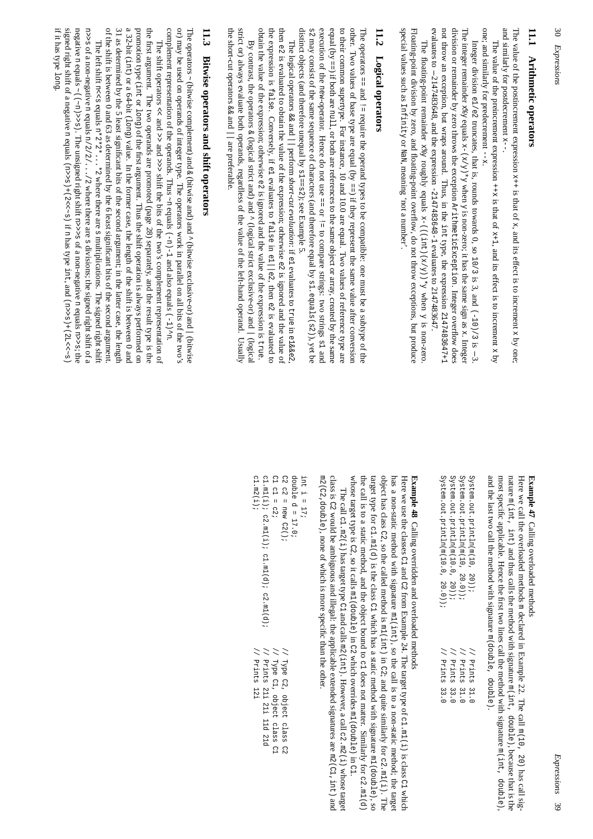### **11.1 Arithmetic operators**

The value ቧ the postincrement expression x++ is that of x, and its effect is to increment x by one; and similarly for postdecrement x--.

The value ቧ the preincrement expression ++x is  $\frac{1}{2}$ ቧ  $x+1$ , and its effect is  $\Xi$ increment x by one; and similarly for predecrement --x.

Integer division e1/e2 truncates, that is, rounds towards 0, so 10/3 is بي and (-10)/3 is ب The integer remainder x%y equals  $X_+(X/X) - x$ when y is non-zero; it has the same sign as x. Integer division or remainder  $\mathbf{\hat{z}}$ zero throws the exception ArithmeticException. Integer overflow does not throw an exception, but wraps around. Thus, in the int type, the expression 2147483647+1 evaluates ಕ 2147483648, and the expression -2147483648-1 evaluates  $\Xi$ 2147483647.

The floating-point remainder  $\lambda$ % $X$ roughly equals x-(((int)(x/y))\*y when  $\prec$ is non-zero. Floating-point division হ zero, and floating-point overflow, e<br>8 not throw exceptions, but produce special values such as Infinity or NaN, meaning 'not a number'.

### **11.2 Logical operators**

The operators !!<br>|| and **:**= require the operand types to be compatible: one must be a subtype ቧ the other. Two values ቧ base type are equal ੍ਰਿ ==) if they represent the same value after conversion  $\Xi$ their common supertype. For instance, 15 and 10.0 are equal. Two values ቧ<br>ት reference type are equal (by ==) if both are null, or both are references ಕ the same object or array, created হ the same execution ቧ the new-operator. Hence do not use ||<br>|| or ..<br>!! to compare strings: two strings s<br>1 and s<br>S may consist ቧ the same sequence ቧ characters (and therefore equal by s1.equals(s2)), yet be distinct objects (and therefore unequal হ s1==s2); see Example بہ

The logical operators && and || perform *short-cut evaluation*: if e1 evaluates  $\Xi$ true in e1&&e2, then ይ<br>ይ is evaluated  $\overline{\mathsf{c}}$ obtain the value ቧ the expression; otherwise ይ<br>ይ is ignored and the value ቧ the expression is false. Conversely,  $\Xi$ ይ evaluates  $\Xi$ false in e1||e2, then ዉ<br>የ2 is evaluated  $\Xi$ obtain the value ቧ the expression; otherwise ዉ<br>የ2 is ignored and the value ቧ the expression is true.

By contrast, the operators & (logical strict and) and ^ (logical strict exclusive-or) and | (logical strict or) always evaluate both operands, regardless ቧ the value ቧ the left-hand operand. Usually the short-cut operators && and || are preferable.

### **11.3 Bitwise operators and shift operators**

The operators ~ (bitwise complement) and & (bitwise and) and ^ (bitwise exclusive-or) and | (bitwise or) may be used on operands ቧ integer type. The operators work in parallel on  $\stackrel{\scriptscriptstyle w}{=}$ bits ቧ<br>ት the two's complement representation ቧ the operands. Thus  $\vec{5}$ equals (-n)-1 and also equals  $(1-\frac{1}{2})^2$ 

The shift operators  $\hat{\mathstrut}$ and >> and >>> shift the bits ቧ the two's complement representation ቧ the first argument. The two operands are promoted (page 28) separately, and the result type is the promotion type (int or long) of the first argument. Thus the shift operation is always performed on a 32-bit (int) or a 64-bit (long) value.  $\Xi$ the former case, the length ቧ the shift is between 0 and  $\Xi$ as determined হ the 5 least significant bits ቧ the second argument; in the latter case, the length ቧ the shift is between 0 and 63 as determined  $\mathbf{\hat{z}}$ the 6 least significant bits ቧ the second argument.

The left shift n<<s equals n\*2\*2\*...\*2 where there are s multiplications. The signed right shift n>>s of a non-negative n equals n/2/2/.../2 where there are s divisions; the signed right shift of a negative n equals ~((~n)>>s). The unsigned right shift n>>>s of a non-negative n equals n>>s; the signed right shift of a negative n equals (n>>s)+(2<<~s) if n has type int, and (n>>s)+(2L<<~s) if it has type long.

### **Example 47** Calling overloaded methods

Here we call the overloaded methods m declared in Example 22. The call  $m(10)$ 20) has call signature m(int, int) and thus calls the method with signature m(int, double), because that is the most specific applicable. Hence the first two lines call the method with signature m(int, double), and the last two call the method with signature m(double, double).

| System.out.println(m(10, 20));          | // Prints 31.0 |  |
|-----------------------------------------|----------------|--|
| System.out.println(m(10, 20.0));        | // Prints 31.0 |  |
| System.out.println(m(10.0, 20));        | // Prints 33.0 |  |
| $Sy$ stem.out.println $(m(10, 20.0))$ ; | // Prints 33.0 |  |
|                                         |                |  |

### **Example 48** Calling overridden and overloaded methods

Here we use the classes  $\mathsf{P}$ and C2 from Example 24. The target type ቧ c1.m1(i) is class  $\mathsf{P}$ which has a non-static method with signature m1(int), so the call is to a non-static method; the target object has class C2, so the called method is m1(int) in C2; and quite similarly for c2.m1(i). The target type for c1.m1(d) is the class  $\Xi$ which has a static method with signature m1(double), so the call is to a static method, and the object punoq  $\Xi$  $\Xi$ does not matter. Similarly for c2.m1(d) whose target type is C2, so it calls m1(double) in C2 which overrides m1(double) in C1.

The call c1.m2(i) has target type  $\Xi$ and calls m2(int). However, a call c2.m2(i) whose target class is C2 would be ambiguous and illegal: the applicable extended signatures are m2(C1,int) and m2(C2,double), none ቧ which is more specific than the other.

| $c1.m2(i)$ ;<br>// Prints 12i | c1.m1(i); c2.m1(i); c1.m1(d); c2.m1(d); c2.m1(d);<br>// Prints 21i 21i 11d 21d | $C1 = T2$<br>// Type C1, object class C1 | C2 c2 = $new$ C2();<br>// Type C2, object class C2 | double $d = 17.0$ ; | int $i = 17$ ; |
|-------------------------------|--------------------------------------------------------------------------------|------------------------------------------|----------------------------------------------------|---------------------|----------------|
|                               |                                                                                |                                          |                                                    |                     |                |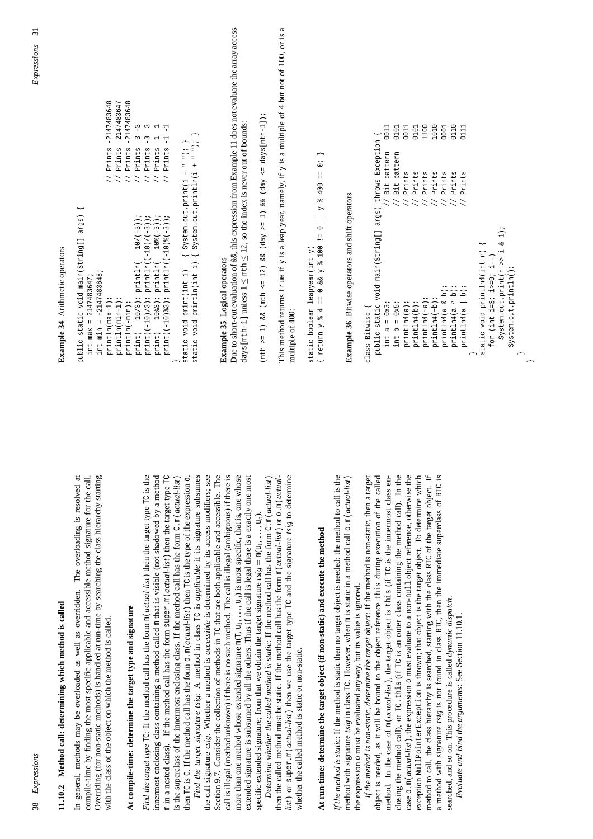| ١ |  |
|---|--|
| ÷ |  |

### $\overline{31}$ *Expressions* 31 Expressions

# 11.10.2 Method call: determining which method is called **11.10.2 Method call: determining which method is called**

In general, methods may be overloaded as well as overridden. The overloading is resolved at Overriding (for non-static methods) is handled at run-time by searching the class hierarchy starting In general, methods may be overloaded as well as overridden. The overloading is resolved at compile-time by finding the most specific applicable and accessible method signature for the call. compile-time by finding the most specific applicable and accessible method signature for the call. Overriding (for non-static methods) is handled at run-time by searching the class hierarchy starting with the class of the object on which the method is called. with the class of the object on which the method is called.

# At compile-time: determine the target type and signature **At compile-time: determine the target type and signature**

Find the target type TC: If the method call has the form m(actual-list) then the target type TC is the innermost enclosing class containing a method called m that is visible (not shadowed by a method m in a nested class). If the method call has the form super  $m(\arctan l\, i s t)$  then the target type TC is the superclass of the innermost enclosing class. If the method call has the form  $C$ ,  $m(\alpha cut\alpha l\text{-}list)$ then  $TC$  is  $C$ . If the method call has the form  $\circ$  .  $m(actual-list)$  then  $TC$  is the type of the expression  $\circ$ . *Find the target type* TC: If the method call has the form m(*actual-list*) then the target type TC is the innermost enclosing class containing a method called m that is visible (not shadowed by a method m in a nested class). If the method call has the form super.m(*actual-list*) then the target type TC then TC is C. If the method call has the form o.m(*actual-list*) then TC is the type of the expression o. is the superclass of the innermost enclosing class. If the method call has the form C.m(*actual-list*)

the call signature csig. Whether a method is accessible is determined by its access modifiers; see Section 9.7. Consider the collection of methods in TC that are both applicable and accessible. The call is illegal (method unknown) if there is no such method. The call is illegal (ambiguous) if there is more than one method whose extended signature  $m(T, u_1, \ldots, u_n)$  is most specific, that is, one whose Find the target signature tsig: A method in class TC is applicable if its signature subsumes extended signature is subsumed by all the others. Thus if the call is legal there is a exactly one most *Find the target signature tsig*: A method in class TC is *applicable* if its signature subsumes the call signature *csig*. Whether a method is *accessible* is determined by its access modifiers; see Section 9.7. Consider the collection of methods in TC that are both applicable and accessible. The call is illegal (method unknown) if there is no such method. The call is illegal (ambiguous) if there is more than one method whose extended signature m(T, u1, . . . , u*n*) is most specific, that is, one whose extended signature is subsumed by all the others. Thus if the call is legal there is a exactly one most specific extended signature; from that we obtain the target signature  $t \dot{x} g = m(u_1, \dots, u_n)$ .

Determine whether the called method is static: If the method call has the form C. m(actual-list) list) or super. m(actual-list) then we use the target type TC and the signature tsig to determine then the called method must be static. If the method call has the form  $m(actual-list)$  or  $o \cdot m(actual$ then the called method must be static. If the method call has the form m(*actual-list*) or o.m(*actuallist*) or super.m(*actual-list*) then we use the target type TC and the signature *tsig* to determine *Determine whether the called method is static*: If the method call has the form C.m(*actual-list*) specific extended signature; from that we obtain the target signature  $t s i g = m(u_1, \ldots, u_n)$ .<br>*Determine whether the called method is static*: If the method call has the form  $C, m(\epsilon)$ <br>that the acouncing method method is the whether the called method is static or non-static. whether the called method is static or non-static.

# At run-time: determine the target object (if non-static) and execute the method **At run-time: determine the target object (if non-static) and execute the method**

If the method is static: If the method is static then no target object is needed: the method to call is the method with signature txig in class TC. However, when m is static in a method call o. m(actual-list) *If the method is static*: If the method is static then no target object is needed: the method to call is the method with signature *tsig* in class TC. However, when m is static in a method call o.m(*actual-list*) the expression o must be evaluated anyway, but its value is ignored. the expression o must be evaluated anyway, but its value is ignored.

closing the method call), or TC this (if TC is an outer class containing the method call). In the case o.m(actual-list), the expression o must evaluate to a non-null object reference, otherwise the exception NullPointerException is thrown; that object is the target object. To determine which a method with signature tsig is not found in class RTC, then the immediate superclass of RTC is If the method is non-static, determine the target object: If the method is non-static, then a target object is needed, as it will be bound to the object reference this during execution of the called method. In the case of m(actual-list), the target object is this (if TC is the innermost class enmethod to call, the class hierarchy is searched, starting with the class RTC of the target object. If method to call, the class hierarchy is searched, starting with the class RTC of the target object. If *If the method is non-static, determine the target object*: If the method is non-static, then a target object is needed, as it will be bound to the object reference this during execution of the called method. In the case of m(*actual-list*), the target object is this (if TC is the innermost class enclosing the method call), or TC.this (if TC is an outer class containing the method call). In the case o.m(*actual-list*), the expression o must evaluate to a non-null object reference, otherwise the exception NullPointerException is thrown; that object is the target object. To determine which method with signature *tsig* is not found in class RTC, then the immediate superclass of RTC is searched, and so on. This procedure is called dynamic dispatch. searched, and so on. This procedure is called *dynamic dispatch*.

*Evaluate and bind the arguments*: See Section 11.10.1. Evaluate and bind the arguments: See Section 11.10.1

## Example 34 Arithmetic operators **Example 34** Arithmetic operators

| public static void main (String[] args)<br>int $min = -2147483648$ ;<br>int max = $2147483647$ ; | // Prints -2147483648<br>Prints 2147483647<br>$\geq$ | // Prints -2147483648 | Prints $3 - 3$<br>$\geq$<br>print( 10/3); println( 10/(-3)); | Prints -3<br>$\frac{1}{2}$<br>print((-10)/3); println((-10)/(-3)); | Prints 1<br>ź<br>print( 10%3); println( 10%(-3)); | // $Prints -1 -1$<br>print((-10)%3);    println((-10)%(-3)); |  |
|--------------------------------------------------------------------------------------------------|------------------------------------------------------|-----------------------|--------------------------------------------------------------|--------------------------------------------------------------------|---------------------------------------------------|--------------------------------------------------------------|--|
|                                                                                                  | println(max+1);<br>println(min-1);                   | println(-min);        |                                                              |                                                                    |                                                   |                                                              |  |

static void println(int i) { System.out.println(i + ",); } static void println(int i) { System.out.println(i + " "); }  $\{$  System.out.print $(i + "')$ ;  $\}$ static void print(int i) { System.out.print(i + " "); } static void print(int i)

## **Example 35** Logical operators **Example 35** Logical operators

Due to short-cut evaluation of &&, this expression from Example 11 does not evaluate the array access Due to short-cut evaluation of &&, this expression from Example 11 does not evaluate the array access days [ $m-th-1$ ] unless  $1 \leq m-th \leq 12$ , so the index is never out of bounds: days[mth-1] unless  $1 \leq$  mth  $\leq 12$ , so the index is never out of bounds:

mth >= 1) && (mth <= 12) && (day >= 1) && (day <= days[mth-1]); (mth >= 1) && (mth <= 12) && (day >= 1) && (day <= days[mth-1]); This method returns true if y is a leap year, namely, if y is a multiple of 4 but not of 100, or is a This method returns true if y is a leap year, namely, if y is a multiple of 4 but not of 100, or is a multiple of 400: multiple of 400:

 $0:$  $\{$  return  $y$   $\frac{2}{3}$   $4$  =  $0$   $\frac{2}{3}$   $\frac{2}{3}$   $\frac{2}{3}$   $\frac{2}{3}$   $\frac{2}{3}$   $\frac{2}{3}$   $\frac{1}{3}$   $\frac{1}{3}$   $\frac{2}{3}$   $\frac{2}{3}$   $\frac{4}{3}$   $\frac{0}{3}$   $\frac{1}{3}$   $\frac{1}{2}$ static boolean leapyear(int y)<br>{ return y & 4 == 0 && y & 100 i= 0 || y & 400 == static boolean leapyear(int y)

# Example 36 Bitwise operators and shift operators **Example 36** Bitwise operators and shift operators

class Bitwise {  $D + + \infty$  $c1as$ 

| IASS BILWISE                                              |                |                |      |
|-----------------------------------------------------------|----------------|----------------|------|
| public static void main(String[] args) throws Exception { |                |                |      |
| $int a = 0x3$                                             |                | // Bit pattern | 0011 |
| $int b = 0x5$ ;                                           |                | // Bit pattern | 0101 |
| println4(a);                                              |                | // Prints      | 0011 |
| println4(b);                                              | $\geq$         | Prints         | 0101 |
| println4(~a);                                             | $\geq$         | Prints         | 1100 |
| println4(~b);                                             |                | // Prints      | 1010 |
| println4(a & b);                                          |                | // Prints      | 0001 |
| $print1n4(a \wedge b)$ ;                                  | $\mathbf{r}$   | Prints         | 0110 |
| $printInd(a   b)$ ;                                       | $\overline{z}$ | Prints         | 0111 |
|                                                           |                |                |      |
| static void println4(int n)                               |                |                |      |
| for $(int i=3; i>=0; i=-)$                                |                |                |      |

System.out.print(n >> i & 1); System.out.print(n >> i & 1); for (int  $i=3$ ;  $i>=0$ ;  $i=-$ ) System.out.println();

System.out.println();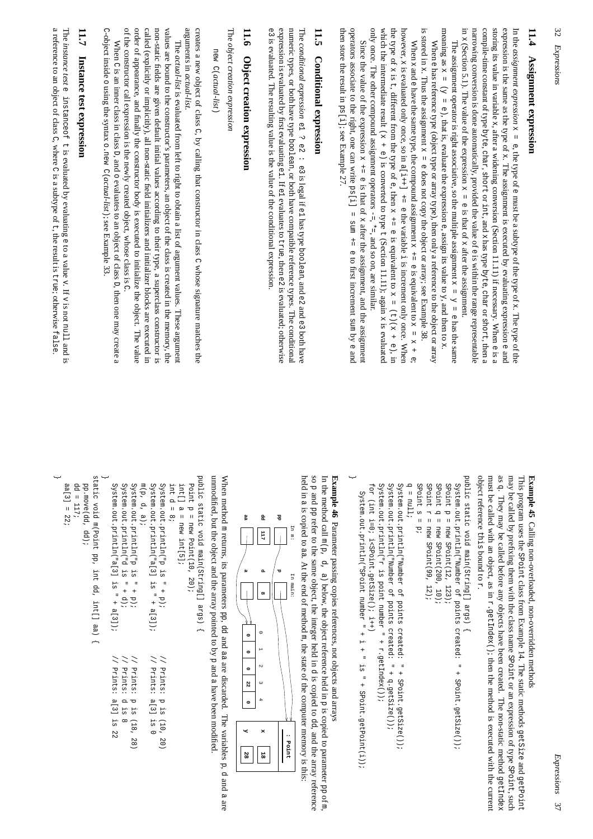### **11.4 Assignment expression**

 $\Xi$ the *assignment expression* x  $\blacksquare$ e, the type of e must be a subtype ቧ the type of x. The type ቧ the expression is the same as the type of x. The assignment is executed হ evaluating expression e and storing its value in variable x, after a widening conversion (Section 11.11)  $\equiv$ necessary. When e is a compile-time constant of type byte, char, short or int, and x has type byte, char or short, then a narrowing conversion is done automatically, provided the value of e is within the range representable in x (Section 5.1). The value ቧ the expression x  $\blacksquare$ e is that of x after the assignment.

The assignment operator is right associative, so the multiple assignment x  $\blacksquare$ ≻<br>⊪ e has the same meaning as x  $\blacksquare$ ସ  $\blacksquare$ e), that is, evaluate the expression e, assign its value to y, and then to x.

When e has reference type (object type or array type), then only a reference to the object or array is stored in x. Thus the assignment x  $^{\rm{H}}$ e does not copy the object or array; see Example 38.

When x and e have the same type, the compound assignment x  $\frac{+}{11}$ e is equivalent to x  $\blacksquare$ x + e; however, x is evaluated only once, so in a[i++]  $\frac{+}{11}$ e the variable i is increment only once. When the type of x is t, different from the type of e, then x  $^+$ e is equivalent to x  $\blacksquare$ (t)(x + e), in which the intermediate result  $\widehat{\mathsf{x}}$ +  $\overline{\mathbb{C}}$ is converted to type t (Section 11.11); again x is evaluated only once. The other compound assignment operators  $-$  =,  $*$  =, and so on, are similar.

Since the value ቧ<br>ት the expression x  $\frac{+}{11}$ e is  $\thinspace$  that of x after the assignment, and the assignment operators associate to the right, one can write ps[i]  $\blacksquare$ sum  $\frac{+}{11}$ e to first increment sum by e and then store the result in ps[i]; see Example 27.

### **11.5 Conditional expression**

The *conditional expression* ይ .. ወ<br>.. e3 is legal if e1 has type boolean, and ዉ<br>የ2 and ዉ<br>የ both have numeric types, or both have type boolean.<br>۹ both have compatible reference types. The conditional expression is evaluated  $\mathbf{\hat{z}}$ first evaluating e1. If e1 evaluatesto true, then e2 is evaluated; otherwise ዉ<br>የ is evaluated. The resulting value is the value ቧ the conditional expression.

### **11.6 Object creation expression**

The *object creation expression*

new  $\tilde{c}$ *actual-list*)

creates a ne w object of class C, by calling that constructor in class C whose signature matches the arguments in *actual-list*.

The *actual-list* is evaluated from left  $\Xi$ right  $\Xi$ obtain a list ቧ argument values. These argument values are  $p$ unoq to the constructor's parameters, an object ቧ the class is created in. the memory, the non-static fields are given default initial values according to their type, a superclass constructor is called (explicitly or implicitly),  $\stackrel{\scriptscriptstyle w}{=}$ non-static field initializers and initializer blocks are executed in order ቧ appearance, and finally the constructor body is executed  $\Xi$ initialize the object. The value ቧ the constructor call expression is the newly created object, whose class is C.

When C is an inner class in class D, and o evaluates to an object ቧ class D, then one may create a C-object inside o using the syntax o.new  $\tilde{c}$ *actual-list*); see Example  $\mathfrak{B}$ 

### **11.7 Instance test expression**

The *instance test* e instanceof t is evaluated হ evaluating e to a value v. If v is not nu<br>I and is a reference  $\Xi$ an object ቧ class C, where C is a subtype of t, the result is true; otherwise false.

**Example 45** Calling non-overloaded, non-overridden methods

This program uses the SPoint class from Example 14. The static methods getSize and getPoint may be called by prefixing them with the class name SPoint or an expression ቧ type SPoint, such as q. They may be called before any objects have been created. The non-static method getIndex  $\mathop{\rm max}\limits$  $\Xi$ called with an object, as in r.getIndex(); then the method is executed with the current object reference this punoq to r.

```
public static void main(String[] args) ~
                                                                                                                                                                                             System.out.println("Number o<br>m
                                                                                                                                                                                             points created: " + SPoint.getSize());
                                                                                                                                                                              SPoint لہ<br>اا
                                                                                                                                                                              new SPoint(12, 123);
                                                                                                                                                            SPoint م<br>"
                                                                                                                                                            new SPoint(200, 10);
                                                                                                                                           SPoint ۲<br>ا
                                                                                                                                           new SPoint(99, 12);
                                                                                                                        SPoint s = p;
                                                                                                       q = null;
                                                                                      System.out.println("Number o<br>m
                                                                                      points created: " + SPoint.getSize());
                                                                     System.out.println("Number o<br>m
                                                                     points created: " + q.getSize());
                                                    System.out.println("r is point number " + r.getIndex());
                                     for (int i=0; i<SPoint.getSize(); i++)
                 System.out.println("SPoint number " + i + " is " + SPoint.getPoint(i));
~
```
**Example 46** Parameter passing copies references, not objects and arrays

 $\Xi$ the method call m(p, d, a) belo w, the object reference held in p is copied  $\overline{\rm s}$ parameter d of m, so p and ą refer to the same object, the integer held in d is copied to dd, and the array reference held in a is copied  $\Xi$ aa. At the end ቧ method m, the state ቧ the computer memory is this:



When method m returns, its parameters pp, dd and a<br>a are discarded. The variables p, d and a are unmodified, but the object and the array pointed to by p and a have been modified.

```
public static void main(String[] args) ~
                                                                                                                                                                 Point p = new Point(10, 20);
                                                                                                                                                    int[] a = new int[5];
                                                                                                                                        int d = 8;
                                                                                                                          System.out.println("p i ( q + n ) is
                                                                                                                           // Prints: ₩
                                                                                                                            is (10, 20)
                                                                                                              System.out.println("a[3] is " + a[3]); // Prints: a[3] ።<br>በ<br>0
                                                                                                 m(p, d, a);
                                                                                     System.out.println("p i \cdot p);
                                                                                      // Prints: ₩
                                                                                       is (18, 28)
                                                                         System.out.println("d is " + d); // // Prints: م
                                                                          is<br>8<br>8
                                                            System.out.println("a[3] is " + a[3]); Prints: a[3] is 22
                                     static
                                               ~
                                     void m(Point pp, int dd, int[] aa) ~
                       pp.move(dd, pp.move(dd, dd);
            م<br>=
             117;
aa[3] \blacksquare22;
```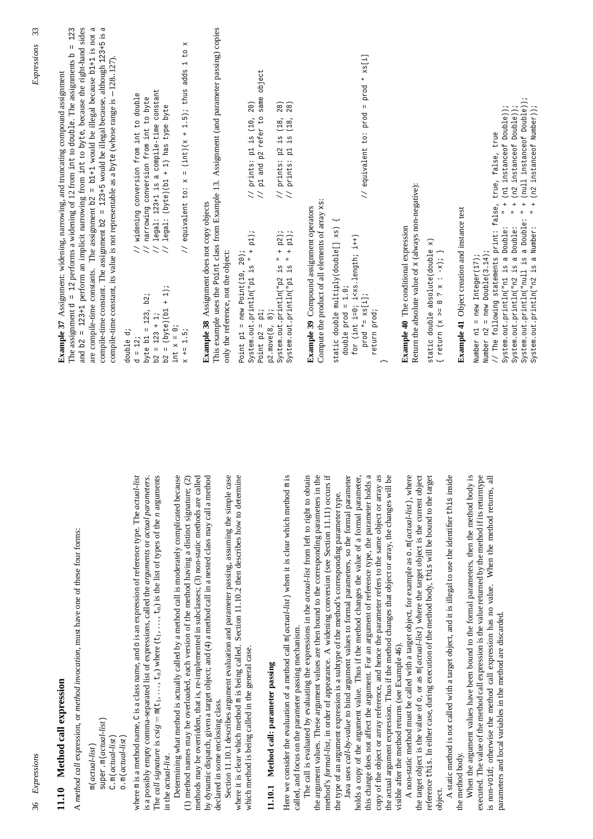| ì<br>Ņ<br>Ç<br>Ç |
|------------------|
| 1                |
|                  |

## 11.10 Method call expression **11.10 Method call expression**

A method call expression, or method invocation, must have one of these four forms: *method call* expression, or *method invocation*, must have one of these four forms:

m(*actual-list*)

super.m(*actual-list*)

 $C.m(actual-list)$  $\circ$ . m( $actual-list$ ) C.m(*actual-list*) o.m(*actual-list*)

The *call signature* is  $\cos g = m(t_1, ..., t_n)$  where  $(t_1, ..., t_n)$  is the list of types of the *n* arguments in the *actual-list*.<br>In the *actual-list*. where  $m$  is a method name, C is a class name, and o is an expression of reference type. The *actual-list* is a possibly empty comma-separated list of expressions, called the arguments or actual parameters. where m is a method name, C is a class name, and o is an expression of reference type. The *actual-list* is a possibly empty comma-separated list of expressions, called the *arguments* or *actual parameters*. m(t<sub>1</sub>, ...,  $t_n$ ) where ( $t_1$ , ...,  $t_n$ ) is the list of types of the *n* arguments The *call signature* is *csig* in the actual-list. in the *actual-list*.

(1) method names may be overloaded, each version of the method having a distinct signature; (2) methods may be overridden, that is, re-implemented in subclasses; (3) non-static methods are called by dynamic dispatch, given a target object; and (4) a method call in a nested class may call a method Determining what method is actually called by a method call is moderately complicated because (1) method names may be overloaded, each version of the method having a distinct signature; (2) methods may be overridden, that is, re-implemented in subclasses; (3) non-static methods are called by dynamic dispatch, given a target object; and (4) a method call in a nested class may call a method declared in some enclosing class. declared in some enclosing class.

Section 11.10.1 describes argument evaluation and parameter passing, assuming the simple case Section 11.10.1 describes argument evaluation and parameter passing, assuming the simple case w to determine where it is clear which method m is being called. Section 11.10.2 then describes ho which method is being called in the general case. which method is being called in the general case.

## 11.10.1 Method call: parameter passing **11.10.1 Method call: parameter passing**

Here we consider the evaluation of a method call  $m(\alpha c \alpha a l-lis)$  when it is clear which method  $m$  is Here we consider the evaluation of a method call m(*actual-list*) when it is clear which method m is called, and focus on the parameter passing mechanism. called, and focus on the parameter passing mechanism

The call is evaluated by evaluating the expressions in the actual-list from left to right to obtain the argument values. These argument values are then bound to the corresponding parameters in the method's formal-list, in order of appearance. A widening conversion (see Section 11.11) occurs if widening conversion (see Section 11.11) occurs if The call is evaluated by evaluating the expressions in the *actual-list* from left to right to obtain the argument values. These argument values are then bound to the corresponding parameters in the the type of an argument expression is a subtype of the method's corresponding parameter type. the type of an argument expression is a subtype of the method's corresponding parameter type. method's *formal-list*, in order of appearance.

his change does not affect the argument. For an argument of reference type, the parameter holds a copy of the object or array reference, and hence the parameter refers to the same object or array as the actual argument expression. Thus if the method changes that object or array, the changes will be Java uses call-by-value to bind argument values to formal parameters, so the formal parameter holds a copy of the argument value. Thus if the method changes the value of a formal parameter, Java uses *call-by-value* to bind argument values to formal parameters, so the formal parameter holds a copy of the argument value. Thus if the method changes the value of a formal parameter, For an argument of reference type, the parameter holds a copy of the object or array reference, and hence the parameter refers to the same object or array as the actual argument expression. Thus if the method changes that object or array, the changes will be visible after the method returns (see Example 46). visible after the method returns (see Example 46). this change does not affect the argument.

A non-static method must be called with a target object, for example as o.m (*actual-list*), where the target object is the value of o, or as m(actual-list) where the target object is the current object reference this. In either case, during execution of the method body, this will be bound to the target non-static method must be called with a target object, for example as o.m(*actual-list*), where the target object is the value of o, or as m(*actual-list*) where the target object is the current object reference this. In either case, during execution of the method body, this will be bound to the target object.

A static method is not called with a target object, and it is illegal to use the identifier this inside static method is not called with a target object, and it is illegal to use the identifier this inside the method body. the method body.

When the argument values have been bound to the formal parameters, then the method body is executed. The value of the method call expression is the value returned by the method if its returntype is non-void; otherwise the method call expression has no value. When the method returns, all When the argument values have been bound to the formal parameters, then the method body is executed. The value of the method call expression is the value returned by the method if its returntype is non-void; otherwise the method call expression has no value. When the method returns, all parameters and local variables in the method are discarded. parameters and local variables in the method are discarded.

are compile-time constants. The assignment  $b2 = b1+1$  would be illegal because  $b1+1$  is not a compile-time constant. The assignment  $b2 = 123+5$  would be illegal because, although  $123+5$  is a and b2 = 123+1 perform an implicit narrowing from int to byte, because the right-hand sides The assignment  $d = 12$  performs a widening of 12 from int to double. The assignments  $b = 123$ would be illegal because b1+1 is not a would be illegal because, although 123+5 is a The assignment  $d = 12$  performs a widening of 12 from int to double. The assignments b = 123 and b2 = 123+1 perform an implicit narrowing from int to byte, because the right-hand sides 127). **Example 37** Assignment: widening, narrowing, and truncating compound assignment **Example 37** Assignment: widening, narrowing, and truncating compound assignment 128 compile-time constant, its value is not representable as a byte (whose range is are compile-time constants. The assignment b2 = b1+1 compile-time constant. The assignment b2 = 123+5

| double d;                |                                                                  |
|--------------------------|------------------------------------------------------------------|
| $d = 12$                 | // widening conversion from int to double                        |
| byte $b1 = 123$ , $b2$ ; | narrowing conversion from int to byte                            |
| $b2 = 123 + 1$           | // legal: 123+1 is a compile-time constant                       |
| $b2 = (byte)(b1 + 1);$   | // legal: (byte)(bl + 1) has type byte                           |
| $int x = 0$ ;            |                                                                  |
| $x == 1.5$               | // equivalent to: $x = (\text{int})(x + 1.5)$ ; thus adds 1 to x |

## Example 38 Assignment does not copy objects **Example 38** Assignment does not copy objects

This example uses the Point class from Example 13. Assignment (and parameter passing) copies This example uses the Point class from Example 13. Assignment (and parameter passing) copies only the reference, not the object: only the reference, not the object:

| Point $p1 = new Point(10, 20)$     |                                   |
|------------------------------------|-----------------------------------|
| System.out.println("pl is " + pl); | // prints: pl is (10, 20)         |
| Point $p2 = p1$ ;                  | // pl and p2 refer to same object |
| $p2$ . move $(8, 8)$ ;             |                                   |
| System.out.println("p2 is " + p2); | // $prints: p2 is (18, 28)$       |
| System.out.println("pl is " + pl); | // prints: pl is (18, 28)         |
|                                    |                                   |

### Compute the product of all elements of array xs: Compute the product of all elements of array xs: Example 39 Compound assignment operators **Example 39** Compound assignment operators

// equivalent to:  $prod$  =  $prod$  =  $prod$  \*  $xsl1$ ] prod \*= xs[i]; // equivalent to: prod = prod \* xs[i] static double multiply(double[] xs) { static double multiply(double[] xs) for (int i=0; i<xs.length; i++) for (int i=0; i<xs.length; i++) double prod =  $1.0$ ; double prod = 1.0;  $prod d * = xsl[i];$ return prod; return prod;

## Return the absolute value of x (always non-negative): Example 40 The conditional expression **Example 40** The conditional expression

ways non-negative): static double absolute(double x) static double absolute(double x) Return the absolute value of x (al

{ return  $(x) = 0$  ?  $x : -x$  ;  $\frac{1}{2}$ { return (x >= 0 ? x : -x); }

## Example 41 Object creation and instance test **Example 41** Object creation and instance test

System.out.println("null is a Double: " + (null instanceof Double)); System.out.println("null is a Double: " + (null instanceof Double)); System.out.println("nl is a Double: " + (nl instanceof Double)); "  $+$  (n2 instance of Double)); System.out.println("n2 is a Number: " + (n2 instanceof Number)); System.out.println("n1 is a Double: " + (n1 instanceof Double)); System.out.println("n2 is a Double: " + (n2 instanceof Double)); System.out.println("n2 is a Number: " + (n2 instanceof Number));// The following statements print: false, true, false, true // The following statements print: false, true, false, true System.out.println("n2 is a Double: Number  $n2 = new Double(3.14)$ ; Number n2 = new Double(3.14); Number n1 = new Integer(17); Number n1 = new Integer(17);